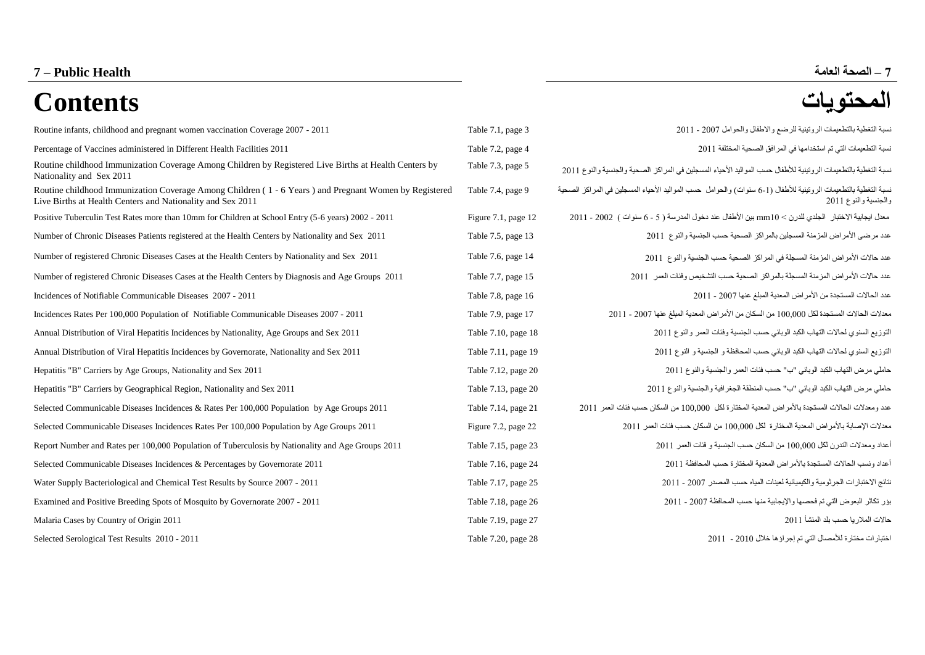# **7 – الصحة العامة Health Public – 7 المحتويات Contents**

| Routine infants, childhood and pregnant women vaccination Coverage 2007 - 2011                                                                                      | Table 7.1, page 3     | نسبة التغطية بالتطعيمات الروتينية للرضع والاطفال والحوامل 2007 - 2011                                                                 |
|---------------------------------------------------------------------------------------------------------------------------------------------------------------------|-----------------------|---------------------------------------------------------------------------------------------------------------------------------------|
| Percentage of Vaccines administered in Different Health Facilities 2011                                                                                             | Table 7.2, page 4     | نسبة التطعيمات التي تم استخدامها في المر افق الصحية المختلفة 1101                                                                     |
| Routine childhood Immunization Coverage Among Children by Registered Live Births at Health Centers by<br>Nationality and Sex 2011                                   | Table 7.3, page 5     | لسبة التغطية بالتطعيمات الر و تينية للأطفال حسب المو اليد الأحياء المسجلين في المر اكز  الصحية و الجنسية و النوع 11ر2                 |
| Routine childhood Immunization Coverage Among Children (1 - 6 Years) and Pregnant Women by Registered<br>Live Births at Health Centers and Nationality and Sex 2011 | Table 7.4, page 9     | سبة التغطية بالتطعيمات الروتينية للأطفال (1-6 سنوات) والحوامل حسب المواليد الأحياء المسجلين في المراكز الصحية<br>والجنسية والنوع 2011 |
| Positive Tuberculin Test Rates more than 10mm for Children at School Entry (5-6 years) 2002 - 2011                                                                  | Figure 7.1, page $12$ | معدل ايجابية الاختبار   الجلدي للدرن > 10xmm بين الأطفال عند دخول المدرسة ( 5 - 6 سنوات )  2002 - 2011                                |
| Number of Chronic Diseases Patients registered at the Health Centers by Nationality and Sex 2011                                                                    | Table 7.5, page 13    | عدد مرضى الأمراض المزمنة المسجلين بالمراكز الصحية حسب الجنسية والنوع 2011                                                             |
| Number of registered Chronic Diseases Cases at the Health Centers by Nationality and Sex 2011                                                                       | Table 7.6, page 14    | عدد حالات الأمراض المزمنة المسجلة في المراكز الصحية حسب الجنسية والنوع 2011                                                           |
| Number of registered Chronic Diseases Cases at the Health Centers by Diagnosis and Age Groups 2011                                                                  | Table 7.7, page 15    | عدد حالات الأمراض المزمنة المسجلة بالمراكز الصحية حسب التشخيص وفئات العمر 2011                                                        |
| Incidences of Notifiable Communicable Diseases 2007 - 2011                                                                                                          | Table 7.8, page 16    | عدد الحالات المستجدة من الأمر اض المعدية المبلغ عنها 2007 - 2011                                                                      |
| Incidences Rates Per 100,000 Population of Notifiable Communicable Diseases 2007 - 2011                                                                             | Table 7.9, page 17    | معدلات الحالات المستجدة لكل 100,000 من السكان من الأمر اض المعدية المبلغ عنها 2007 - 2011                                             |
| Annual Distribution of Viral Hepatitis Incidences by Nationality, Age Groups and Sex 2011                                                                           | Table 7.10, page 18   | التوزيع السنوي لحالات التهاب الكبد الوبائي حسب الجنسية وفئات العمر والنوع 2011                                                        |
| Annual Distribution of Viral Hepatitis Incidences by Governorate, Nationality and Sex 2011                                                                          | Table 7.11, page 19   | التوزيع السنوي لحالات التهاب الكبد الوبائي حسب المحافظة و الجنسية و النوع 2011                                                        |
| Hepatitis "B" Carriers by Age Groups, Nationality and Sex 2011                                                                                                      | Table 7.12, page 20   | حاملي مرض التهاب الكبد الوبائي "ب" حسب فئات العمر والجنسية والنوع 2011                                                                |
| Hepatitis "B" Carriers by Geographical Region, Nationality and Sex 2011                                                                                             | Table 7.13, page 20   | حاملي مرض التهاب الكبد الوبائي "ب" حسب المنطقة الجغرافية والجنسية والنوع 2011                                                         |
| Selected Communicable Diseases Incidences & Rates Per 100,000 Population by Age Groups 2011                                                                         | Table 7.14, page 21   | عدد ومعدلات الحالات المستجدة بالأمر اض المعدية المختارة لكل 100,000 من السكان حسب فئات العمر 2011                                     |
| Selected Communicable Diseases Incidences Rates Per 100,000 Population by Age Groups 2011                                                                           | Figure 7.2, page 22   | معدلات الإصابة بالأمراض المعدية المختارة لكل 100,000 من السكان حسب فئات العمر 2011                                                    |
| Report Number and Rates per 100,000 Population of Tuberculosis by Nationality and Age Groups 2011                                                                   | Table 7.15, page 23   | أعداد ومعدلات التدرن لكل 100,000 من السكان حسب الجنسية و فئات العمر 2011                                                              |
| Selected Communicable Diseases Incidences & Percentages by Governorate 2011                                                                                         | Table 7.16, page 24   | أعداد ونسب الحالات المستجدة بالأمر اض المعدية المختار ة حسب المحافظة 2011                                                             |
| Water Supply Bacteriological and Chemical Test Results by Source 2007 - 2011                                                                                        | Table 7.17, page 25   | نتائج الاختبارات الجرثومية والكيميائية لعينات المياه حسب المصدر 2007 - 2011                                                           |
| Examined and Positive Breeding Spots of Mosquito by Governorate 2007 - 2011                                                                                         | Table 7.18, page 26   | بؤر تكاثر البعوض التي تم فحصها والإيجابية منها حسب المحافظة 2007 - 2011                                                               |
| Malaria Cases by Country of Origin 2011                                                                                                                             | Table 7.19, page 27   | حالات الملار يا حسب بلد المنشأ 2011                                                                                                   |
| Selected Serological Test Results 2010 - 2011                                                                                                                       | Table 7.20, page 28   | اختبارات مختارة للأمصال التي تم إجراؤها خلال 2010 - 2011                                                                              |
|                                                                                                                                                                     |                       |                                                                                                                                       |

## [Routine infants, childhood and pregnant women vaccination Coverage 2007 -](#page-3-0) 2011 Table 7.1, page 3 7022 - 7002 والحوامل واالطفال للرضع الروتينية بالتطعيمات التغطية نسبة Percentage of Vaccines administered in Different Health Facilities 2011 Table 7.2, page 4 [7022 المختلفة الصحية المرافق في استخدامها تم التي التطعيمات نسبة](#page-4-0) نسبة التغطية بالتطعيمات الروتينية للأطفال حسب المواليد الأحياء المسجلين في المراكز الصحية والجنسية والنوع 2011<br>. نسبة التغطية بالتطعيمات الروتينية للأطفال (6-1 سنوات) والحوامل حسب المواليد الأحياء المسجلين في المراكز الصحية والجنسية والنوع 7022 [Positive Tuberculin Test Rates more than 10mm for Children at School Entry \(5-6 years\) 2002 -](#page-12-0) 2011 Figure 7.1, page 12 2011 - 2002 ) سنوات 6 - 5 ) المدرسة دخول عند األطفال بين mm20 > للدرن الجلدي االختبار ايجابية معدل حدد مرضى الأمراض المزمنة المسجلين بالمراكز الصحية حسب الجنسية والنوع 2011 2 صد حالات الأمر اض المزمنة المسجلة في المراكز الصحية حسب الجنسية والنوع 2011 2 [Number of registered Chronic Diseases Cases at the Health Centers by Diagnosis and Age Groups 2011](#page-15-0) Table 7.7, page 15 7022 العمر وفئات التشخيص حسب الصحية بالمراكز المسجلة المزمنة األمراض حاالت عدد عدد الحالات المستجدة من الأمراض المعدية المبلغ عنها 2007 - 2011 - 2007 من 2014 phe 7.8, page 16 معدالت الحاالت المستجدة لكل 200,000 من السكان من األمراض المعدية المبلغ عنها 7002 - 7022 17 page 7.9, Table 2011 [- 2007 Diseases Communicable Notifiable of Population 100,000 Per Rates Incidences](#page-17-0) التوزيع السنوي لحالات التهاب الكبد الوبائي حسب الجنسية وفئات العمر والنوع 2011 2022 والنوع العمر والنوع التوزيع السنوي العالم التهاب الكبد الوبائي حسب الجنسية وفئات العمر والنوع التوزيع الت [Annual Distribution of Viral Hepatitis Incidences by Governorate, Nationality and Sex 2011](#page-19-0) Table 7.11, page 19 7022 النوع و الجنسية و المحافظة حسب الوبائي الكبد التهاب لحاالت السنوي التوزيع حاملي مرض التهاب الكبد الوبائي "ب" حسب فئات العمر والجنسية والنوع 7022 20 page 7.12, Table 2011 Sex and Nationality ,Groups Age by Carriers" B "Hepatitis حاملي مرض التهاب الكبد الوبائي "ب" حسب المنطقة الجغرافية والجنسية والنوع 7022 20 page 7.13, Table [2011 Sex and Nationality ,Region Geographical by Carriers" B "Hepatitis](#page-20-0) عدد ومعدالت الحاالت المستجدة باألمراض المعدية المختارة لكل 100,000 من السكان حسب فئات العمر 7022 21 page 7.14, Table [2011 Groups Age by Population 100,000 Per Rates & Incidences Diseases Communicable Selected](#page-21-0) [Selected Communicable Diseases Incidences Rates Per 100,000 Population by Age Groups 2011](#page-22-0) Figure 7.7, page 77 7022 العمر فئات حسب السكان من 200,000 لكل المختارة المعدية باألمراض اإلصابة معدالت Report Number [and Rates per 100,000 Population of Tuberculosis by Nationality and Age Groups 2011](#page-23-0) Table 7.15, page 23 7022 العمر فئات و الجنسية حسب السكان من 200,000 لكل التدرن ومعدالت أعداد أعداد ونسب الحاالت المستجدة باألمراض المعدية المختارة حسب المحافظة 7022 24 page 7.16, Table [2011 Governorate by Percentages & Incidences Diseases Communicable Selected](#page-24-0) للكاتج الإختبار ات الجر ثومية و الكيميائية لعينات المياه حسب المصدر 2007 - 2011 - 2007 - 2011 Pole 7.17, page 25 [Examined and Positive Breeding Spots of Mosquito by Governorate 2007 -](#page-26-0) 2011 Table 7.18, page 26 7022 - 7002 المحافظة حسب منها واإليجابية فحصها تم التي البعوض تكاثر بؤر [Malaria Cases by Country of Origin 2011](#page-27-0) Table 7.19, page 27 7022 المنشأ بلد حسب المالريا حاالت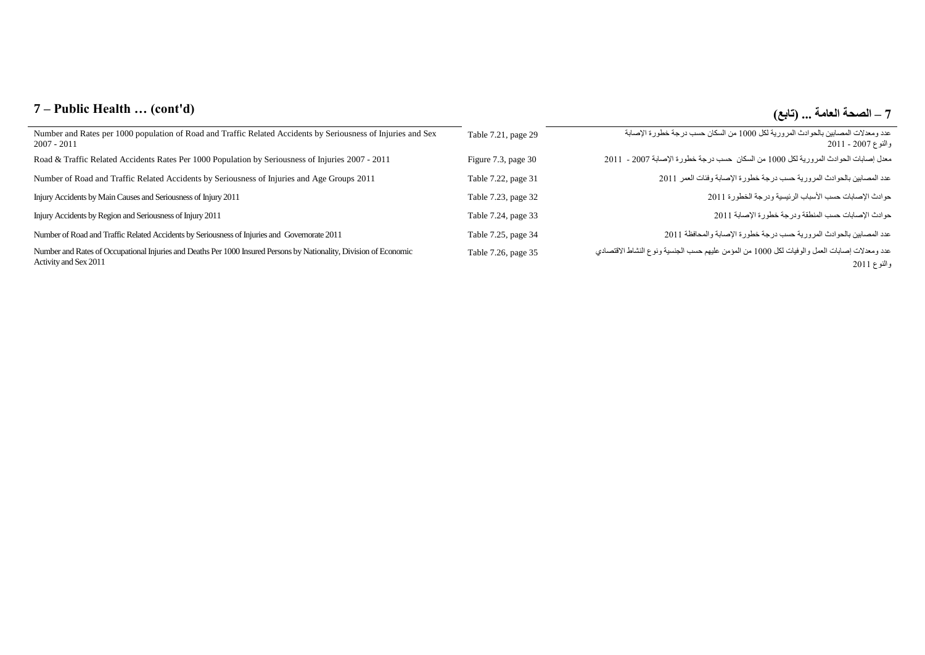## **7 – Public Health … (cont'd) )تابع )... العامة الصحة – 7**

| Number and Rates per 1000 population of Road and Traffic Related Accidents by Seriousness of Injuries and Sex<br>$2007 - 2011$              | Table 7.21, page 29 | عدد ومعدلات المصابين بالحوادث المرورية لكل 1000 من السكان حسب درجة خطورة الإصابة<br>والنوع 2007 - 2011      |
|---------------------------------------------------------------------------------------------------------------------------------------------|---------------------|-------------------------------------------------------------------------------------------------------------|
| Road & Traffic Related Accidents Rates Per 1000 Population by Seriousness of Injuries 2007 - 2011                                           | Figure 7.3, page 30 | معدل إصابات الحوادث المرورية لكل 1000 من السكان حسب درجة خطورة الإصابة 2007 - 2011                          |
| Number of Road and Traffic Related Accidents by Seriousness of Injuries and Age Groups 2011                                                 | Table 7.22, page 31 | عدد المصابين بالحوادث المرورية حسب درجة خطورة الإصابة وفئات العمر 2011                                      |
| Injury Accidents by Main Causes and Seriousness of Injury 2011                                                                              | Table 7.23, page 32 | حوادث الإصابات حسب الأسباب الرئيسية ودرجة الخطورة 2011                                                      |
| Injury Accidents by Region and Seriousness of Injury 2011                                                                                   | Table 7.24, page 33 | حوادث الإصابات حسب المنطقة ودرجة خطورة الإصابة 2011                                                         |
| Number of Road and Traffic Related Accidents by Seriousness of Injuries and Governorate 2011                                                | Table 7.25, page 34 | عدد المصابين بالحوادث المرورية حسب درجة خطورة الإصابة والمحافظة 2011                                        |
| Number and Rates of Occupational Injuries and Deaths Per 1000 Insured Persons by Nationality, Division of Economic<br>Activity and Sex 2011 | Table 7.26, page 35 | عدد ومعدلات إصابات العمل والوفيات لكل 1000 من المؤمن عليهم حسب الجنسية ونوع النشاط الاقتصادي<br>والنوع 2011 |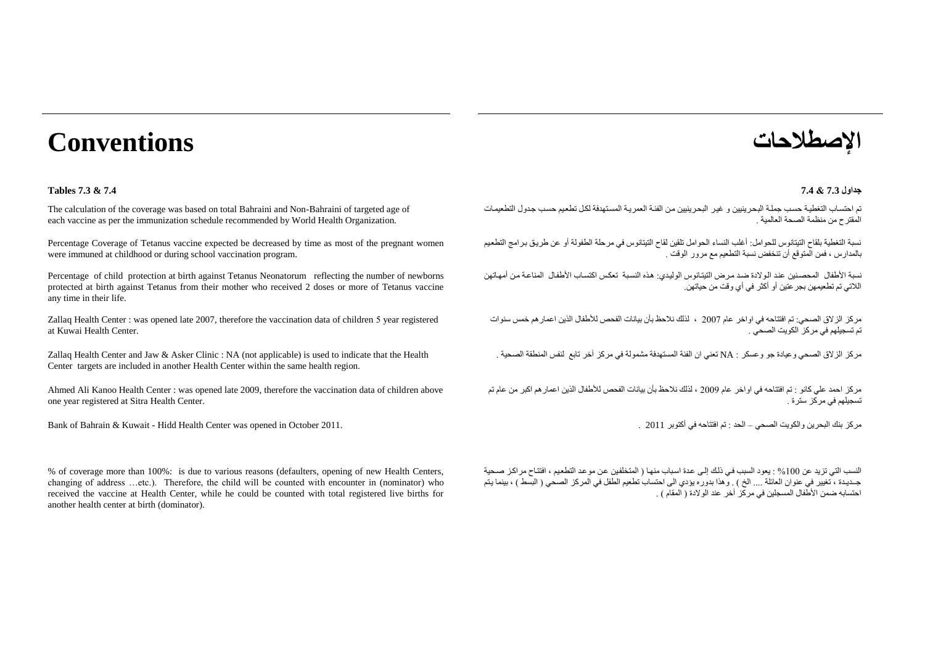# **اإلصطالحات Conventions**

#### **جداول 7.3 & 7.4 7.4 & 7.3 Tables**

The calculation of the coverage was based on total Bahraini and Non-Bahraini of targeted age of each vaccine as per the immunization schedule recommended by World Health Organization.

Percentage Coverage of Tetanus vaccine expected be decreased by time as most of the pregnant women were immuned at childhood or during school vaccination program.

Percentage of child protection at birth against Tetanus Neonatorum reflecting the number of newborns protected at birth against Tetanus from their mother who received 2 doses or more of Tetanus vaccine any time in their life.

Zallaq Health Center : was opened late 2007, therefore the vaccination data of children 5 year registered at Kuwai Health Center.

Zallaq Health Center and Jaw & Asker Clinic : NA (not applicable) is used to indicate that the Health Center targets are included in another Health Center within the same health region.

Ahmed Ali Kanoo Health Center : was opened late 2009, therefore the vaccination data of children above one year registered at Sitra Health Center.

Bank of Bahrain & Kuwait - Hidd Health Center was opened in October 2011. . 2011 أكتوبر في افتتاحه تم : الحد – الصحي والكويت البحرين بنك مركز

% of coverage more than 100%: is due to various reasons (defaulters, opening of new Health Centers, changing of address …etc.). Therefore, the child will be counted with encounter in (nominator) who received the vaccine at Health Center, while he could be counted with total registered live births for another health center at birth (dominator).

تم احتساب التغطية حسب جملة البحر ينيين و غير البحر ينبين من الفئة العمرية المستهدفة لكل تطعيم حسب جدول التطعيمات المقترح من منظمة الصحة العالمية .

نسبة التغطية بلقاح التيتانوس للحوامل: أيلب النساء الحوامل تلقين لقاح التيتانوس في مرحلة الطفولة أو عن طرياق بارامج التطعايم بالمدارس ، فمن المتوقع أن تنخفض نسبة التطعيم مع مرور الوقت .

نسبة الأطفال المحصنين عند الوالادة ضد مرض التيتانوس الوليدي: هذه النسبة تعكس اكتساب الأطفال المناعة من أمهاتهن الالتي تم تطعيمهن بجرعتين أو أكثر في أي وقت من حياتهن.

مركز الزلاق الصحي: تم افتتاحه في اواخر عام 2007 ، لذلك نلاحظ بأن بيانات الفحص للأطفال الذين اعمار هم خمس سنوات تم تسجيلهم في مركز الكويت الصحي .

مر كز الزالاق الصحي و عيادة جو و عسكر : NA تعني ان الفئة المستهدفة مشمولة في مركز آخر تابع النفس المنطقة الصحية

مركز احمد علي كانو : تم افتتاحه في اواخر عام 7002 ، لبلك نالحظ بأن بيانات الفحص لألطفال البين اعمارهم اكبر من عام تم تسجيلهم في مركز سترة .

النسب التي تزيد عن 100% : يعود السبب في ذلك إلى عدة اسباب منها ( المتخلفين عن مو عد التطعيم ، افتتاح مر اكز صحية جــديـدة ، تغيير في عنوان العائلة .... الخ ) . وهذا بدوره يؤدي الى احتساب تطعيم الطفل في المركز الصحي ( البسط ) ، بينما يتم احتسابه ضمن الأطفال المسجلين في مر كز آخر ٍ عند الولادة ( المقام ) .<br>احتسابه ضمن الأطفال المسجلين في مركز آخر ٍ عند الولادة ( المقام ) .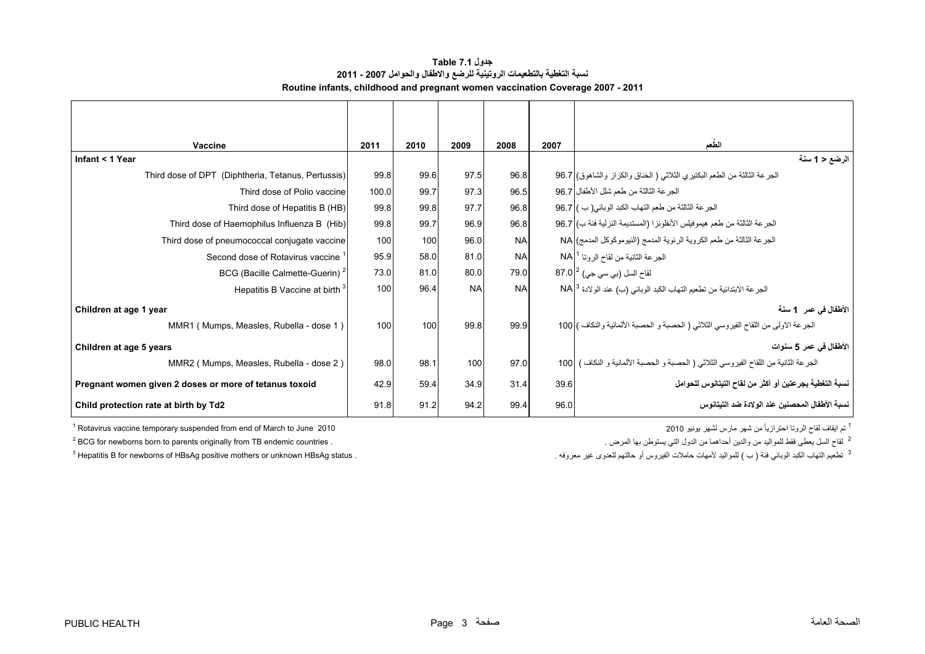<span id="page-3-0"></span>

| Vaccine                                                | 2011  | 2010 | 2009      | 2008      | 2007 | الطعم                                                                                 |
|--------------------------------------------------------|-------|------|-----------|-----------|------|---------------------------------------------------------------------------------------|
| Infant < 1 Year                                        |       |      |           |           |      | الرضع < 1 سنة                                                                         |
| Third dose of DPT (Diphtheria, Tetanus, Pertussis)     | 99.8  | 99.6 | 97.5      | 96.8      |      | الجرعة الثالثة من الطعم البكتيري الثلاثـي ( الخناق والكزاز والشاهوق) 96.7             |
| Third dose of Polio vaccine                            | 100.0 | 99.7 | 97.3      | 96.5      |      | الجرعة الثالثة من طعم شلل الأطفال   96.7                                              |
| Third dose of Hepatitis B (HB)                         | 99.8  | 99.8 | 97.7      | 96.8      |      | الجرعة الثالثة من طعم التهاب الكبد الوبائي( ب ) 96.7                                  |
| Third dose of Haemophilus Influenza B (Hib)            | 99.8  | 99.7 | 96.9      | 96.8      |      | الجرعة الثالثة من طعم هيموفيلس الأنفلونزا (المستديمة النزلية فئة ب) 96.7              |
| Third dose of pneumococcal conjugate vaccine           | 100   | 100  | 96.0      | <b>NA</b> |      | الجرعة الثالثة من طعم الكروية الرئوية المدمج (النيوموكوكل المدمج) NA                  |
| Second dose of Rotavirus vaccine                       | 95.9  | 58.0 | 81.0      | <b>NA</b> |      | الجرعة الثانية من لقاح الروتا 1 NA                                                    |
| BCG (Bacille Calmette-Guerin) <sup>2</sup>             | 73.0  | 81.0 | 80.0      | 79.0      |      | لقاح السل (بي سي جي) <sup>2</sup>   87.0                                              |
| Hepatitis B Vaccine at birth <sup>3</sup>              | 100   | 96.4 | <b>NA</b> | <b>NA</b> |      | الجر عة الابتدائية من تطعيم التهاب الكبد الوبائي (ب) عند الولادة NA 3                 |
| Children at age 1 year                                 |       |      |           |           |      | الأطفال في عمر _1 سنة                                                                 |
| MMR1 (Mumps, Measles, Rubella - dose 1)                | 100   | 100  | 99.8      | 99.9      |      | الجرعة الاولى من اللقاح الفيروسي الثلاثي ( الحصبة و الحصبة الألمانية والنكاف ) 100    |
| Children at age 5 years                                |       |      |           |           |      | الأطفال في عمر 5 سنوات                                                                |
| MMR2 (Mumps, Measles, Rubella - dose 2)                | 98.0  | 98.1 | 100       | 97.0      |      | الجرعة الثانية من اللقاح الفيروسي الثلاثي ( الحصبة و الحصبة الألمانية و النكاف )  100 |
| Pregnant women given 2 doses or more of tetanus toxoid | 42.9  | 59.4 | 34.9      | 31.4      | 39.6 | نسبة التغطية بجرعتين أو أكثر من لقاح التيتانوس للحوامل                                |
| Child protection rate at birth by Td2                  | 91.8  | 91.2 | 94.2      | 99.4      | 96.0 | نسبة الأطفال المحصنين عند الو لادة ضد التبتانوس                                       |

**جدول 7.1 Table نسبة التغطية بالتطعيمات الروتينية للرضع واالطفال والحوامل 2007 - 2011 Routine infants, childhood and pregnant women vaccination Coverage 2007 - 2011**

 $1$  Rotavirus vaccine temporary suspended from end of March to June 2010

<sup>2</sup> BCG for newborns born to parents originally from TB endemic countries .

<sup>1</sup> تم ايقاف لقاح الروتا احترازياً من شهر مارس لشهر يونيو 2010

<sup>2</sup> لقاح السل يعطي فقط للمواليد من والدين أحداهما من الدول التي يستوطن بها المرض <sub>.</sub>

 $3$  Hepatitis B for newborns of HBsAg positive mothers or unknown HBsAg status .

3 تطعيم التھاب الكبد الوبائي فئة ( <sup>ب</sup>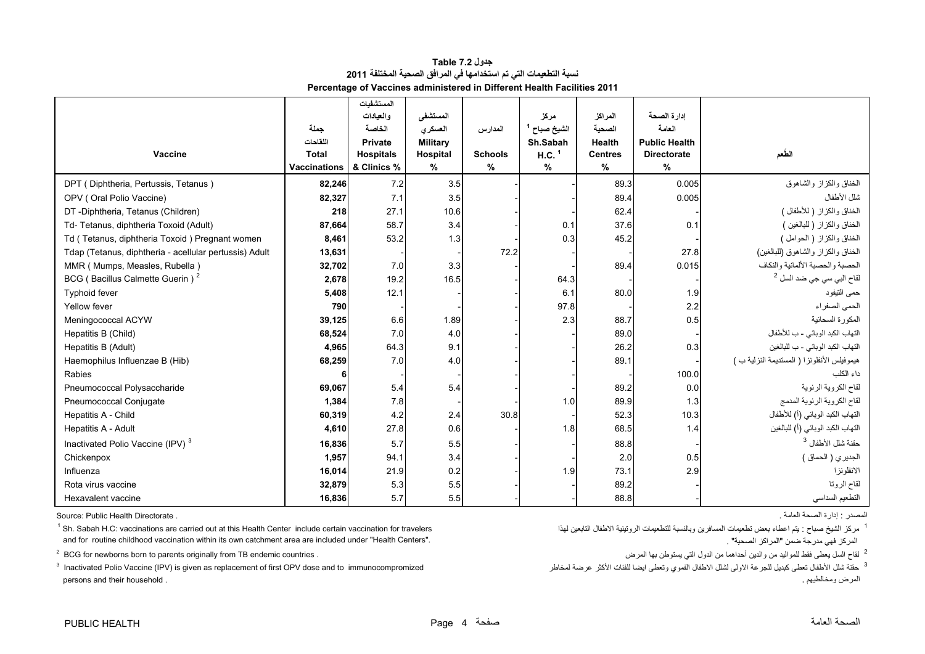| جدول Table 7.2                                                          |
|-------------------------------------------------------------------------|
| نسبة التطعيمات التي تم استخدامها في المرافق الصحية المختلفة 2011        |
| Percentage of Vaccines administered in Different Health Facilities 2011 |

<span id="page-4-0"></span>

|                                                        |                     | المستشفيات       |                 |                |                         |                |                      |                                              |
|--------------------------------------------------------|---------------------|------------------|-----------------|----------------|-------------------------|----------------|----------------------|----------------------------------------------|
|                                                        |                     | والعيادات        | المستشفى        |                | مركز                    | المراكز        | ادارة الصحة          |                                              |
|                                                        | جملة                | الخاصة           | العسكرى         | المدارس        | الشيخ صباح <sup>1</sup> | الصحية         | العامة               |                                              |
|                                                        | اللقاحات            | <b>Private</b>   | <b>Military</b> |                | Sh.Sabah                | <b>Health</b>  | <b>Public Health</b> |                                              |
| Vaccine                                                | <b>Total</b>        | <b>Hospitals</b> | Hospital        | <b>Schools</b> | $H.C.$ <sup>1</sup>     | <b>Centres</b> | <b>Directorate</b>   | الطعم                                        |
|                                                        | <b>Vaccinations</b> | & Clinics %      | %               | $\%$           | $\%$                    | $\%$           | $\%$                 |                                              |
| DPT (Diphtheria, Pertussis, Tetanus)                   | 82,246              | 7.2              | 3.5             |                |                         | 89.3           | 0.005                | الخناق والكزاز والشاهوق                      |
| OPV (Oral Polio Vaccine)                               | 82,327              | 7.1              | 3.5             |                |                         | 89.4           | 0.005                | شلل الأطفال                                  |
| DT-Diphtheria, Tetanus (Children)                      | 218                 | 27.1             | 10.6            |                |                         | 62.4           |                      | الخناق والكزاز (للأطفال)                     |
| Td- Tetanus, diphtheria Toxoid (Adult)                 | 87,664              | 58.7             | 3.4             |                | 0.1                     | 37.6           | 0.1                  | الخناق والكزاز (للبالغين )                   |
| Td (Tetanus, diphtheria Toxoid) Pregnant women         | 8,461               | 53.2             | 1.3             |                | 0.3                     | 45.2           |                      | الخناق والكزاز (الحوامل)                     |
| Tdap (Tetanus, diphtheria - acellular pertussis) Adult | 13,631              |                  |                 | 72.2           |                         |                | 27.8                 | الخناق والكزاز والشاهوق (للبالغين)           |
| MMR (Mumps, Measles, Rubella)                          | 32,702              | 7.0              | 3.3             |                |                         | 89.4           | 0.015                | الحصبة والحصبة الألمانية والنكاف             |
| BCG (Bacillus Calmette Guerin) <sup>2</sup>            | 2,678               | 19.2             | 16.5            |                | 64.3                    |                |                      | لقاح الب <i>ي</i> سي جي ضد السل <sup>2</sup> |
| <b>Typhoid fever</b>                                   | 5,408               | 12.1             |                 |                | 6.1                     | 80.0           | 1.9                  | حمى التيفود                                  |
| Yellow fever                                           | 790                 |                  |                 |                | 97.8                    |                | 2.2                  | الحمى الصفراء                                |
| Meningococcal ACYW                                     | 39,125              | 6.6              | 1.89            |                | 2.3                     | 88.7           | 0.5                  | المكورة السحائية                             |
| Hepatitis B (Child)                                    | 68,524              | 7.0              | 4.0             |                |                         | 89.0           |                      | التهاب الكبد الوبائي - ب للأطفال             |
| Hepatitis B (Adult)                                    | 4,965               | 64.3             | 9.1             |                |                         | 26.2           | 0.3                  | التهاب الكبد الوبائي - ب للبالغين            |
| Haemophilus Influenzae B (Hib)                         | 68,259              | 7.0              | 4.0             |                |                         | 89.1           |                      | هيموفيلس الأنفلونزا ( المستديمة النزلية ب )  |
| Rabies                                                 |                     |                  |                 |                |                         |                | 100.0                | داء الكلب                                    |
| Pneumococcal Polysaccharide                            | 69,067              | 5.4              | 5.4             |                |                         | 89.2           | 0.0                  | لقاح الكروية الرئوية                         |
| Pneumococcal Conjugate                                 | 1,384               | 7.8              |                 |                | 1.0                     | 89.9           | 1.3                  | لقاح الكروية الرئوية المدمج                  |
| Hepatitis A - Child                                    | 60,319              | 4.2              | 2.4             | 30.8           |                         | 52.3           | 10.3                 | التهاب الكبد الوبائي (أ) للأطفال             |
| Hepatitis A - Adult                                    | 4,610               | 27.8             | 0.6             |                | 1.8                     | 68.5           | 1.4                  | التهاب الكبد الوبائي (أ) للبالغين            |
| Inactivated Polio Vaccine (IPV) <sup>3</sup>           | 16,836              | 5.7              | 5.5             |                |                         | 88.8           |                      | حقنة شلل الأطفال <sup>3</sup>                |
| Chickenpox                                             | 1,957               | 94.1             | 3.4             |                |                         | 2.0            | 0.5                  | الجديري ( الحماق )                           |
| Influenza                                              | 16,014              | 21.9             | 0.2             |                | 1.9                     | 73.1           | 2.9                  | الانفلونزا                                   |
| Rota virus vaccine                                     | 32,879              | 5.3              | 5.5             |                |                         | 89.2           |                      | لقاح الروتا                                  |
| Hexavalent vaccine                                     | 16,836              | 5.7              | 5.5             |                |                         | 88.8           |                      | التطعيم السداسي                              |

المصدر : إدارة الصحة العامة . . Directorate Health Public :Source

<sup>1</sup> مركز الشيخ صباح : يتم اعطاء بعض تطعيمات المسافرين وبالنسبة للتطعيمات الروتينية الاطفال التابعين الميافا التابعين المشافرين وبالنسبة للتطعيمات الروتينية الاطفال التابعين المسافرين وبالنسبة للتطعيمات المروتينية الاطفال and for routine childhood vaccination within its own catchment area are included under "Health Centers".

<sup>2</sup> BCG for newborns born to parents originally from TB endemic countries .

 $3$  Inactivated Polio Vaccine (IPV) is given as replacement of first OPV dose and to immunocompromized persons and their household . . ومخالطيھم المرض

المركز فهي مدرجة ضمن "المراكز الصحية" .

<sup>2</sup> لقاح السل يعطى فقط للمواليد من والدين أحداهما من الدول التي يستوطن بها المرض

حقنة  $^3$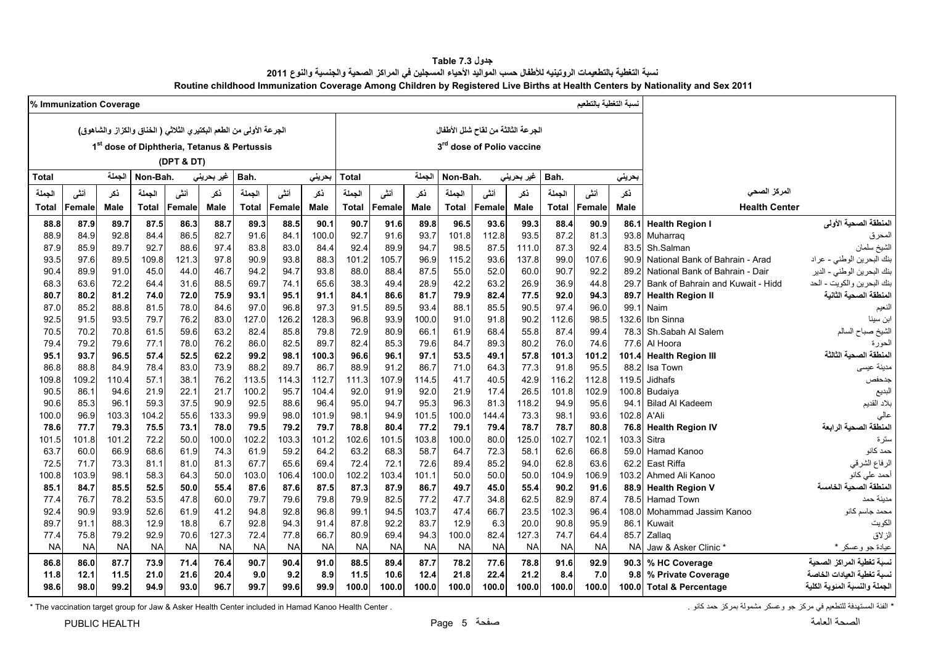| جدول Table 7.3                                                                                                                 |
|--------------------------------------------------------------------------------------------------------------------------------|
| نسبة التغطية بالتطعيمات الروتينيه للأطفال حسب المواليد الأحياء المسجلين في المراكز الصحية والجنسية والنوع 2011                 |
| Routine childhood Immunization Coverage Among Children by Registered Live Births at Health Centers by Nationality and Sex 2011 |

<span id="page-5-0"></span>

|               | % Immunization Coverage |               |              |               |                                                                     |               |               |               |               |               |               |               |              |                                       |               | لسبة التغطية بالتطعيم |             |                                   |                                |
|---------------|-------------------------|---------------|--------------|---------------|---------------------------------------------------------------------|---------------|---------------|---------------|---------------|---------------|---------------|---------------|--------------|---------------------------------------|---------------|-----------------------|-------------|-----------------------------------|--------------------------------|
|               |                         |               |              |               | الجرعة الأولى من الطعم البكتير ي الثلاثي ( الخناق والكزاز والشاهوق) |               |               |               |               |               |               |               |              | الجرعة الثالثة من لقاح شلل الأطفال    |               |                       |             |                                   |                                |
|               |                         |               |              |               | 1 <sup>st</sup> dose of Diphtheria, Tetanus & Pertussis             |               |               |               |               |               |               |               |              | 3 <sup>rd</sup> dose of Polio vaccine |               |                       |             |                                   |                                |
|               |                         |               |              | (DPT & DT)    |                                                                     |               |               |               |               |               |               |               |              |                                       |               |                       |             |                                   |                                |
|               |                         |               |              |               |                                                                     |               |               |               |               |               |               |               |              |                                       |               |                       |             |                                   |                                |
| <b>Total</b>  |                         | الجملة        | Non-Bah.     |               | غیر بحرین <i>ی</i>                                                  | Bah.          |               | بحرينى        | Total         |               | الجملة        | Non-Bah.      |              | غیر بحرین <i>ی</i>                    | Bah.          |                       | بحرينى      |                                   |                                |
| الجملة        | أنشى                    | ذكر           | الجملة       | أننى          | ذكر                                                                 | الجملة        | أننى          | نكر           | الجملة        | أنشى          | ذكر           | الجملة        | أننى         | نكر                                   | الجملة        | أننس                  | ذكر         | المركز الصحى                      |                                |
| Total         | <b>Female</b>           | Male          | Total        | <b>Female</b> | Male                                                                | <b>Total</b>  | Female        | Male          | Total         | Female        | Male          | Total         | Female       | Male                                  | <b>Total</b>  | Female                | Male        | <b>Health Center</b>              |                                |
| 88.8          | 87.9                    | 89.7          | 87.5         | 86.3          | 88.7                                                                | 89.3          | 88.5          | 90.1          | 90.7          | 91.6          | 89.8          | 96.5          | 93.6         | 99.3                                  | 88.4          | 90.9                  | 86.1        | <b>Health Region I</b>            | المنطقة الصحية الأولى          |
| 88.9          | 84.9                    | 92.8          | 84.4         | 86.5          | 82.7                                                                | 91.6          | 84.1          | 100.0         | 92.7          | 91.6          | 93.7          | 101.8         | 112.8        | 93.5                                  | 87.2          | 81.3                  | 93.8        | Muharrag                          | المحرق                         |
| 87.9          | 85.9                    | 89.7          | 92.7         | 88.6          | 97.4                                                                | 83.8          | 83.0          | 84.4          | 92.4          | 89.9          | 94.7          | 98.5          | 87.5         | 111.0                                 | 87.3          | 92.4                  | 83.5        | Sh.Salman                         | الشيخ سلمان                    |
| 93.5          | 97.6                    | 89.5          | 109.8        | 121.3         | 97.8                                                                | 90.9          | 93.8          | 88.3          | 101.2         | 105.7         | 96.9          | 115.2         | 93.6         | 137.8                                 | 99.0          | 107.6                 | 90.9        | National Bank of Bahrain - Arad   | .<br>بنك البحرين الوطني - عراد |
| 90.4          | 89.9                    | 91.0          | 45.0         | 44.0          | 46.7                                                                | 94.2          | 94.7          | 93.8          | 88.0          | 88.4          | 87.5          | 55.0          | 52.0         | 60.0                                  | 90.7          | 92.2                  | 89.2        | National Bank of Bahrain - Dair   | بنك البحرين الوطني - الدير     |
| 68.3          | 63.6                    | 72.2          | 64.4         | 31.6          | 88.5                                                                | 69.7          | 74.1          | 65.6          | 38.3          | 49.4          | 28.9          | 42.2          | 63.2         | 26.9                                  | 36.9          | 44.8                  | 29.7        | Bank of Bahrain and Kuwait - Hidd | بنك البحرين والكويت - الحد     |
| 80.7          | 80.2                    | 81.2          | 74.0         | 72.0          | 75.9                                                                | 93.1          | 95.1          | 91.1          | 84.1          | 86.6          | 81.7          | 79.9          | 82.4         | 77.5                                  | 92.0          | 94.3                  | 89.7        | <b>Health Region II</b>           | المنطقة الصحية الثانية         |
| 87.0          | 85.2                    | 88.8          | 81.5         | 78.0          | 84.6                                                                | 97.0          | 96.8          | 97.3          | 91.5          | 89.5          | 93.4          | 88.1          | 85.5         | 90.5                                  | 97.4          | 96.0                  | 99.1        | Naim                              | النعيم                         |
| 92.5          | 91.5                    | 93.5          | 79.7         | 76.2          | 83.0                                                                | 127.0         | 126.2         | 128.3         | 96.8          | 93.9          | 100.0         | 91.0          | 91.8         | 90.2                                  | 112.6         | 98.5                  | 132.6       | Ibn Sinna                         | ابن سينا                       |
| 70.5          | 70.2                    | 70.8          | 61.5         | 59.6          | 63.2                                                                | 82.4          | 85.8          | 79.8          | 72.9          | 80.9          | 66.1          | 61.9          | 68.4         | 55.8                                  | 87.4          | 99.4                  | 78.3        | Sh.Sabah Al Salem                 | الشيخ صباح السالم              |
| 79.4          | 79.2                    | 79.6          | 77.1         | 78.0          | 76.2                                                                | 86.0          | 82.5          | 89.7          | 82.4          | 85.3          | 79.6          | 84.7          | 89.3         | 80.2                                  | 76.0          | 74.6                  | 77.6        | Al Hoora                          |                                |
| 95.1          | 93.7                    | 96.5          | 57.4         | 52.5          | 62.2                                                                | 99.2          | 98.1          | 100.3         | 96.6          | 96.1          | 97.1          | 53.5          | 49.1         | 57.8                                  | 101.3         | 101.2                 | 101.4       | <b>Health Region III</b>          | المنطقة الصحية الثالثة         |
| 86.8          | 88.8                    | 84.9          | 78.4         | 83.0          | 73.9                                                                | 88.2          | 89.7          | 86.7          | 88.9          | 91.2          | 86.7          | 71.0          | 64.3         | 77.3                                  | 91.8          | 95.5                  | 88.2        | Isa Town                          | مدينة عيسى                     |
| 109.8         | 109.2                   | 110.4         | 57.1         | 38.1          | 76.2                                                                | 113.5         | 114.3         | 112.7         | 111.3         | 107.9         | 114.5         | 41.7          | 40.5         | 42.9                                  | 116.2         | 112.8                 | 119.5       | Jidhafs                           | جدحفص                          |
| 90.5          | 86.1                    | 94.6          | 21.9         | 22.1          | 21.7                                                                | 100.2         | 95.7          | 104.4         | 92.0          | 91.9          | 92.0          | 21.9          | 17.4         | 26.5                                  | 101.8         | 102.9                 | 100.8       | Budaiya                           | البديع                         |
| 90.6          | 85.3                    | 96.1          | 59.3         | 37.5          | 90.9                                                                | 92.5          | 88.6          | 96.4          | 95.0          | 94.7          | 95.3          | 96.3          | 81.3         | 118.2                                 | 94.9          | 95.6                  | 94.1        | <b>Bilad Al Kadeem</b>            | بلاد القديم                    |
| 100.0         | 96.9                    | 103.3         | 104.2        | 55.6          | 133.3                                                               | 99.9          | 98.0          | 101.9         | 98.1          | 94.9          | 101.5         | 100.0         | 144.4        | 73.3                                  | 98.1          | 93.6                  | 102.8 A'Ali |                                   | المنطقة الصحية الرابعة         |
| 78.6<br>101.5 | 77.7<br>101.8           | 79.3<br>101.2 | 75.5<br>72.2 | 73.1<br>50.0  | 78.0<br>100.0                                                       | 79.5<br>102.2 | 79.2<br>103.3 | 79.7<br>101.2 | 78.8<br>102.6 | 80.4<br>101.5 | 77.2<br>103.8 | 79.1<br>100.0 | 79.4<br>80.0 | 78.7<br>125.0                         | 78.7<br>102.7 | 80.8<br>102.1         | 103.3       | 76.8 Health Region IV<br>Sitra    |                                |
| 63.7          | 60.0                    | 66.9          | 68.6         | 61.9          | 74.3                                                                | 61.9          | 59.2          | 64.2          | 63.2          | 68.3          | 58.7          | 64.7          | 72.3         | 58.1                                  | 62.6          | 66.8                  | 59.0        | Hamad Kanoo                       | ستر ۃ<br>حمد کانو              |
| 72.5          | 71.7                    | 73.3          | 81.1         | 81.0          | 81.3                                                                | 67.7          | 65.6          | 69.4          | 72.4          | 72.1          | 72.6          | 89.4          | 85.2         | 94.0                                  | 62.8          | 63.6                  | 62.2        | East Riffa                        | الرفاع الشرقي                  |
| 100.8         | 103.9                   | 98.1          | 58.3         | 64.3          | 50.0                                                                | 103.0         | 106.4         | 100.0         | 102.2         | 103.4         | 101.1         | 50.0          | 50.0         | 50.0                                  | 104.9         | 106.9                 | 103.2       | Ahmed Ali Kanoo                   | أحمد على كانو                  |
| 85.1          | 84.7                    | 85.5          | 52.5         | 50.0          | 55.4                                                                | 87.6          | 87.6          | 87.5          | 87.3          | 87.9          | 86.7          | 49.7          | 45.0         | 55.4                                  | 90.2          | 91.6                  | 88.9        | <b>Health Region V</b>            | المنطقة الصحية الخامسة         |
| 77.4          | 76.7                    | 78.2          | 53.5         | 47.8          | 60.0                                                                | 79.7          | 79.6          | 79.8          | 79.9          | 82.5          | 77.2          | 47.7          | 34.8         | 62.5                                  | 82.9          | 87.4                  | 78.5        | <b>Hamad Town</b>                 | مدينة حمد                      |
| 92.4          | 90.9                    | 93.9          | 52.6         | 61.9          | 41.2                                                                | 94.8          | 92.8          | 96.8          | 99.1          | 94.5          | 103.7         | 47.4          | 66.7         | 23.5                                  | 102.3         | 96.4                  | 108.0       | Mohammad Jassim Kanoo             | محمد جاسم کانو                 |
| 89.7          | 91.1                    | 88.3          | 12.9         | 18.8          | 6.7                                                                 | 92.8          | 94.3          | 91.4          | 87.8          | 92.2          | 83.7          | 12.9          | 6.3          | 20.0                                  | 90.8          | 95.9                  | 86.1        | Kuwait                            | الكويت                         |
| 77.4          | 75.8                    | 79.2          | 92.9         | 70.6          | 127.3                                                               | 72.4          | 77.8          | 66.7          | 80.9          | 69.4          | 94.3          | 100.0         | 82.4         | 127.3                                 | 74.7          | 64.4                  | 85.7        | Zallaq                            | الزلاق                         |
| <b>NA</b>     | <b>NA</b>               | <b>NA</b>     | <b>NA</b>    | <b>NA</b>     | <b>NA</b>                                                           | <b>NA</b>     | <b>NA</b>     | <b>NA</b>     | <b>NA</b>     | <b>NA</b>     | <b>NA</b>     | <b>NA</b>     | <b>NA</b>    | <b>NA</b>                             | <b>NA</b>     | <b>NA</b>             | <b>NA</b>   | Jaw & Asker Clinic                | عيادة جو وعسكر *               |
| 86.8          | 86.0                    | 87.7          | 73.9         | 71.4          | 76.4                                                                | 90.7          | 90.4          | 91.0          | 88.5          | 89.4          | 87.7          | 78.2          | 77.6         | 78.8                                  | 91.6          | 92.9                  | 90.3        | % HC Coverage                     | نسبة تغطية المراكز الصحية      |
| 11.8          | 12.1                    | 11.5          | 21.0         | 21.6          | 20.4                                                                | 9.0           | 9.2           | 8.9           | 11.5          | 10.6          | 12.4          | 21.8          | 22.4         | 21.2                                  | 8.4           | 7.0                   | 9.8         | % Private Coverage                | نسبة تغطية العيادات الخاصة     |
| 98.6          | 98.0                    | 99.2          | 94.9         | 93.0          | 96.7                                                                | 99.7          | 99.6          | 99.9          | 100.0         | 100.0         | 100.0         | 100.0         | 100.0        | 100.0                                 | 100.0         | 100.0                 |             | 100.0 Total & Percentage          | الجملة و النسبة المئوية الكلية |
|               |                         |               |              |               |                                                                     |               |               |               |               |               |               |               |              |                                       |               |                       |             |                                   |                                |

\* الغنة المستهدفة للتطعيم في مركز جو وعسكر مشمولة بمركز حمد كانو . The vaccination target group for Jaw & Asker Health Center included in Hamad Kanoo Health Center .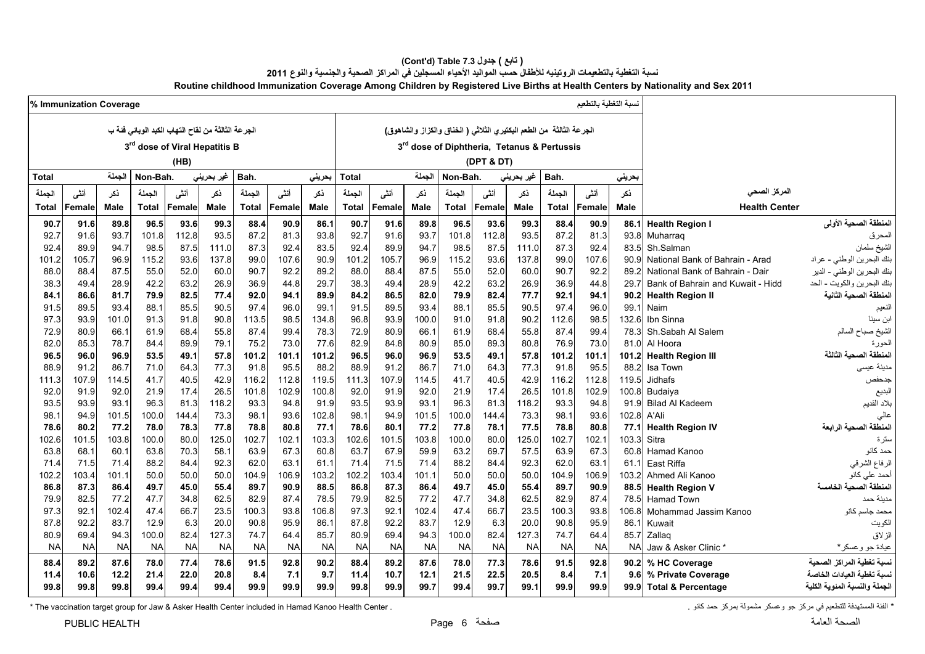#### **(Cont'd) Table 7.3 جدول ) تابع( نسبة التغطية بالتطعيمات الروتينيه لألطفال حسب المواليد األحياء المسجلين في المراكز الصحية والجنسية والنوع <sup>2011</sup> Routine childhood Immunization Coverage Among Children by Registered Live Births at Health Centers by Nationality and Sex 2011**

|           | % Immunization Coverage |           |                                                   |           |            |              |           |           |              |           |           |              |                                                                       |            |           | نسبة التغطية بالتطعيم |           |                                   |                                 |
|-----------|-------------------------|-----------|---------------------------------------------------|-----------|------------|--------------|-----------|-----------|--------------|-----------|-----------|--------------|-----------------------------------------------------------------------|------------|-----------|-----------------------|-----------|-----------------------------------|---------------------------------|
|           |                         |           | الجرعة الثالثة من لقاح التهاب الكبد الوبائي فئة ب |           |            |              |           |           |              |           |           |              | الجرعة الثالثة  من الطعم البكتير ي الثلاثي ( الخناق والكزاز والشاهوق) |            |           |                       |           |                                   |                                 |
|           |                         |           |                                                   |           |            |              |           |           |              |           |           |              |                                                                       |            |           |                       |           |                                   |                                 |
|           |                         |           | 3rd dose of Viral Hepatitis B                     |           |            |              |           |           |              |           |           |              | 3rd dose of Diphtheria, Tetanus & Pertussis                           |            |           |                       |           |                                   |                                 |
|           |                         |           |                                                   | (HB)      |            |              |           |           |              |           |           |              | (DPT & DT)                                                            |            |           |                       |           |                                   |                                 |
| Total     |                         | الجملة    | Non-Bah.                                          |           | غير بحريني | Bah.         |           | بحرينى    | <b>Total</b> |           | الجملة    | Non-Bah.     |                                                                       | غير بحريني | Bah.      |                       | بحرينى    |                                   |                                 |
| الحملة    | أنشى                    | نكر       | الجملة                                            | أننى      | ذكر        | الجملة       | أننس      | ذكر       | الجملة       | أنشى      | نكر       | الجملة       | أننى                                                                  | نكر        | الجملة    | أننسى                 | نكر       | المركز الصحى                      |                                 |
| Total     | Female                  | Male      | Total                                             | Female    | Male       | <b>Total</b> | Female    | Male      | Total        | Female    | Male      | <b>Total</b> | Female                                                                | Male       | Total     | Female                | Male      | <b>Health Center</b>              |                                 |
| 90.7      | 91.6                    | 89.8      | 96.5                                              | 93.6      | 99.3       | 88.4         | 90.9      | 86.1      | 90.7         | 91.6      | 89.8      | 96.5         | 93.6                                                                  | 99.3       | 88.4      | 90.9                  | 86.1      | <b>Health Region I</b>            | المنطقة الصحية الأولى           |
| 92.7      | 91.6                    | 93.7      | 101.8                                             | 112.8     | 93.5       | 87.2         | 81.3      | 93.8      | 92.7         | 91.6      | 93.7      | 101.8        | 112.8                                                                 | 93.5       | 87.2      | 81.3                  | 93.8      | Muharrag                          | المحرق                          |
| 92.4      | 89.9                    | 94.7      | 98.5                                              | 87.5      | 111.0      | 87.3         | 92.4      | 83.5      | 92.4         | 89.9      | 94.7      | 98.5         | 87.5                                                                  | 111.0      | 87.3      | 92.4                  | 83.5      | Sh.Salman                         | ا<br>الشيخ سلمان                |
| 101.2     | 105.7                   | 96.9      | 115.2                                             | 93.6      | 137.8      | 99.0         | 107.6     | 90.9      | 101.2        | 105.7     | 96.9      | 115.2        | 93.6                                                                  | 137.8      | 99.0      | 107.6                 | 90.9      | National Bank of Bahrain - Arad   | بنك البحرين الوطني - عراد       |
| 88.0      | 88.4                    | 87.5      | 55.0                                              | 52.0      | 60.0       | 90.7         | 92.2      | 89.2      | 88.0         | 88.4      | 87.5      | 55.0         | 52.0                                                                  | 60.0       | 90.7      | 92.2                  | 89.2      | National Bank of Bahrain - Dair   | .<br>بنك البحرين الوطني - الدير |
| 38.3      | 49.4                    | 28.9      | 42.2                                              | 63.2      | 26.9       | 36.9         | 44.8      | 29.7      | 38.3         | 49.4      | 28.9      | 42.2         | 63.2                                                                  | 26.9       | 36.9      | 44.8                  | 29.7      | Bank of Bahrain and Kuwait - Hidd | بنك البحرين والكويت - الحد      |
| 84.1      | 86.6                    | 81.7      | 79.9                                              | 82.5      | 77.4       | 92.0         | 94.1      | 89.9      | 84.2         | 86.5      | 82.0      | 79.9         | 82.4                                                                  | 77.7       | 92.1      | 94.1                  | 90.2      | <b>Health Region II</b>           | المنطقة الصحبة الثانية          |
| 91.5      | 89.5                    | 93.4      | 88.1                                              | 85.5      | 90.5       | 97.4         | 96.0      | 99.1      | 91.5         | 89.5      | 93.4      | 88.1         | 85.5                                                                  | 90.5       | 97.4      | 96.0                  | 99.1      | Naim                              | النعيم                          |
| 97.3      | 93.9                    | 101.0     | 91.3                                              | 91.8      | 90.8       | 113.5        | 98.5      | 134.8     | 96.8         | 93.9      | 100.0     | 91.0         | 91.8                                                                  | 90.2       | 112.6     | 98.5                  | 132.6     | Ibn Sinna                         | ابن سينا                        |
| 72.9      | 80.9                    | 66.1      | 61.9                                              | 68.4      | 55.8       | 87.4         | 99.4      | 78.3      | 72.9         | 80.9      | 66.1      | 61.9         | 68.4                                                                  | 55.8       | 87.4      | 99.4                  | 78.3      | Sh.Sabah Al Salem                 | الشيخ صباح السالم               |
| 82.0      | 85.3                    | 78.7      | 84.4                                              | 89.9      | 79.1       | 75.2         | 73.0      | 77.6      | 82.9         | 84.8      | 80.9      | 85.0         | 89.3                                                                  | 80.8       | 76.9      | 73.0                  | 81.0      | Al Hoora                          | الحورة                          |
| 96.5      | 96.0                    | 96.9      | 53.5                                              | 49.1      | 57.8       | 101.2        | 101.1     | 101.2     | 96.5         | 96.0      | 96.9      | 53.5         | 49.1                                                                  | 57.8       | 101.2     | 101.1                 | 101.2     | <b>Health Region III</b>          | المنطقة الصحية الثالثة          |
| 88.9      | 91.2                    | 86.7      | 71.0                                              | 64.3      | 77.3       | 91.8         | 95.5      | 88.2      | 88.9         | 91.2      | 86.7      | 71.0         | 64.3                                                                  | 77.3       | 91.8      | 95.5                  | 88.2      | Isa Town                          | مدينة عيسى                      |
| 111.3     | 107.9                   | 114.5     | 41.7                                              | 40.5      | 42.9       | 116.2        | 112.8     | 119.5     | 111.3        | 107.9     | 114.5     | 41.7         | 40.5                                                                  | 42.9       | 116.2     | 112.8                 | 119.5     | Jidhafs                           | جدحفص                           |
| 92.0      | 91.9                    | 92.0      | 21.9                                              | 17.4      | 26.5       | 101.8        | 102.9     | 100.8     | 92.0         | 91.9      | 92.0      | 21.9         | 17.4                                                                  | 26.5       | 101.8     | 102.9                 | 100.8     | Budaiya                           | البديع                          |
| 93.5      | 93.9                    | 93.1      | 96.3                                              | 81.3      | 118.2      | 93.3         | 94.8      | 91.9      | 93.5         | 93.9      | 93.1      | 96.3         | 81.3                                                                  | 118.2      | 93.3      | 94.8                  | 91.9      | <b>Bilad Al Kadeem</b>            | بلاد القديم                     |
| 98.1      | 94.9                    | 101.5     | 100.0                                             | 144.4     | 73.3       | 98.1         | 93.6      | 102.8     | 98.1         | 94.9      | 101.5     | 100.0        | 144.4                                                                 | 73.3       | 98.1      | 93.6                  | 102.8     | A'Ali                             | عالى                            |
| 78.6      | 80.2                    | 77.2      | 78.0                                              | 78.3      | 77.8       | 78.8         | 80.8      | 77.1      | 78.6         | 80.1      | 77.2      | 77.8         | 78.1                                                                  | 77.5       | 78.8      | 80.8                  |           | 77.1 Health Region IV             | المنطقة الصحية الرابعة          |
| 102.6     | 101.5                   | 103.8     | 100.0                                             | 80.0      | 125.0      | 102.7        | 102.1     | 103.3     | 102.6        | 101.5     | 103.8     | 100.0        | 80.0                                                                  | 125.0      | 102.7     | 102.1                 | 103.3     | Sitra                             | سترة                            |
| 63.8      | 68.1                    | 60.1      | 63.8                                              | 70.3      | 58.1       | 63.9         | 67.3      | 60.8      | 63.7         | 67.9      | 59.9      | 63.2         | 69.7                                                                  | 57.5       | 63.9      | 67.3                  | 60.8      | Hamad Kanoo                       | حمد کانو                        |
| 71.4      | 71.5                    | 71.4      | 88.2                                              | 84.4      | 92.3       | 62.0         | 63.1      | 61.1      | 71.4         | 71.5      | 71.4      | 88.2         | 84.4                                                                  | 92.3       | 62.0      | 63.1                  | 61.1      | East Riffa                        | الرفاع الشرقي                   |
| 102.2     | 103.4                   | 101.1     | 50.0                                              | 50.0      | 50.0       | 104.9        | 106.9     | 103.2     | 102.2        | 103.4     | 101.1     | 50.0         | 50.0                                                                  | 50.0       | 104.9     | 106.9                 | 103.2     | Ahmed Ali Kanoo                   | أحمد على كانو                   |
| 86.8      | 87.3                    | 86.4      | 49.7                                              | 45.0      | 55.4       | 89.7         | 90.9      | 88.5      | 86.8         | 87.3      | 86.4      | 49.7         | 45.0                                                                  | 55.4       | 89.7      | 90.9                  |           | 88.5 Health Region V              | المنطقة الصحبة الخامسة          |
| 79.9      | 82.5                    | 77.2      | 47.7                                              | 34.8      | 62.5       | 82.9         | 87.4      | 78.5      | 79.9         | 82.5      | 77.2      | 47.7         | 34.8                                                                  | 62.5       | 82.9      | 87.4                  | 78.5      | <b>Hamad Town</b>                 | مدينة حمد                       |
| 97.3      | 92.1                    | 102.4     | 47.4                                              | 66.7      | 23.5       | 100.3        | 93.8      | 106.8     | 97.3         | 92.1      | 102.4     | 47.4         | 66.7                                                                  | 23.5       | 100.3     | 93.8                  | 106.8     | Mohammad Jassim Kanoo             | محمد جاسم کانو                  |
| 87.8      | 92.2                    | 83.7      | 12.9                                              | 6.3       | 20.0       | 90.8         | 95.9      | 86.1      | 87.8         | 92.2      | 83.7      | 12.9         | 6.3                                                                   | 20.0       | 90.8      | 95.9                  | 86.1      | Kuwait                            | الكويت                          |
| 80.9      | 69.4                    | 94.3      | 100.0                                             | 82.4      | 127.3      | 74.7         | 64.4      | 85.7      | 80.9         | 69.4      | 94.3      | 100.0        | 82.4                                                                  | 127.3      | 74.7      | 64.4                  | 85.7      | Zallaq                            | الزلاق                          |
| <b>NA</b> | <b>NA</b>               | <b>NA</b> | <b>NA</b>                                         | <b>NA</b> | <b>NA</b>  | <b>NA</b>    | <b>NA</b> | <b>NA</b> | <b>NA</b>    | <b>NA</b> | <b>NA</b> | <b>NA</b>    | <b>NA</b>                                                             | <b>NA</b>  | <b>NA</b> | <b>NA</b>             | <b>NA</b> | Jaw & Asker Clinic *              | عيادة جو وعسكر *                |
| 88.4      | 89.2                    | 87.6      | 78.0                                              | 77.4      | 78.6       | 91.5         | 92.8      | 90.2      | 88.4         | 89.2      | 87.6      | 78.0         | 77.3                                                                  | 78.6       | 91.5      | 92.8                  |           | 90.2 % HC Coverage                | لسبة تغطية المراكز الصحية       |
| 11.4      | 10.6                    | 12.2      | 21.4                                              | 22.0      | 20.8       | 8.4          | 7.1       | 9.7       | 11.4         | 10.7      | 12.1      | 21.5         | 22.5                                                                  | 20.5       | 8.4       | 7.1                   | 9.6       | % Private Coverage                | نسبة تغطية العيادات الخاصة      |
| 99.8      | 99.8                    | 99.8      | 99.4                                              | 99.4      | 99.4       | 99.9         | 99.9      | 99.9      | 99.8         | 99.9      | 99.7      | 99.4         | 99.7                                                                  | 99.1       | 99.9      | 99.9                  |           | 99.9 Total & Percentage           | الجملة والنسبة المئوية الكلية   |

\* The vaccination target group for Jaw & Asker Health Center included in Hamad Kanoo Health Center . . كانو حمد بمركز مشمولة وعسكر جو مركز في للتطعيم المستھدفة الفئة\*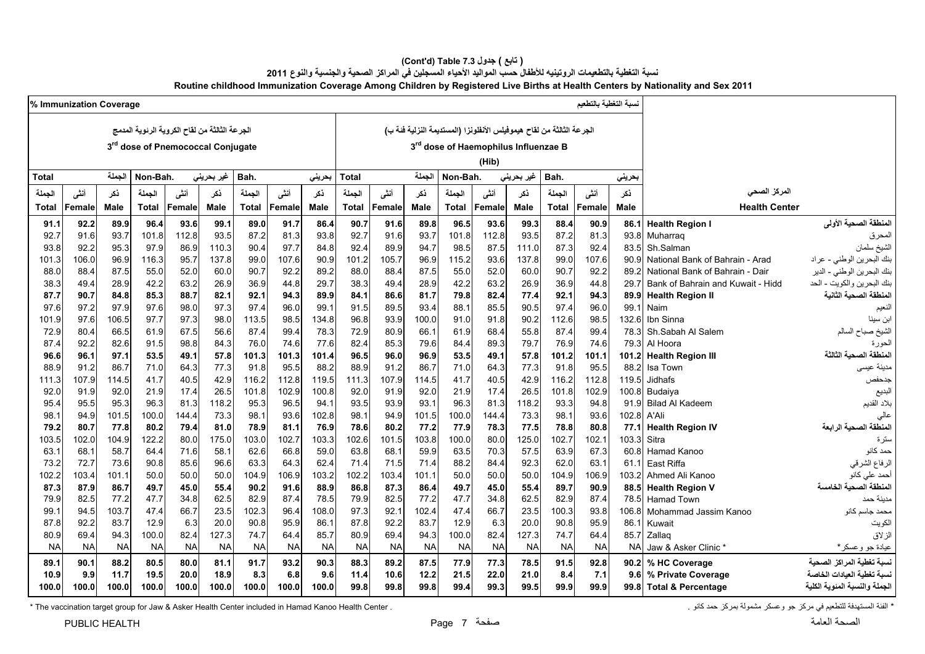#### **(Cont'd) Table 7.3 جدول ) تابع( نسبة التغطية بالتطعيمات الروتينيه لألطفال حسب المواليد األحياء المسجلين في المراكز الصحية والجنسية والنوع <sup>2011</sup> Routine childhood Immunization Coverage Among Children by Registered Live Births at Health Centers by Nationality and Sex 2011**

|              | % Immunization Coverage |               |              |              |                                               |              |              |              |              |              |              |              |                                                                      |              |               | نسبة التغطية بالتطعيم |              |                                                  |                               |
|--------------|-------------------------|---------------|--------------|--------------|-----------------------------------------------|--------------|--------------|--------------|--------------|--------------|--------------|--------------|----------------------------------------------------------------------|--------------|---------------|-----------------------|--------------|--------------------------------------------------|-------------------------------|
|              |                         |               |              |              | الجرعة الثالثة من لقاح الكروية الرئوية المدمج |              |              |              |              |              |              |              | الجرعة الثالثة من لقاح هيموفيلس الأنفلونزا (المستديمة النزلية فئة ب) |              |               |                       |              |                                                  |                               |
|              |                         |               |              |              | 3rd dose of Pnemococcal Conjugate             |              |              |              |              |              |              |              | 3rd dose of Haemophilus Influenzae B                                 |              |               |                       |              |                                                  |                               |
|              |                         |               |              |              |                                               |              |              |              |              |              |              |              |                                                                      |              |               |                       |              |                                                  |                               |
|              |                         |               |              |              |                                               |              |              |              |              |              |              |              | (Hib)                                                                |              |               |                       |              |                                                  |                               |
| Total        |                         | الحملة        | Non-Bah.     |              | غير بحريني                                    | Bah.         |              | بحرينى       | <b>Total</b> |              | الحملة       | Non-Bah.     |                                                                      | غیر بحرینی   | Bah.          |                       | بحريني       |                                                  |                               |
| الجملة       | أنشى                    | نكر           | الجملة       | أننى         | ذكر                                           | الجملة       | أنشى         | نكر          | الجملة       | أنشى         | ذكر          | الجملة       | أننى                                                                 | نكر          | الجملة        | أننسى                 | نكر          | المركز الصحى                                     |                               |
| <b>Total</b> | Female                  | <b>Male</b>   | <b>Total</b> | Female       | Male                                          | <b>Total</b> | Female       | Male         | Total        | Female       | <b>Male</b>  | <b>Total</b> | Female                                                               | <b>Male</b>  | <b>Total</b>  | Female                | <b>Male</b>  | <b>Health Center</b>                             |                               |
| 91.1         | 92.2                    | 89.9          | 96.4         | 93.6         | 99.1                                          | 89.0         | 91.7         | 86.4         | 90.7         | 91.6         | 89.8         | 96.5         | 93.6                                                                 | 99.3         | 88.4          | 90.9                  | 86.1         | <b>Health Region I</b>                           | المنطقة الصحية الأولى         |
| 92.7         | 91.6                    | 93.7          | 101.8        | 112.8        | 93.5                                          | 87.2         | 81.3         | 93.8         | 92.7         | 91.6         | 93.7         | 101.8        | 112.8                                                                | 93.5         | 87.2          | 81.3                  | 93.8         | Muharraq                                         | المحرق                        |
| 93.8         | 92.2                    | 95.3          | 97.9         | 86.9         | 110.3                                         | 90.4         | 97.7         | 84.8         | 92.4         | 89.9         | 94.7         | 98.5         | 87.5                                                                 | 111.0        | 87.3          | 92.4                  | 83.5         | Sh.Salman                                        | ا<br>الشيخ سلمان              |
| 101.3        | 106.0                   | 96.9          | 116.3        | 95.7         | 137.8                                         | 99.0         | 107.6        | 90.9         | 101.2        | 105.7        | 96.9         | 115.2        | 93.6                                                                 | 137.8        | 99.0          | 107.6                 | 90.9         | National Bank of Bahrain - Arad                  | بنك البحرين الوطني - عراد     |
| 88.0         | 88.4                    | 87.5          | 55.0         | 52.0         | 60.0                                          | 90.7         | 92.2         | 89.2         | 88.0         | 88.4         | 87.5         | 55.0         | 52.0                                                                 | 60.0         | 90.7          | 92.2                  | 89.2         | National Bank of Bahrain - Dair                  | بنك البحرين الوطني - الدير    |
| 38.3         | 49.4                    | 28.9          | 42.2         | 63.2         | 26.9                                          | 36.9         | 44.8         | 29.7         | 38.3         | 49.4         | 28.9         | 42.2         | 63.2                                                                 | 26.9         | 36.9          | 44.8                  | 29.7         | Bank of Bahrain and Kuwait - Hidd                | بنك البحرين والكويت - الحد    |
| 87.7         | 90.7                    | 84.8          | 85.3         | 88.7         | 82.1                                          | 92.1         | 94.3         | 89.9         | 84.1         | 86.6         | 81.7         | 79.8         | 82.4                                                                 | 77.4         | 92.1          | 94.3                  | 89.9         | <b>Health Region II</b>                          | المنطقة الصحية الثانية        |
| 97.6         | 97.2                    | 97.9          | 97.6         | 98.0         | 97.3                                          | 97.4         | 96.0         | 99.1         | 91.5         | 89.5         | 93.4         | 88.1         | 85.5                                                                 | 90.5         | 97.4          | 96.0                  | 99.1         | Naim                                             | الفعيم                        |
| 101.9        | 97.6                    | 106.5         | 97.7         | 97.3         | 98.0                                          | 113.5        | 98.5         | 134.8        | 96.8         | 93.9         | 100.0        | 91.0         | 91.8                                                                 | 90.2         | 112.6         | 98.5                  | 132.6        | Ibn Sinna                                        | ابن سينا                      |
| 72.9         | 80.4                    | 66.5          | 61.9         | 67.5         | 56.6                                          | 87.4         | 99.4         | 78.3         | 72.9         | 80.9         | 66.1         | 61.9         | 68.4                                                                 | 55.8         | 87.4          | 99.4                  | 78.3         | Sh.Sabah Al Salem                                | الشيخ صباح السالم             |
| 87.4         | 92.2                    | 82.6          | 91.5         | 98.8         | 84.3                                          | 76.0         | 74.6         | 77.6         | 82.4         | 85.3         | 79.6         | 84.4         | 89.3                                                                 | 79.7         | 76.9          | 74.6                  | 79.3         | Al Hoora                                         | الحورة                        |
| 96.6         | 96.1                    | 97.1          | 53.5         | 49.1         | 57.8                                          | 101.3        | 101.3        | 101.4        | 96.5         | 96.0         | 96.9         | 53.5         | 49.1                                                                 | 57.8         | 101.2         | 101.1                 | 101.2        | <b>Health Region III</b>                         | المنطقة الصحية الثالثة        |
| 88.9         | 91.2                    | 86.7          | 71.0         | 64.3         | 77.3                                          | 91.8         | 95.5         | 88.2         | 88.9         | 91.2         | 86.7         | 71.0         | 64.3                                                                 | 77.3         | 91.8          | 95.5                  | 88.2         | Isa Town                                         | مدينة عيسى                    |
| 111.3        | 107.9                   | 114.5         | 41.7         | 40.5         | 42.9                                          | 116.2        | 112.8        | 119.5        | 111.3        | 107.9        | 114.5        | 41.7         | 40.5                                                                 | 42.9         | 116.2         | 112.8                 | 119.5        | Jidhafs                                          | جدحفص                         |
| 92.0         | 91.9                    | 92.0          | 21.9         | 17.4         | 26.5                                          | 101.8        | 102.9        | 100.8        | 92.0         | 91.9         | 92.0         | 21.9         | 17.4                                                                 | 26.5         | 101.8         | 102.9                 | 100.8        | Budaiya                                          | البديع                        |
| 95.4         | 95.5                    | 95.3          | 96.3         | 81.3         | 118.2                                         | 95.3         | 96.5         | 94.1         | 93.5         | 93.9         | 93.1         | 96.3         | 81.3                                                                 | 118.2        | 93.3          | 94.8                  | 91.9         | <b>Bilad Al Kadeem</b>                           | بلاد القديم                   |
| 98.1         | 94.9                    | 101.5         | 100.0        | 144.4        | 73.3                                          | 98.1         | 93.6         | 102.8        | 98.1         | 94.9         | 101.5        | 100.0        | 144.4                                                                | 73.3         | 98.1          | 93.6                  | 102.8        | A'Ali                                            |                               |
| 79.2         | 80.7                    | 77.8          | 80.2         | 79.4         | 81.0                                          | 78.9         | 81.1         | 76.9         | 78.6         | 80.2         | 77.2         | 77.9         | 78.3                                                                 | 77.5         | 78.8          | 80.8                  | 77.1         | <b>Health Region IV</b>                          | المنطقة الصحية الرابعة        |
| 103.5        | 102.0                   | 104.9         | 122.2        | 80.0         | 175.0                                         | 103.0        | 102.7        | 103.3        | 102.6        | 101.5        | 103.8        | 100.0        | 80.0                                                                 | 125.0        | 102.7         | 102.1                 | 103.3        | Sitra                                            | ستر ۃ                         |
| 63.1         | 68.1                    | 58.7          | 64.4         | 71.6         | 58.1                                          | 62.6         | 66.8         | 59.0         | 63.8         | 68.1         | 59.9         | 63.5         | 70.3                                                                 | 57.5         | 63.9          | 67.3                  | 60.8         | Hamad Kanoo                                      | حمد کانو                      |
| 73.2         | 72.7                    | 73.6          | 90.8         | 85.6         | 96.6                                          | 63.3         | 64.3         | 62.4         | 71.4         | 71.5         | 71.4         | 88.2         | 84.4                                                                 | 92.3         | 62.0          | 63.1                  | 61.1         | East Riffa                                       | الرفاع الشرقي                 |
| 102.2        | 103.4                   | 101.1         | 50.0         | 50.0         | 50.0                                          | 104.9        | 106.9        | 103.2        | 102.2        | 103.4        | 101.1        | 50.0         | 50.0                                                                 | 50.0         | 104.9         | 106.9                 | 103.2        | Ahmed Ali Kanoo                                  | أحمد على كانو                 |
| 87.3         | 87.9                    | 86.7          | 49.7         | 45.0         | 55.4                                          | 90.2<br>82.9 | 91.6<br>87.4 | 88.9<br>78.5 | 86.8<br>79.9 | 87.3<br>82.5 | 86.4<br>77.2 | 49.7<br>47.7 | 45.0<br>34.8                                                         | 55.4<br>62.5 | 89.7<br>82.9  | 90.9<br>87.4          | 88.5<br>78.5 | <b>Health Region V</b>                           | المنطقة الصحية الخامسة        |
| 79.9         | 82.5<br>94.5            | 77.2<br>103.7 | 47.7<br>47.4 | 34.8<br>66.7 | 62.5<br>23.5                                  | 102.3        | 96.4         | 108.0        | 97.3         | 92.1         | 102.4        | 47.4         | 66.7                                                                 | 23.5         |               | 93.8                  |              | <b>Hamad Town</b><br>106.8 Mohammad Jassim Kanoo | مدبنة حمد                     |
| 99.1<br>87.8 | 92.2                    | 83.7          | 12.9         | 6.3          | 20.0                                          | 90.8         | 95.9         | 86.1         | 87.8         | 92.2         | 83.7         | 12.9         | 6.3                                                                  | 20.0         | 100.3<br>90.8 | 95.9                  | 86.1         | Kuwait                                           | محمد جاسم کانو<br>الكويت      |
| 80.9         | 69.4                    | 94.3          | 100.0        | 82.4         | 127.3                                         | 74.7         | 64.4         | 85.7         | 80.9         | 69.4         | 94.3         | 100.0        | 82.4                                                                 | 127.3        | 74.7          | 64.4                  | 85.7         | Zallag                                           | الزلاق                        |
| NA           | <b>NA</b>               | <b>NA</b>     | <b>NA</b>    | <b>NA</b>    | <b>NA</b>                                     | <b>NA</b>    | <b>NA</b>    | <b>NA</b>    | <b>NA</b>    | <b>NA</b>    | <b>NA</b>    | <b>NA</b>    | <b>NA</b>                                                            | <b>NA</b>    | NA            | <b>NA</b>             | NA.          | Jaw & Asker Clinic *                             | عيادة جو وعسكر *              |
|              |                         |               |              |              |                                               |              |              |              |              |              |              |              |                                                                      |              |               |                       |              |                                                  |                               |
| 89.1         | 90.1                    | 88.2          | 80.5         | 80.0         | 81.1                                          | 91.7         | 93.2         | 90.3         | 88.3         | 89.2         | 87.5         | 77.9         | 77.3                                                                 | 78.5         | 91.5          | 92.8                  | 90.2         | % HC Coverage                                    | لسبة تغطية المراكز الصحية     |
| 10.9         | 9.9                     | 11.7          | 19.5         | 20.0         | 18.9                                          | 8.3          | 6.8          | 9.6          | 11.4         | 10.6         | 12.2         | 21.5         | 22.0                                                                 | 21.0         | 8.4           | 7.1                   | 9.6          | % Private Coverage                               | نسدة تغطية العبادات الخاصة    |
| 100.0        | 100.0                   | 100.0         | 100.0        | 100.0        | 100.0                                         | 100.0        | 100.0        | 100.0        | 99.8         | 99.8         | 99.8         | 99.4         | 99.3                                                                 | 99.5         | 99.9          | 99.9                  |              | 99.8 Total & Percentage                          | الجملة والنسبة المئوية الكلية |

\* The vaccination target group for Jaw & Asker Health Center included in Hamad Kanoo Health Center . كانو حمد كانو حمد كانو حمد كانو حمد كانو . في مركز حمد كانو حمد كانو حمد كانو . "The vaccination target group for Jaw &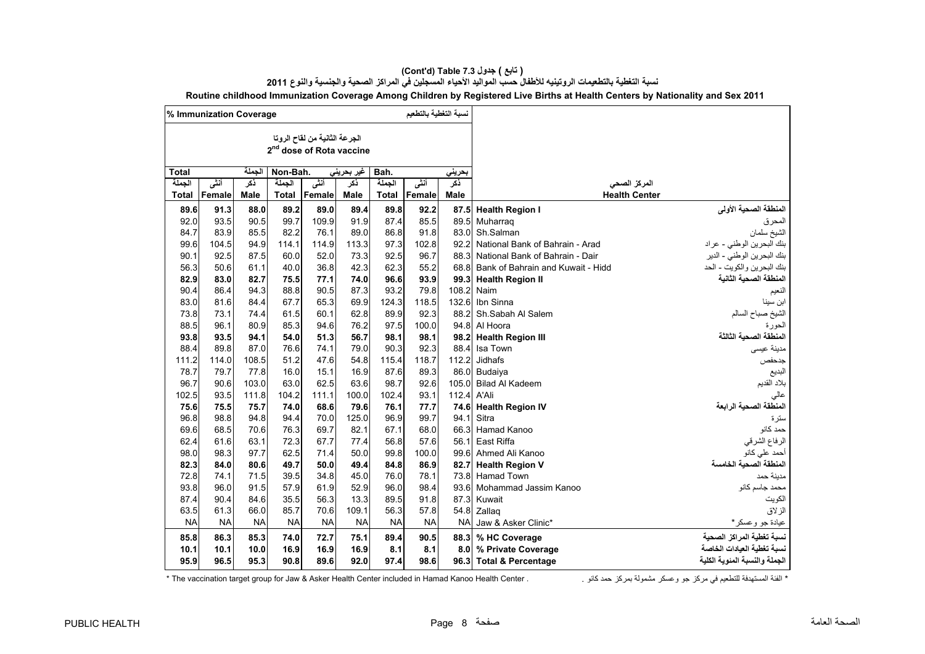|              | % Immunization Coverage |             |           |                                                                       |            |           | نسبة التغطية بالتطعيم |             |                                   |                               |
|--------------|-------------------------|-------------|-----------|-----------------------------------------------------------------------|------------|-----------|-----------------------|-------------|-----------------------------------|-------------------------------|
|              |                         |             |           | الجرعة الثانية من لقاح الروتا<br>2 <sup>nd</sup> dose of Rota vaccine |            |           |                       |             |                                   |                               |
| <b>Total</b> |                         | الحملة      | Non-Bah.  |                                                                       | غير بحريني | Bah.      |                       | بحريني      |                                   |                               |
| الجملة       | أنشى                    | نكر         | الجملة    | أنشى                                                                  | نكر        | الحملة    | أنشى                  | ذكر         | المركز الصحى                      |                               |
| <b>Total</b> | Female                  | <b>Male</b> | Total     | Female                                                                | Male       | Total     | Female                | <b>Male</b> | <b>Health Center</b>              |                               |
| 89.6         | 91.3                    | 88.0        | 89.2      | 89.0                                                                  | 89.4       | 89.8      | 92.2                  | 87.5        | <b>Health Region I</b>            | المنطقة الصحية الأولى         |
| 92.0         | 93.5                    | 90.5        | 99.7      | 109.9                                                                 | 91.9       | 87.4      | 85.5                  | 89.5        | Muharrag                          | لمحرق                         |
| 84.7         | 83.9                    | 85.5        | 82.2      | 76.1                                                                  | 89.0       | 86.8      | 91.8                  | 83.0        | Sh.Salman                         | الشيخ سلمان                   |
| 99.6         | 104.5                   | 94.9        | 114.1     | 114.9                                                                 | 113.3      | 97.3      | 102.8                 | 92.2        | National Bank of Bahrain - Arad   | بنك البحرين الوطني - عراد     |
| 90.1         | 92.5                    | 87.5        | 60.0      | 52.0                                                                  | 73.3       | 92.5      | 96.7                  | 88.3        | National Bank of Bahrain - Dair   | بنك البحرين الوطني - الدير    |
| 56.3         | 50.6                    | 61.1        | 40.0      | 36.8                                                                  | 42.3       | 62.3      | 55.2                  | 68.8        | Bank of Bahrain and Kuwait - Hidd | بنك البحرين والكويت - الحد    |
| 82.9         | 83.0                    | 82.7        | 75.5      | 77.1                                                                  | 74.0       | 96.6      | 93.9                  | 99.3        | <b>Health Region II</b>           | المنطقة الصحية الثانية        |
| 90.4         | 86.4                    | 94.3        | 88.8      | 90.5                                                                  | 87.3       | 93.2      | 79.8                  | 108.2       | Naim                              | النعيم                        |
| 83.0         | 81.6                    | 84.4        | 67.7      | 65.3                                                                  | 69.9       | 124.3     | 118.5                 | 132.6       | Ibn Sinna                         | ابن سينا                      |
| 73.8         | 73.1                    | 74.4        | 61.5      | 60.1                                                                  | 62.8       | 89.9      | 92.3                  | 88.2        | Sh.Sabah Al Salem                 | لشيخ صباح السالم              |
| 88.5         | 96.1                    | 80.9        | 85.3      | 94.6                                                                  | 76.2       | 97.5      | 100.0                 | 94.8        | Al Hoora                          | لحور ۃ                        |
| 93.8         | 93.5                    | 94.1        | 54.0      | 51.3                                                                  | 56.7       | 98.1      | 98.1                  | 98.2        | <b>Health Region III</b>          | لمنطقة الصحية الثالثة         |
| 88.4         | 89.8                    | 87.0        | 76.6      | 74.1                                                                  | 79.0       | 90.3      | 92.3                  | 88.4        | Isa Town                          | مدينة عيسى                    |
| 111.2        | 114.0                   | 108.5       | 51.2      | 47.6                                                                  | 54.8       | 115.4     | 118.7                 | 112.2       | Jidhafs                           | جدحفص                         |
| 78.7         | 79.7                    | 77.8        | 16.0      | 15.1                                                                  | 16.9       | 87.6      | 89.3                  | 86.0        | Budaiya                           | البديع                        |
| 96.7         | 90.6                    | 103.0       | 63.0      | 62.5                                                                  | 63.6       | 98.7      | 92.6                  | 105.0       | <b>Bilad Al Kadeem</b>            | بلاد القديم                   |
| 102.5        | 93.5                    | 111.8       | 104.2     | 111.1                                                                 | 100.0      | 102.4     | 93.1                  | 112.4       | A'Ali                             | عالي                          |
| 75.6         | 75.5                    | 75.7        | 74.0      | 68.6                                                                  | 79.6       | 76.1      | 77.7                  | 74.6        | <b>Health Region IV</b>           | لمنطقة الصحية الرابعة         |
| 96.8         | 98.8                    | 94.8        | 94.4      | 70.0                                                                  | 125.0      | 96.9      | 99.7                  | 94.1        | Sitra                             | سترة                          |
| 69.6         | 68.5                    | 70.6        | 76.3      | 69.7                                                                  | 82.1       | 67.1      | 68.0                  | 66.3        | Hamad Kanoo                       | حمد كانو                      |
| 62.4         | 61.6                    | 63.1        | 72.3      | 67.7                                                                  | 77.4       | 56.8      | 57.6                  | 56.1        | <b>East Riffa</b>                 | الرفاع الشرقي                 |
| 98.0         | 98.3                    | 97.7        | 62.5      | 71.4                                                                  | 50.0       | 99.8      | 100.0                 | 99.6        | Ahmed Ali Kanoo                   | حمد على كانو                  |
| 82.3         | 84.0                    | 80.6        | 49.7      | 50.0                                                                  | 49.4       | 84.8      | 86.9                  | 82.7        | <b>Health Region V</b>            | لمنطقة الصحية الخامسة         |
| 72.8         | 74.1                    | 71.5        | 39.5      | 34.8                                                                  | 45.0       | 76.0      | 78.1                  | 73.8        | <b>Hamad Town</b>                 | مدينة حمد                     |
| 93.8         | 96.0                    | 91.5        | 57.9      | 61.9                                                                  | 52.9       | 96.0      | 98.4                  | 93.6        | Mohammad Jassim Kanoo             | محمد جاسم كانو                |
| 87.4         | 90.4                    | 84.6        | 35.5      | 56.3                                                                  | 13.3       | 89.5      | 91.8                  | 87.3        | Kuwait                            | الكويت                        |
| 63.5         | 61.3                    | 66.0        | 85.7      | 70.6                                                                  | 109.1      | 56.3      | 57.8                  | 54.8        | Zallag                            | الزلاق                        |
| <b>NA</b>    | <b>NA</b>               | <b>NA</b>   | <b>NA</b> | <b>NA</b>                                                             | <b>NA</b>  | <b>NA</b> | <b>NA</b>             | <b>NA</b>   | Jaw & Asker Clinic*               | عيادة جو وعسكر*               |
| 85.8         | 86.3                    | 85.3        | 74.0      | 72.7                                                                  | 75.1       | 89.4      | 90.5                  | 88.3        | % HC Coverage                     | نسبة تغطية المراكز الصحية     |
| 10.1         | 10.1                    | 10.0        | 16.9      | 16.9                                                                  | 16.9       | 8.1       | 8.1                   | 8.0         | % Private Coverage                | نسبة تغطية العيادات الخاصة    |
| 95.9         | 96.5                    | 95.3        | 90.8      | 89.6                                                                  | 92.0       | 97.4      | 98.6                  | 96.3        | <b>Total &amp; Percentage</b>     | الجملة والنسبة المئوية الكلية |

#### **(Cont'd) Table 7.3 جدول ) تابع(**

**نسبة التغطية بالتطعيمات الروتينيه لألطفال حسب المواليد األحياء المسجلين في المراكز الصحية والجنسية والنوع <sup>2011</sup> Routine childhood Immunization Coverage Among Children by Registered Live Births at Health Centers by Nationality and Sex 2011**

\* The vaccination target group for Jaw & Asker Health Center included in Hamad Kanoo Health Center . . كانو حمد بمركز مشمولة وعسكر جو مركز في للتطعيم المستھدفة الفئة\*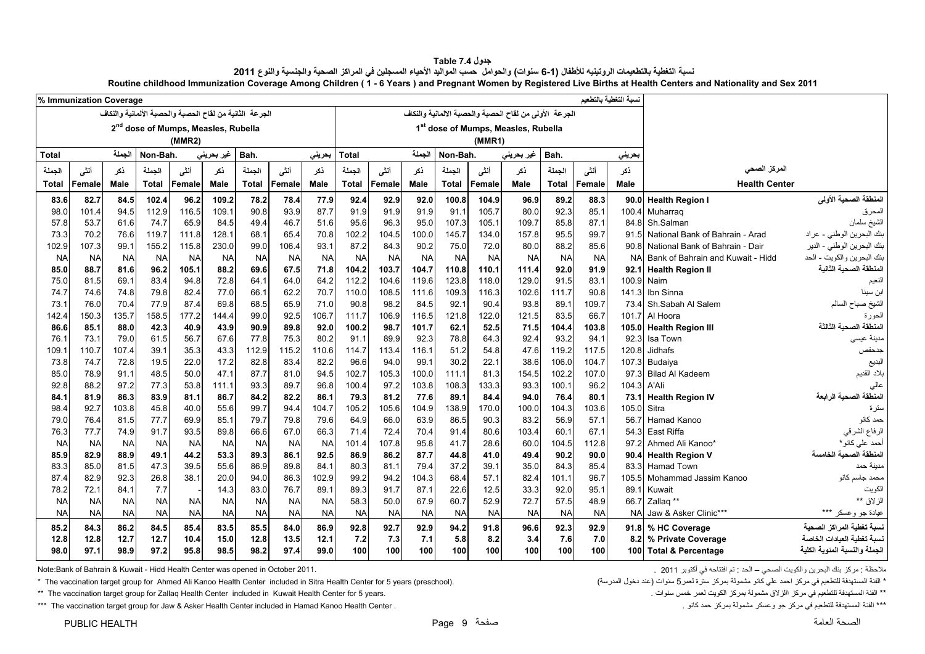<span id="page-9-0"></span>

|              |                         |              |              |                                                         |                   |                   |                   |                   |              |                  |               |              |              |                                                        |              |              |                       | Routine childhood Immunization Coverage Among Children (1 - 6 Years) and Pregnant Women by Registered Live Births at Health Centers and Nationality and Sex 2011 |                                                          |
|--------------|-------------------------|--------------|--------------|---------------------------------------------------------|-------------------|-------------------|-------------------|-------------------|--------------|------------------|---------------|--------------|--------------|--------------------------------------------------------|--------------|--------------|-----------------------|------------------------------------------------------------------------------------------------------------------------------------------------------------------|----------------------------------------------------------|
|              | % Immunization Coverage |              |              |                                                         |                   |                   |                   |                   |              |                  |               |              |              |                                                        |              |              | نسبة التغطية بالتطعيم |                                                                                                                                                                  |                                                          |
|              |                         |              |              | الجرعة الثانية من لقاح الحصبة والحصبة الألمانية والنكاف |                   |                   |                   |                   |              |                  |               |              |              | الجرعة الأولى من لقاح الحصبة والحصبة الالمانية والنكاف |              |              |                       |                                                                                                                                                                  |                                                          |
|              |                         |              |              | 2 <sup>nd</sup> dose of Mumps, Measles, Rubella         |                   |                   |                   |                   |              |                  |               |              |              | 1st dose of Mumps, Measles, Rubella                    |              |              |                       |                                                                                                                                                                  |                                                          |
|              |                         |              |              | (MMR2)                                                  |                   |                   |                   |                   |              |                  |               |              | (MMR1)       |                                                        |              |              |                       |                                                                                                                                                                  |                                                          |
| <b>Total</b> |                         | الجملة       | Non-Bah.     |                                                         | غير بحريني        | Bah.              |                   | بحريني            | <b>Total</b> |                  | الجملة        | Non-Bah.     |              | غير بحريني                                             | Bah.         |              | بحريني                |                                                                                                                                                                  |                                                          |
| الجملة       | أنشى                    | ذكر          | الجملة       | أنشى                                                    | نكر               | الجملة            | أنشى              | نكر               | الجملة       | أنشى             | ذكر           | الجملة       | أنشى         | نكر                                                    | الجملة       | أنشى         | نكر                   | المركز الصحي                                                                                                                                                     |                                                          |
| Total        | Female                  | Male         | <b>Total</b> | Female                                                  | Male              | <b>Total</b>      | Female            | Male              | <b>Total</b> | Female           | Male          | <b>Total</b> | Female       | Male                                                   | <b>Total</b> | Female       | <b>Male</b>           | <b>Health Center</b>                                                                                                                                             |                                                          |
| 83.6         | 82.7                    | 84.5         | 102.4        | 96.2                                                    | 109.2             | 78.2              | 78.4              | 77.9              | 92.4         | 92.9             | 92.0          | 100.8        | 104.9        | 96.9                                                   | 89.2         | 88.3         | 90.0                  | <b>Health Region I</b>                                                                                                                                           | المنطقة الصحية الأولى                                    |
| 98.0         | 101.4                   | 94.5         | 112.9        | 116.5                                                   | 109.1             | 90.8              | 93.9              | 87.7              | 91.9         | 91.9             | 91.9          | 91.1         | 105.7        | 80.0                                                   | 92.3         | 85.1         | 100.4                 | Muharraq                                                                                                                                                         | المحرق                                                   |
| 57.8         | 53.7                    | 61.6         | 74.7         | 65.9                                                    | 84.5              | 49.4              | 46.7              | 51.6              | 95.6         | 96.3             | 95.0          | 107.3        | 105.1        | 109.7                                                  | 85.8         | 87.1         | 84.8                  | Sh.Salman                                                                                                                                                        | الشيخ سلمان                                              |
| 73.3         | 70.2                    | 76.6         | 119.7        | 111.8                                                   | 128.1             | 68.1              | 65.4              | 70.8              | 102.2        | 104.5            | 100.0         | 145.7        | 134.0        | 157.8                                                  | 95.5         | 99.7         | 91.5                  | National Bank of Bahrain - Arad                                                                                                                                  | بنك البحرين الوطني - عراد                                |
| 102.9        | 107.3                   | 99.1         | 155.2        | 115.8                                                   | 230.0             | 99.0              | 106.4             | 93.1              | 87.2         | 84.3             | 90.2          | 75.0         | 72.0         | 80.0                                                   | 88.2         | 85.6         | 90.8                  | National Bank of Bahrain - Dair                                                                                                                                  | بنك البحرين الوطني - الدير                               |
| <b>NA</b>    | <b>NA</b>               | <b>NA</b>    | <b>NA</b>    | <b>NA</b>                                               | <b>NA</b>         | <b>NA</b>         | <b>NA</b>         | <b>NA</b>         | <b>NA</b>    | <b>NA</b>        | <b>NA</b>     | <b>NA</b>    | <b>NA</b>    | <b>NA</b>                                              | <b>NA</b>    | <b>NA</b>    | <b>NA</b>             | Bank of Bahrain and Kuwait - Hidd                                                                                                                                | بنك البحرين والكويت - الحد                               |
| 85.0         | 88.7                    | 81.6         | 96.2         | 105.1                                                   | 88.2              | 69.6              | 67.5              | 71.8              | 104.2        | 103.7            | 104.7         | 110.8        | 110.1        | 111.4                                                  | 92.0         | 91.9         | 92.1                  | <b>Health Region II</b>                                                                                                                                          | المنطقة الصحية الثانية                                   |
| 75.0         | 81.5                    | 69.1         | 83.4         | 94.8                                                    | 72.8              | 64.1              | 64.0              | 64.2              | 112.2        | 104.6            | 119.6         | 123.8        | 118.0        | 129.0                                                  | 91.5         | 83.1         | 100.9                 | Naim                                                                                                                                                             | النعيم                                                   |
| 74.7         | 74.6                    | 74.8         | 79.8         | 82.4                                                    | 77.0              | 66.1              | 62.2              | 70.7              | 110.0        | 108.5            | 111.6         | 109.3        | 116.3        | 102.6                                                  | 111.7        | 90.8         | 141.3                 | Ibn Sinna                                                                                                                                                        | ابن سينا                                                 |
| 73.1         | 76.0                    | 70.4         | 77.9         | 87.4                                                    | 69.8              | 68.5              | 65.9              | 71.0              | 90.8         | 98.2             | 84.5          | 92.1         | 90.4         | 93.8                                                   | 89.1         | 109.7        | 73.4                  | Sh.Sabah Al Salem                                                                                                                                                | الشيخ صباح السالم                                        |
| 142.4        | 150.3                   | 135.7        | 158.5        | 177.2                                                   | 144.4             | 99.0              | 92.5              | 106.7             | 111.7        | 106.9            | 116.5         | 121.8        | 122.0        | 121.5                                                  | 83.5         | 66.7         | 101.7                 | Al Hoora                                                                                                                                                         | الحورة                                                   |
| 86.6         | 85.1                    | 88.0         | 42.3         | 40.9                                                    | 43.9              | 90.9              | 89.8              | 92.0              | 100.2        | 98.7             | 101.7         | 62.1         | 52.5         | 71.5                                                   | 104.4        | 103.8        | 105.0                 | <b>Health Region III</b>                                                                                                                                         | المنطقة الصحبة الثالثة                                   |
| 76.1         | 73.1                    | 79.0         | 61.5         | 56.7                                                    | 67.6              | 77.8              | 75.3              | 80.2              | 91.1         | 89.9             | 92.3          | 78.8         | 64.3         | 92.4                                                   | 93.2         | 94.1         | 92.3                  | Isa Town                                                                                                                                                         | مدينة عيسى                                               |
| 109.1        | 110.7                   | 107.4        | 39.1         | 35.3                                                    | 43.3              | 112.9             | 115.2             | 110.6             | 114.7        | 113.4            | 116.1         | 51.2         | 54.8         | 47.6                                                   | 119.2        | 117.5        | 120.8                 | Jidhafs                                                                                                                                                          | جدحفص                                                    |
| 73.8         | 74.7                    | 72.8         | 19.5         | 22.0                                                    | 17.2              | 82.8              | 83.4              | 82.2              | 96.6         | 94.0             | 99.1          | 30.2         | 22.1         | 38.6                                                   | 106.0        | 104.7        |                       | 107.3 Budaiya                                                                                                                                                    | البديع                                                   |
| 85.0         | 78.9                    | 91.1         | 48.5         | 50.0                                                    | 47.1              | 87.7              | 81.0              | 94.5              | 102.7        | 105.3            | 100.0         | 111.1        | 81.3         | 154.5                                                  | 102.2        | 107.0        | 97.3                  | <b>Bilad Al Kadeem</b>                                                                                                                                           | بلاد القديم                                              |
| 92.8         | 88.2                    | 97.2         | 77.3         | 53.8                                                    | 111.1             | 93.3              | 89.7              | 96.8              | 100.4        | 97.2             | 103.8         | 108.3        | 133.3        | 93.3                                                   | 100.1        | 96.2         | 104.3                 | A'Ali                                                                                                                                                            | عالي                                                     |
| 84.1         | 81.9                    | 86.3         | 83.9         | 81.1                                                    | 86.7              | 84.2              | 82.2              | 86.1              | 79.3         | 81.2             | 77.6          | 89.1         | 84.4         | 94.0                                                   | 76.4         | 80.1         | 73.1                  | <b>Health Region IV</b>                                                                                                                                          | المنطقة الصحية الرابعة                                   |
| 98.4         | 92.7                    | 103.8        | 45.8         | 40.0                                                    | 55.6              | 99.7              | 94.4              | 104.7             | 105.2        | 105.6            | 104.9         | 138.9        | 170.0        | 100.0                                                  | 104.3        | 103.6        | 105.0                 | Sitra                                                                                                                                                            | سترة                                                     |
| 79.0         | 76.4                    | 81.5         | 77.7         | 69.9                                                    | 85.1              | 79.7              | 79.8              | 79.6              | 64.9         | 66.0             | 63.9          | 86.5         | 90.3         | 83.2                                                   | 56.9         | 57.1         | 56.7                  | Hamad Kanoo                                                                                                                                                      | حمد كانو                                                 |
| 76.3         | 77.7                    | 74.9         | 91.7         | 93.5                                                    | 89.8              | 66.6              | 67.0              | 66.3              | 71.4         | 72.4             | 70.4          | 91.4         | 80.6         | 103.4                                                  | 60.1         | 67.1         | 54.3                  | East Riffa                                                                                                                                                       | الرفاع الشرقي                                            |
| <b>NA</b>    | <b>NA</b>               | <b>NA</b>    | <b>NA</b>    | <b>NA</b><br>44.2                                       | <b>NA</b><br>53.3 | <b>NA</b><br>89.3 | <b>NA</b><br>86.1 | <b>NA</b><br>92.5 | 101.4        | 107.8            | 95.8          | 41.7         | 28.6         | 60.0                                                   | 104.5        | 112.8        | 97.2                  | Ahmed Ali Kanoo*                                                                                                                                                 | أحمد على كانو *<br>المنطقة الصحبة الخامسة                |
| 85.9         | 82.9<br>85.0            | 88.9         | 49.1<br>47.3 | 39.5                                                    | 55.6              | 86.9              | 89.8              | 84.1              | 86.9         | 86.2<br>81.1     | 87.7          | 44.8<br>37.2 | 41.0         | 49.4<br>35.0                                           | 90.2<br>84.3 | 90.0<br>85.4 | 90.4                  | <b>Health Region V</b><br>83.3 Hamad Town                                                                                                                        | مدينة حمد                                                |
| 83.3<br>87.4 | 82.9                    | 81.5<br>92.3 | 26.8         | 38.1                                                    | 20.0              | 94.0              | 86.3              | 102.9             | 80.3<br>99.2 | 94.2             | 79.4<br>104.3 | 68.4         | 39.1<br>57.1 | 82.4                                                   | 101.1        | 96.7         | 105.5                 | Mohammad Jassim Kanoo                                                                                                                                            | محمد جاسم كانو                                           |
| 78.2         | 72.1                    | 84.1         | 7.7          |                                                         | 14.3              | 83.0              | 76.7              | 89.1              | 89.3         | 91.7             | 87.1          | 22.6         | 12.5         | 33.3                                                   | 92.0         | 95.1         | 89.1                  | Kuwait                                                                                                                                                           | الكويت                                                   |
| <b>NA</b>    | <b>NA</b>               | <b>NA</b>    | <b>NA</b>    | <b>NA</b>                                               | <b>NA</b>         | <b>NA</b>         | <b>NA</b>         | <b>NA</b>         | 58.3         | 50.0             | 67.9          | 60.7         | 52.9         | 72.7                                                   | 57.5         | 48.9         | 66.7                  | Zallag **                                                                                                                                                        | الزلاق **                                                |
| <b>NA</b>    | <b>NA</b>               | <b>NA</b>    | <b>NA</b>    | <b>NA</b>                                               | <b>NA</b>         | <b>NA</b>         | <b>NA</b>         | <b>NA</b>         | <b>NA</b>    | <b>NA</b>        | <b>NA</b>     | <b>NA</b>    | <b>NA</b>    | <b>NA</b>                                              | <b>NA</b>    | <b>NA</b>    | <b>NA</b>             | Jaw & Asker Clinic***                                                                                                                                            | <u>عیادة جو</u> وعسکر ***                                |
|              |                         |              |              |                                                         |                   |                   |                   |                   |              |                  |               |              |              |                                                        |              |              |                       |                                                                                                                                                                  |                                                          |
| 85.2         | 84.3                    | 86.2         | 84.5         | 85.4                                                    | 83.5              | 85.5              | 84.0              | 86.9              | 92.8         | 92.7             | 92.9          | 94.2         | 91.8         | 96.6                                                   | 92.3         | 92.9         |                       | 91.8 % HC Coverage                                                                                                                                               | نسبة تغطية المر اكز الصحية<br>نسبة تغطية العيادات الخاصة |
| 12.8         | 12.8                    | 12.7         | 12.7         | 10.4                                                    | 15.0              | 12.8              | 13.5              | 12.1              | 7.2          | 7.3              | 7.1           | 5.8          | 8.2          | 3.4                                                    | 7.6          | 7.0          | 8.2                   | % Private Coverage                                                                                                                                               | الجملة والنسبة المنوية الكلية                            |
| 98.0         | 97.1                    | 98.9         | 97.2         | 95.8                                                    | 98.5              | 98.2              | 97.4              | 99.0              | 100          | 100 <sub>l</sub> | 100           | 100          | 100          | 100                                                    | 100          | 100          |                       | 100 Total & Percentage                                                                                                                                           |                                                          |

**جدول 7.4 Table** نسبة التغطية بالتطعيمات الروتينيه للأطفال (1-6 سنوات) والحوامل حسب المواليد الأحياء المسجلين في المراكز الصحية والجنسية والنوع 2011

\* الفئة المستھدفة للتطعيم في مركز احد علي كانو مشمولة بمركز سترة لعمر 5 سنوات المدرسة (المدرسة من التصنيات الم<br>\* المستھدفة للتطعيم في مركز احمد علي كانو مشمولة بمركز سترة لعمر 15 سنوات للتصنيف المستھدفة الفئة المستھدفة ال

\*\*\* The vaccination target group for Jaw & Asker Health Center included in Hamad Kanoo Health Center . كانو . كانو حمد كانو حمد كانو . كانو مستهدفة للتطعيم في مركز جو وعسكر مشمولة بمركز حمد كانو . كان التصافح المستهدفة لل

.<br>ملاحظة : مركز بنك البحرين والكويت الصحي – الحد : تم افتتاحه في أكتوبر 2011 . 2011 . . . . . 2014 . 2011 . . .

\*\* The vaccination target group for Zallaq Health Center included in Kuwait Health Center for 5 years. . سنوات خمس لعمر الكويت بمركز مشمولة االزالق مركز في للتطعيم المستھدفة الفئة\*\*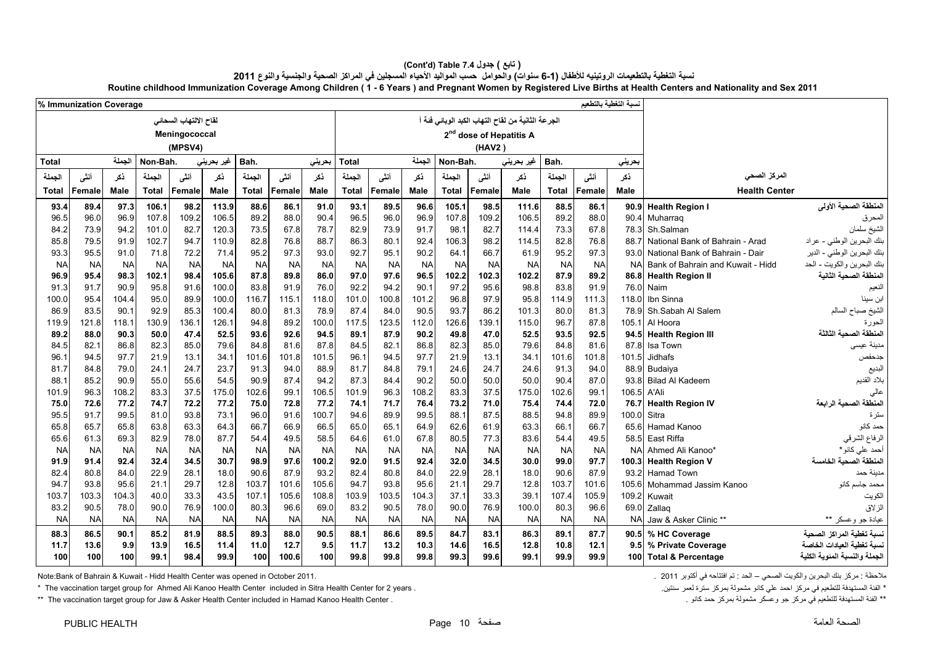| % Immunization Coverage |              |               |                |                       |                    |               |              |               |               |              |               |                |               |                                                   |               |              | لسبة التغطية بالتطعيم |                                   |                                 |
|-------------------------|--------------|---------------|----------------|-----------------------|--------------------|---------------|--------------|---------------|---------------|--------------|---------------|----------------|---------------|---------------------------------------------------|---------------|--------------|-----------------------|-----------------------------------|---------------------------------|
|                         |              |               |                | لقاح الالتهاب السحاني |                    |               |              |               |               |              |               |                |               | الجرعة الثانية من لقاح التهاب الكبد الوباني فنة أ |               |              |                       |                                   |                                 |
|                         |              |               |                | Meningococcal         |                    |               |              |               |               |              |               |                |               | 2 <sup>nd</sup> dose of Hepatitis A               |               |              |                       |                                   |                                 |
|                         |              |               |                | (MPSV4)               |                    |               |              |               |               |              |               |                | (HAV2)        |                                                   |               |              |                       |                                   |                                 |
| <b>Total</b>            |              | الجملة        | Non-Bah.       |                       | غير بحرين <i>ي</i> | Bah.          |              | بحرينى        | <b>Total</b>  |              | الحملة        | Non-Bah.       |               | غیر بحرینی                                        | Bah.          |              | بحريني                |                                   |                                 |
| الجملة                  | أنشى         | نكر           | الجملة         | أنشى                  | نكر                | الجملة        | أنشى         | نكر           | الجملة        | أنشى         | ڏکر           | الجملة         | أنشى          | ذكر                                               | الجملة        | أنشى         | نكر                   | المركز الصحى                      |                                 |
|                         | Female       | Male          | <b>Total</b>   | Female                | Male               | <b>Total</b>  | Female       | Male          | <b>Total</b>  | Female       | Male          | <b>Total</b>   | Female        | Male                                              | Total         | Female       | Male                  | <b>Health Center</b>              |                                 |
| Total                   |              |               |                |                       |                    |               |              |               |               |              |               |                |               |                                                   |               |              |                       |                                   |                                 |
| 93.4                    | 89.4<br>96.0 | 97.3          | 106.1          | 98.2                  | 113.9              | 88.6          | 86.1         | 91.0          | 93.1          | 89.5         | 96.6<br>96.9  | 105.1<br>107.8 | 98.5          | 111.6                                             | 88.5          | 86.1<br>88.0 | 90.4                  | 90.9 Health Region I              | المنطقة الصحية الأولى           |
| 96.5<br>84.2            | 73.9         | 96.9<br>94.2  | 107.8<br>101.0 | 109.2<br>82.7         | 106.5<br>120.3     | 89.2<br>73.5  | 88.0<br>67.8 | 90.4<br>78.7  | 96.5<br>82.9  | 96.0<br>73.9 | 91.7          | 98.1           | 109.2<br>82.7 | 106.5<br>114.4                                    | 89.2<br>73.3  | 67.8         | 78.3                  | Muharraq<br>Sh.Salman             | المحرق<br>الشيخ سلمان           |
| 85.8                    | 79.5         | 91.9          | 102.7          | 94.7                  | 110.9              | 82.8          | 76.8         | 88.7          | 86.3          | 80.1         | 92.4          | 106.3          | 98.2          | 114.5                                             | 82.8          | 76.8         | 887                   | National Bank of Bahrain - Arad   | بنك البحرين الوطني - عراد       |
| 93.3                    | 95.5         | 91.0          | 71.8           | 72.2                  | 71.4               | 95.2          | 97.3         | 93.0          | 92.7          | 95.1         | 90.2          | 64.1           | 66.7          | 61.9                                              | 95.2          | 97.3         | 93.0                  | National Bank of Bahrain - Dair   | بنك البحرين الوطني - الدير      |
| <b>NA</b>               | <b>NA</b>    | <b>NA</b>     | <b>NA</b>      | <b>NA</b>             | <b>NA</b>          | <b>NA</b>     | <b>NA</b>    | <b>NA</b>     | <b>NA</b>     | <b>NA</b>    | <b>NA</b>     | <b>NA</b>      | <b>NA</b>     | <b>NA</b>                                         | <b>NA</b>     | <b>NA</b>    | <b>NA</b>             | Bank of Bahrain and Kuwait - Hidd | بنك البحرين والكويت - الحد      |
| 96.9                    | 95.4         | 98.3          | 102.1          | 98.4                  | 105.6              | 87.8          | 89.8         | 86.0          | 97.0          | 97.6         | 96.5          | 102.2          | 102.3         | 102.2                                             | 87.9          | 89.2         |                       | 86.8 Health Region II             | المنطقة الصحية الثانية          |
| 91.3                    | 91.7         | 90.9          | 95.8           | 91.6                  | 100.0              | 83.8          | 91.9         | 76.0          | 92.2          | 94.2         | 90.1          | 97.2           | 95.6          | 98.8                                              | 83.8          | 91.9         | 76.0                  | Naim                              | النعيم                          |
| 100.0                   | 95.4         | 104.4         | 95.0           | 89.9                  | 100.0              | 116.7         | 115.1        | 118.0         | 101.0         | 100.8        | 101.2         | 96.8           | 97.9          | 95.8                                              | 114.9         | 111.3        |                       | 118.0 Ibn Sinna                   | ابن سينا                        |
| 86.9                    | 83.5         | 90.7          | 92.9           | 85.3                  | 100.4              | 80.0          | 81.3         | 78.9          | 87.4          | 84.0         | 90.5          | 93.7           | 86.2          | 101.3                                             | 80.0          | 81.3         |                       | 78.9 Sh.Sabah Al Salem            | الشيخ صباح السالم               |
| 119.9                   | 121.8        | 118.1         | 130.9          | 136.1                 | 126.1              | 94.8          | 89.2         | 100.0         | 117.5         | 123.5        | 112.0         | 126.6          | 139.1         | 115.0                                             | 96.7          | 87.8         | 105.1                 | Al Hoora                          | الحورة                          |
| 89.2                    | 88.0         | 90.3          | 50.0           | 47.4                  | 52.5               | 93.6          | 92.6         | 94.5          | 89.1          | 87.9         | 90.2          | 49.8           | 47.0          | 52.5                                              | 93.5          | 92.5         |                       | 94.5 Health Region III            | المنطقة الصحبة الثالثة          |
| 84.5                    | 82.1         | 86.8          | 82.3           | 85.0                  | 79.6               | 84.8          | 81.6         | 87.8          | 84.5          | 82.1         | 86.8          | 82.3           | 85.0          | 79.6                                              | 84.8          | 81.6         | 87.8                  | Isa Town                          | مدينة عيسى                      |
| 96.1                    | 94.5         | 97.7          | 21.9           | 13.1                  | 34.1               | 101.6         | 101.8        | 101.5         | 96.1          | 94.5         | 97.7          | 21.9           | 13.1          | 34.1                                              | 101.6         | 101.8        | 101.5                 | Jidhafs                           | جدحفص                           |
| 81.7                    | 84.8         | 79.0          | 24.1           | 24.7                  | 23.7               | 91.3          | 94.0         | 88.9          | 81.7          | 84.8         | 79.1          | 24.6           | 24.7          | 24.6                                              | 91.3          | 94.0         |                       | 88.9 Budaiya<br>Bilad Al Kadeem   | البديع                          |
| 88.1                    | 85.2<br>96.3 | 90.9<br>108.2 | 55.0<br>83.3   | 55.6<br>37.5          | 54.5<br>175.0      | 90.9          | 87.4<br>99.1 | 94.2          | 87.3<br>101.9 | 84.4         | 90.2<br>108.2 | 50.0<br>83.3   | 50.0<br>37.5  | 50.0                                              | 90.4<br>102.6 | 87.0<br>99.1 | 93.8<br>106.5 A'Ali   |                                   | بلاد القديم                     |
| 101.9<br>75.0           | 72.6         | 77.2          | 74.7           | 72.2                  | 77.2               | 102.6<br>75.0 | 72.8         | 106.5<br>77.2 | 74.1          | 96.3<br>71.7 | 76.4          | 73.2           | 71.0          | 175.0<br>75.4                                     | 74.4          | 72.0         | 76.7                  | <b>Health Region IV</b>           | عالي<br>المنطقة الصحبة الر ابعة |
| 95.5                    | 91.7         | 99.5          | 81.0           | 93.8                  | 73.1               | 96.0          | 91.6         | 100.7         | 94.6          | 89.9         | 99.5          | 88.1           | 87.5          | 88.5                                              | 94.8          | 89.9         | 100.0                 | Sitra                             | سترة                            |
| 65.8                    | 65.7         | 65.8          | 63.8           | 63.3                  | 64.3               | 66.7          | 66.9         | 66.5          | 65.0          | 65.1         | 64.9          | 62.6           | 61.9          | 63.3                                              | 66.1          | 66.7         | 65.6                  | Hamad Kanoo                       | حمد كانو                        |
| 65.6                    | 61.3         | 69.3          | 82.9           | 78.0                  | 87.7               | 54.4          | 49.5         | 58.5          | 64.6          | 61.0         | 67.8          | 80.5           | 77.3          | 83.6                                              | 54.4          | 49.5         | 58.5                  | East Riffa                        | الرفاع الشرقي                   |
| <b>NA</b>               | <b>NA</b>    | <b>NA</b>     | <b>NA</b>      | <b>NA</b>             | <b>NA</b>          | <b>NA</b>     | <b>NA</b>    | <b>NA</b>     | <b>NA</b>     | <b>NA</b>    | <b>NA</b>     | <b>NA</b>      | <b>NA</b>     | <b>NA</b>                                         | <b>NA</b>     | <b>NA</b>    |                       | NA Ahmed Ali Kanoo*               | أحمد على كانو *                 |
| 91.9                    | 91.4         | 92.4          | 32.4           | 34.5                  | 30.7               | 98.9          | 97.6         | 100.2         | 92.0          | 91.5         | 92.4          | 32.0           | 34.5          | 30.0                                              | 99.0          | 97.7         | 100.3                 | <b>Health Region V</b>            | المنطقة الصحية الخامسة          |
| 82.4                    | 80.8         | 84.0          | 22.9           | 28.1                  | 18.0               | 90.6          | 87.9         | 93.2          | 82.4          | 80.8         | 84.0          | 22.9           | 28.1          | 18.0                                              | 90.6          | 87.9         | 93.2                  | <b>Hamad Town</b>                 | مدينة حمد                       |
| 94.7                    | 93.8         | 95.6          | 21.1           | 29.7                  | 12.8               | 103.7         | 101.6        | 105.6         | 94.7          | 93.8         | 95.6          | 21.1           | 29.7          | 12.8                                              | 103.7         | 101.6        | 105.6                 | Mohammad Jassim Kanoo             | محمد جاسم كانو                  |
| 103.7                   | 103.3        | 104.3         | 40.0           | 33.3                  | 43.5               | 107.1         | 105.6        | 108.8         | 103.9         | 103.5        | 104.3         | 37.1           | 33.3          | 39.1                                              | 107.4         | 105.9        | 109.2                 | Kuwait                            | الكويت                          |
| 83.2                    | 90.5         | 78.0          | 90.0           | 76.9                  | 100.0              | 80.3          | 96.6         | 69.0          | 83.2          | 90.5         | 78.0          | 90.0           | 76.9          | 100.0                                             | 80.3          | 96.6         | 69.0                  | Zallag                            | الزلاق                          |
| <b>NA</b>               | <b>NA</b>    | <b>NA</b>     | <b>NA</b>      | <b>NA</b>             | <b>NA</b>          | <b>NA</b>     | <b>NA</b>    | <b>NA</b>     | <b>NA</b>     | <b>NA</b>    | <b>NA</b>     | <b>NA</b>      | <b>NA</b>     | <b>NA</b>                                         | <b>NA</b>     | <b>NA</b>    | <b>NA</b>             | Jaw & Asker Clinic **             | عيادة جو وعسكر **               |
| 88.3                    | 86.5         | 90.1          | 85.2           | 81.9                  | 88.5               | 89.3          | 88.0         | 90.5          | 88.1          | 86.6         | 89.5          | 84.7           | 83.1          | 86.3                                              | 89.1          | 87.7         |                       | 90.5 % HC Coverage                | نسبة تغطية المر اكز الصحية      |
| 11.7                    | 13.6         | 9.9           | 13.9           | 16.5                  | 11.4               | 11.0          | 12.7         | 9.5           | 11.7          | 13.2         | 10.3          | 14.6           | 16.5          | 12.8                                              | 10.8          | 12.1         | 9.5                   | % Private Coverage                | نسبة تغطية العبادات الخاصة      |
| 100                     | 100          | 100           | 99.1           | 98.4                  | 99.9               | 100           | 100.6        | 100           | 99.8          | 99.8         | 99.8          | 99.3           | 99.6          | 99.1                                              | 99.9          | 99.9         |                       | 100 Total & Percentage            | الجملة والنسبة المنوية الكلية   |

| ( تابع ) جدول Table 7.4 (Cont'd)                                                                                                                                 |
|------------------------------------------------------------------------------------------------------------------------------------------------------------------|
| نسبة التغطية بالتطعيمات الروتينيه للأطفال (1-6 سنوات) والحوامل حسب المواليد الأحياء المسجلين في المراكز الصحية والجنسية والنوع 2011                              |
| Routine childhood Immunization Coverage Among Children (1 - 6 Years) and Pregnant Women by Registered Live Births at Health Centers and Nationality and Sex 2011 |

.<br>ملاحظة : مركز بنك البحرين والكويت الصحي – الحد : تم افتتاحه في أكتوبر 2011 . 2011 . . . . . . . . . . . . . .

\* الفئة المستهدفة للتطعيم في مركز احمد على كانو مشمولة بمركز سترة لعمر سنتين . The vaccination target group for Ahmed Ali Kanoo Health Center included in Sitra Health Center for 2 years .

\*\* The vaccination target group for Jaw & Asker Health Center included in Hamad Kanoo Health Center . كانو حمد بمركز حد بمركز حد بمركز مسمولة بمركز حد بمانو التطعيم في مركز جو وعسكر مشمولة بمركز حد كانو . في التطعيم المست

صفحة 10 Page HEALTH PUBLIC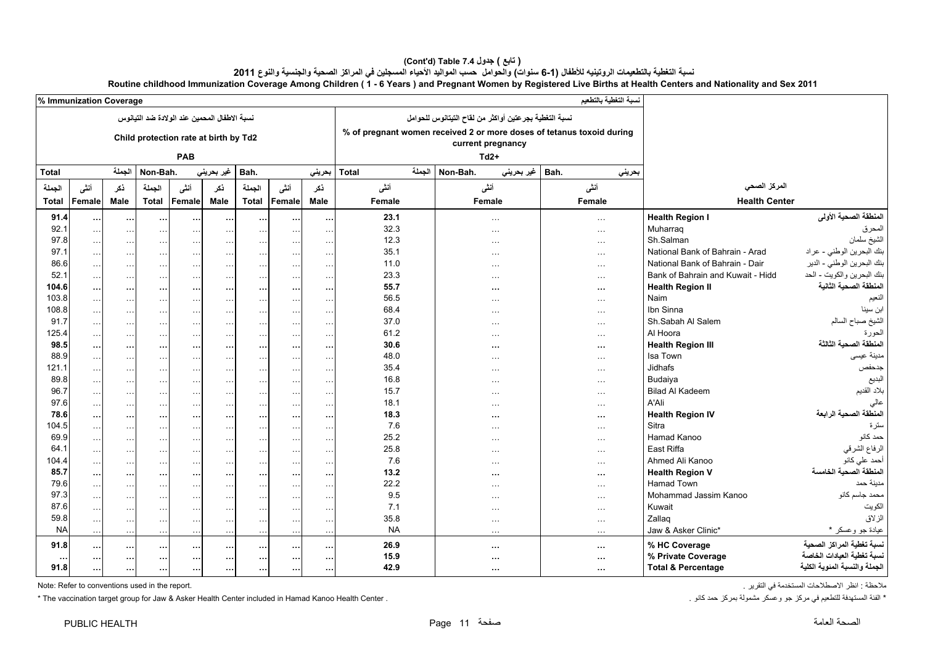## **(Cont'd) Table 7.4 جدول ) تابع(**  نسبة التغطية بالتطعيمات الروتينيه للأطفال (1-6 سنوات) والحوامل حسب المواليد الأحياء المسجلين في المراكز الصحية والجنسية والنوع 2011

| Amond<br>. | <b>Sex 201</b><br><br>---<br>ੈ Years<br>.<br>Birth:<br>…ationa™<br>. IVC<br>.nıer<br>Childrei<br>TATAT<br>rean.<br>∍and<br>.<br>ang :<br>and<br>. nv<br>веша е п |  |
|------------|------------------------------------------------------------------------------------------------------------------------------------------------------------------|--|
| , Immur    |                                                                                                                                                                  |  |

|              | <b>6 INTINUMIZATION COVETAGE</b> |                      |              |                           |                                              |              |           |                       |                            |        |                                                                                            | سعسيت باستعميم |                                   |                               |
|--------------|----------------------------------|----------------------|--------------|---------------------------|----------------------------------------------|--------------|-----------|-----------------------|----------------------------|--------|--------------------------------------------------------------------------------------------|----------------|-----------------------------------|-------------------------------|
|              |                                  |                      |              |                           | نسبة الاطفال المحمين عند الولادة ضد التيانوس |              |           |                       |                            |        | نسبة التغطية بجرعتين أواكثر من لقاح التيتانوس للحوامل                                      |                |                                   |                               |
|              |                                  |                      |              |                           | Child protection rate at birth by Td2        |              |           |                       |                            |        | % of pregnant women received 2 or more doses of tetanus toxoid during<br>current pregnancy |                |                                   |                               |
|              |                                  |                      |              | PAB                       |                                              |              |           |                       |                            |        | $Td2+$                                                                                     |                |                                   |                               |
| <b>Total</b> |                                  | الجملة               | Non-Bah.     |                           | غير بحريني                                   | Bah.         |           | بحريني                | <b>Total</b>               | الحملة | Non-Bah.<br>غير بحريني                                                                     | Bah.<br>بحريني |                                   |                               |
| الجملة       | أنشى                             | نكر                  | الجملة       | أننسى                     | ذكر                                          | الجملة       | أنشى      | نكر                   | أنشى                       |        | أننسى                                                                                      | أنشى           | المركز الصحى                      |                               |
| <b>Total</b> | Female                           | Male                 | <b>Total</b> | Female                    | Male                                         | <b>Total</b> | Female    | <b>Male</b>           | Female<br>Female<br>Female |        | <b>Health Center</b>                                                                       |                |                                   |                               |
| 91.4         | $\cdots$                         | $\cdots$             | $\cdots$     | $\cdots$                  | $\ddotsc$                                    | $\cdots$     | $\ddotsc$ | $\ddotsc$             | 23.1                       |        | $\ldots$                                                                                   | $\ldots$       | <b>Health Region I</b>            | المنطقة الصحية الأولى         |
| 92.1         |                                  | $\ldots$             | $\ddotsc$    | $\sim$ $\sim$             | $\ddotsc$                                    | $\cdots$     | $\ddotsc$ | $\sim$ $\sim$         | 32.3                       |        | $\cdots$                                                                                   | $\ldots$       | Muharrag                          | المحرق                        |
| 97.8         | $\ldots$                         | $\sim$ .             | $\ldots$     | $\sim$ .                  | $\ddotsc$                                    | $\ldots$     | $\ldots$  | $\ddotsc$             | 12.3                       |        | $\cdots$                                                                                   | $\ldots$       | Sh.Salman                         | الشيخ سلمان                   |
| 97.1         | $\ddotsc$                        | $\sim$ $\sim$ $\sim$ | $\sim$       | $\ddotsc$                 | $\ldots$                                     | $\ldots$     | $\cdots$  | $\cdots$              | 35.1                       |        | $\cdots$                                                                                   | $\cdots$       | National Bank of Bahrain - Arad   | بنك البحرين الوطني - عراد     |
| 86.6         | $\sim$ $\sim$                    | $\ldots$             | $\ldots$     | $\ldots$                  | $\ldots$                                     | $\ldots$     | $\ldots$  | $\sim$ $\sim$         | 11.0                       |        | $\sim$ $\sim$ $\sim$                                                                       | $\ddotsc$      | National Bank of Bahrain - Dair   | بنك البحرين الوطني - الدير    |
| 52.1         |                                  | $\ldots$             | $\cdots$     | $\cdots$                  | $\ddotsc$                                    | $\ldots$     | $\ddotsc$ | $\ddotsc$             | 23.3                       |        | $\cdots$                                                                                   | $\ddotsc$      | Bank of Bahrain and Kuwait - Hidd | بنك البحرين والكويت - الحد    |
| 104.6        |                                  | $\cdots$             | $\cdots$     | $\ddotsc$                 | $\cdots$                                     | $\cdots$     | $\cdots$  | $\ldots$              | 55.7                       |        | $\cdots$                                                                                   | $\cdots$       | <b>Health Region II</b>           | المنطقة الصحبة الثانية        |
| 103.8        |                                  | $\ldots$             | $\ddotsc$    | $\ldots$                  | $\ddotsc$                                    | $\cdots$     |           | $\ddotsc$             | 56.5                       |        | $\cdots$                                                                                   | $\ddotsc$      | <b>Naim</b>                       | النعيم                        |
| 108.8        | $\ldots$                         | $\ldots$             | $\ldots$     | $\ddotsc$                 | $\ddotsc$                                    | $\cdots$     | $\ddotsc$ | $\sim$ $\sim$         | 68.4                       |        | $\cdots$                                                                                   | $\ldots$       | Ibn Sinna                         | ابن سينا                      |
| 91.7         | $\cdots$                         | $\sim$ $\sim$ $\sim$ | $\ldots$     | $\ddotsc$                 | $\ddotsc$                                    | $\ldots$     | $\cdots$  | $\ddotsc$             | 37.0                       |        | $\cdots$                                                                                   | $\cdots$       | Sh.Sabah Al Salem                 | الشيخ صباح السالم             |
| 125.4        |                                  | $\sim$ $\sim$        | $\ddotsc$    | $\sim$ $\sim$             | $\ldots$                                     | $\ldots$     | $\ldots$  | $\ddotsc$             | 61.2                       |        | $\cdots$                                                                                   | $\sim$ $\sim$  | Al Hoora                          | الحورة                        |
| 98.5         | $\cdots$                         | $\cdots$             | $\cdots$     | $\cdots$                  | $\ddotsc$                                    | $\cdots$     | $\cdots$  | $\cdots$              | 30.6                       |        | $\cdots$                                                                                   | $\cdots$       | <b>Health Region III</b>          | المنطقة الصحية الثالثة        |
| 88.9         |                                  | $\sim$ $\sim$        | $\ddotsc$    | $\ldots$                  | $\ddotsc$                                    | $\ldots$     | $\ddotsc$ | $\sim$ $\sim$         | 48.0                       |        | $\cdots$                                                                                   | $\cdots$       | Isa Town                          | مدينة عيسى                    |
| 121.1        |                                  | $\sim$ $\sim$        | $\ldots$     | $\ldots$                  | $\ldots$                                     | $\ldots$     | $\ddotsc$ | $\ddotsc$             | 35.4                       |        | $\cdots$                                                                                   | $\ldots$       | <b>Jidhafs</b>                    | جدحفص                         |
| 89.8         |                                  | $\ldots$             | $\ddotsc$    | $\ldots$                  | $\ldots$                                     | $\ldots$     | $\ldots$  | $\ddotsc$             | 16.8                       |        | $\cdots$                                                                                   | $\ddotsc$      | Budaiya                           | البديع                        |
| 96.7         | $\ddotsc$                        | $\ldots$             | $\ddotsc$    | $\ldots$                  | $\sim$ $\sim$                                | $\ldots$     | $\ddotsc$ | $\sim$ $\sim$         | 15.7                       |        | $\cdots$                                                                                   | $\ldots$       | <b>Bilad Al Kadeem</b>            | بلاد القديم                   |
| 97.6         |                                  | $\sim$ $\sim$        | $\ldots$     | $\sim$ $\sim$             | $\ldots$                                     | $\ldots$     | $\ddotsc$ | $\ldots$              | 18.1                       |        | $\sim$ $\sim$ $\sim$                                                                       | $\ldots$       | A'Ali                             |                               |
| 78.6         |                                  | $\cdots$             | $\ddotsc$    | $\cdots$                  | $\ddotsc$                                    | $\cdots$     | $\cdots$  | $\cdots$              | 18.3                       |        | $\cdots$                                                                                   | $\cdots$       | <b>Health Region IV</b>           | المنطقة الصحية الرابعة        |
| 104.5        |                                  | $\sim 10$            | $\sim$       | $\ddotsc$                 | $\ddotsc$                                    | $\cdots$     | $\cdots$  | $\cdots$              | 7.6                        |        | $\cdots$                                                                                   | $\cdots$       | <b>Sitra</b>                      | ستر ۃ                         |
| 69.9         | $\cdots$                         | $\ldots$             | $\ldots$     |                           |                                              |              | $\cdots$  |                       | 25.2                       |        |                                                                                            | $\sim$ $\sim$  | Hamad Kanoo                       | حمد كانو                      |
| 64.1         | $\ldots$                         | $\sim$ .             | $\ldots$     | $\sim$ $\sim$<br>$\ldots$ | $\ddotsc$                                    | $\ldots$     | $\cdots$  | $\ldots$<br>$\ddotsc$ | 25.8                       |        | $\cdots$                                                                                   | $\ddotsc$      | East Riffa                        | الرفاع الشرقي                 |
| 104.4        |                                  |                      |              |                           | $\ldots$                                     | $\ldots$     |           |                       | 7.6                        |        | $\cdots$                                                                                   |                | Ahmed Ali Kanoo                   | أحمد على كانو                 |
| 85.7         |                                  | $\sim$ .             | $\ldots$     | $\ddotsc$                 | $\sim$ $\sim$                                | $\ldots$     | $\cdots$  | $\sim$ $\sim$         | 13.2                       |        | $\cdots$                                                                                   | $\sim$ $\sim$  | <b>Health Region V</b>            | المنطقة الصحية الخامسة        |
| 79.6         | $\cdots$                         | $\ldots$             | $\cdots$     | $\cdots$                  | $\ddotsc$                                    | $\cdots$     | $\cdots$  | $\cdots$              | 22.2                       |        | $\cdots$                                                                                   | $\cdots$       | <b>Hamad Town</b>                 | مدينة حمد                     |
| 97.3         |                                  | $\ldots$             | $\ldots$     | $\ldots$                  | $\ddotsc$                                    | $\ldots$     | $\ldots$  | $\cdots$              | 9.5                        |        | $\cdots$                                                                                   | $\ddotsc$      | Mohammad Jassim Kanoo             | محمد جاسم كانو                |
| 87.6         |                                  | $\sim$ .             | $\sim$       | $\ldots$                  | $\ddotsc$                                    | $\ldots$     | $\ddotsc$ | $\ddotsc$             | 7.1                        |        | $\cdots$                                                                                   | $\ldots$       | Kuwait                            | الكويت                        |
| 59.8         |                                  | $\sim$ .             | $\ldots$     | $\ddotsc$                 | $\ldots$                                     | $\ldots$     | $\cdots$  | $\sim$ $\sim$         | 35.8                       |        | $\cdots$                                                                                   | $\sim$ $\sim$  | Zallaq                            | الزلاق                        |
| <b>NA</b>    | $\sim$ $\sim$                    | $\sim$ $\sim$        | $\sim$ .     | $\sim$ .                  | $\ldots$                                     | $\ldots$     | $\ldots$  | $\sim$ $\sim$         | <b>NA</b>                  |        | $\sim$ $\sim$ $\sim$                                                                       | $\ldots$       | Jaw & Asker Clinic*               |                               |
|              |                                  | $\sim$               | $\cdots$     | $\ldots$                  | $\ldots$                                     | $\ldots$     | $\ddotsc$ | $\sim$ $\sim$         |                            |        | $\ldots$                                                                                   | $\sim$ .       |                                   | عيادة جو وعسكر *              |
| 91.8         | $\cdots$                         | $\cdots$             | $\cdots$     | $\cdots$                  | $\ddotsc$                                    | $\cdots$     | $\ddotsc$ | $\cdots$              | 26.9                       |        | $\cdots$                                                                                   | $\cdots$       | % HC Coverage                     | نسبة تغطية المراكز الصحية     |
|              | $\cdots$                         | $\cdots$             | $\cdots$     | $\cdots$                  | $\cdots$                                     | $\cdots$     | $\ddotsc$ | $\cdots$              | 15.9                       |        | $\cdots$                                                                                   | $\cdots$       | % Private Coverage                | لسبة تغطية العيادات الخاصة    |
| 91.8         | $\cdots$                         | $\cdots$             | $\cdots$     | $\cdots$                  | $\cdots$                                     | $\cdots$     | $\cdots$  | $\cdots$              | 42.9                       |        | $\cdots$                                                                                   | $\cdots$       | <b>Total &amp; Percentage</b>     | الجملة والنسبة المنوية الكلية |

ملاحظة : انظر الاصطلاحات المستخدمة في التقرير .<br>\* الفئة التقرير مركز جو و عسكر مشمولة بمركز حد كانو .<br>\* The vaccination target group for Jaw & Asker Health Center included in Hamad Kanoo Health Center . \* The vaccination target group for Jaw & Asker Health Center included in Hamad Kanoo Health Center .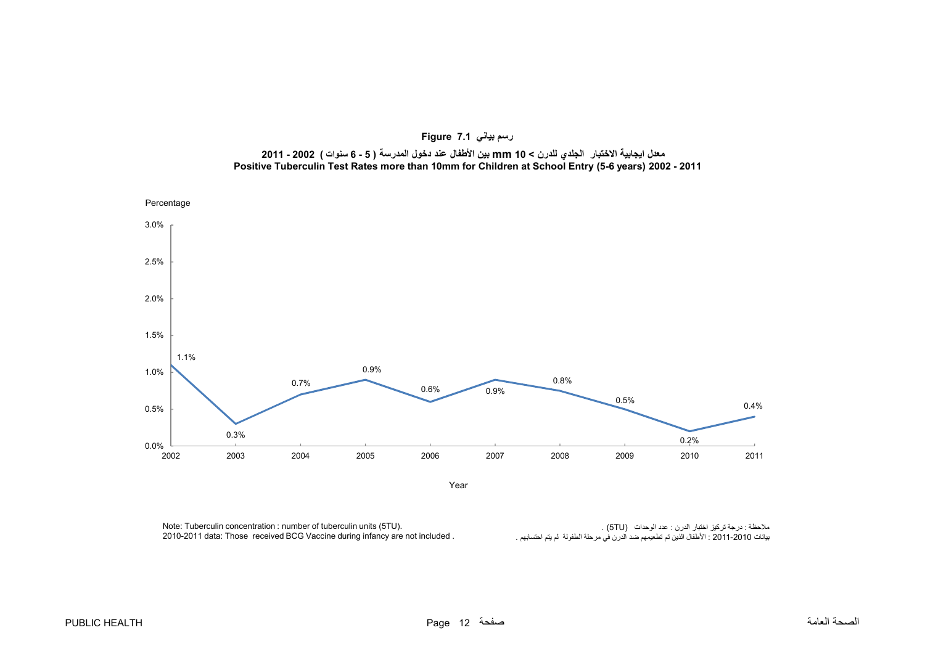<span id="page-12-0"></span>

**رسم بياني 7.1 Figure** معدل ايجابية الاختبار الجلدي للدرن > 10 mm بين الأطفال عند دخول المدرسة ( 5 - 6 سنوات ) 2002 - 2011 **Positive Tuberculin Test Rates more than 10mm for Children at School Entry (5-6 years) 2002 - 2011**

Note: Tuberculin concentration : number of tuberculin units (5TU). 2010-2011 data: Those received BCG Vaccine during infancy are not included .

ملاحظة : درجة تركيز اختبار الدرن : عدد الوحدات (5TU) .<br>بيانات 2010-2011 : الأطفال الذين تم تطعيمهم ضد الدرن في مرحلة الطفولة لم يتم احتسابهم .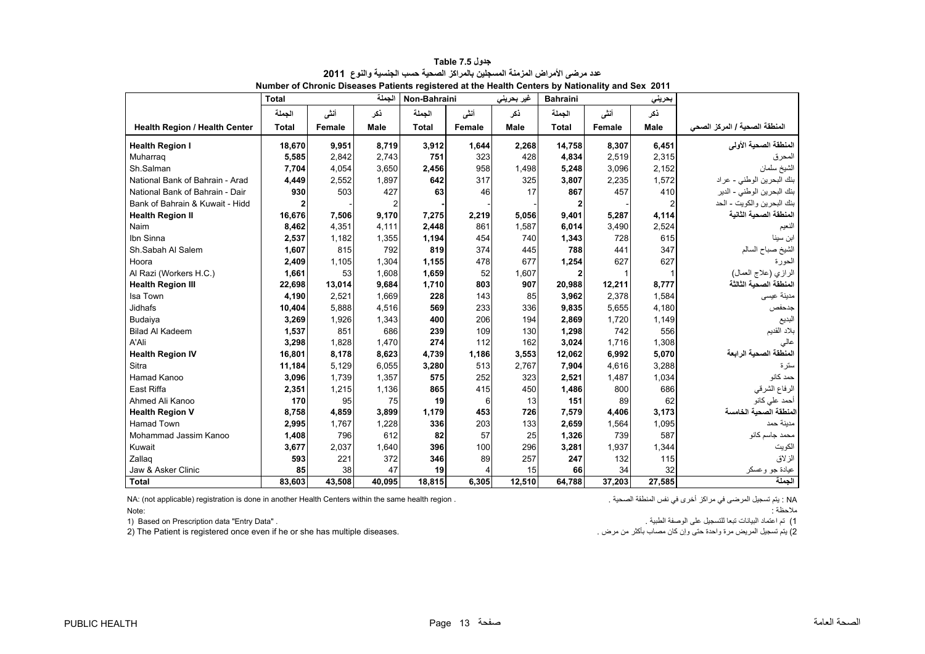<span id="page-13-0"></span>

|                                      | <b>Total</b> |        | الجملة      | Non-Bahraini |        | غير بحريني  | <b>Bahraini</b> |        | بحريني |                               |
|--------------------------------------|--------------|--------|-------------|--------------|--------|-------------|-----------------|--------|--------|-------------------------------|
|                                      | الجملة       | أنشى   | نكر         | الجملة       | أنشى   | نكر         | الجملة          | أنشى   | ذكر    |                               |
| <b>Health Region / Health Center</b> | <b>Total</b> | Female | <b>Male</b> | <b>Total</b> | Female | <b>Male</b> | <b>Total</b>    | Female | Male   | المنطقة الصحية / المركز الصحي |
| <b>Health Region I</b>               | 18,670       | 9,951  | 8,719       | 3,912        | 1,644  | 2,268       | 14,758          | 8,307  | 6,451  | المنطقة الصحية الأولى         |
| Muharrag                             | 5,585        | 2,842  | 2,743       | 751          | 323    | 428         | 4,834           | 2,519  | 2,315  | المحرق                        |
| Sh.Salman                            | 7,704        | 4,054  | 3,650       | 2,456        | 958    | 1,498       | 5,248           | 3,096  | 2,152  | الشيخ سلمان                   |
| National Bank of Bahrain - Arad      | 4,449        | 2,552  | 1,897       | 642          | 317    | 325         | 3,807           | 2,235  | 1,572  | بنك البحرين الوطني - عراد     |
| National Bank of Bahrain - Dair      | 930          | 503    | 427         | 63           | 46     | 17          | 867             | 457    | 410    | بنك البحرين الوطني - الدير    |
| Bank of Bahrain & Kuwait - Hidd      |              |        |             |              |        |             |                 |        |        | بنك البحرين والكويت - الحد    |
| <b>Health Region II</b>              | 16,676       | 7,506  | 9,170       | 7,275        | 2,219  | 5,056       | 9,401           | 5,287  | 4,114  | المنطقة الصحية الثانية        |
| Naim                                 | 8,462        | 4,351  | 4,111       | 2,448        | 861    | 1,587       | 6,014           | 3,490  | 2,524  | النعيم                        |
| Ibn Sinna                            | 2,537        | 1,182  | 1,355       | 1,194        | 454    | 740         | 1,343           | 728    | 615    | ابن سينا                      |
| Sh.Sabah Al Salem                    | 1,607        | 815    | 792         | 819          | 374    | 445         | 788             | 441    | 347    | الشيخ صباح السالم             |
| Hoora                                | 2,409        | 1,105  | 1,304       | 1,155        | 478    | 677         | 1,254           | 627    | 627    | الحورة                        |
| Al Razi (Workers H.C.)               | 1,661        | 53     | 1,608       | 1,659        | 52     | 1,607       | $\mathbf{2}$    |        |        | الرازي (علاج العمال)          |
| <b>Health Region III</b>             | 22,698       | 13,014 | 9,684       | 1,710        | 803    | 907         | 20,988          | 12,211 | 8,777  | المنطقة الصحية الثالثة        |
| Isa Town                             | 4,190        | 2,521  | 1,669       | 228          | 143    | 85          | 3,962           | 2,378  | 1,584  | مدينة عيسى                    |
| <b>Jidhafs</b>                       | 10,404       | 5,888  | 4,516       | 569          | 233    | 336         | 9,835           | 5,655  | 4,180  | جدحفص                         |
| Budaiya                              | 3,269        | 1,926  | 1,343       | 400          | 206    | 194         | 2,869           | 1,720  | 1,149  | البديع                        |
| <b>Bilad Al Kadeem</b>               | 1,537        | 851    | 686         | 239          | 109    | 130         | 1,298           | 742    | 556    | بلاد القديم                   |
| A'Ali                                | 3,298        | 1,828  | 1,470       | 274          | 112    | 162         | 3,024           | 1,716  | 1,308  | عالى                          |
| <b>Health Region IV</b>              | 16,801       | 8,178  | 8,623       | 4,739        | 1,186  | 3,553       | 12,062          | 6,992  | 5,070  | المنطقة الصحية الرابعة        |
| <b>Sitra</b>                         | 11,184       | 5,129  | 6,055       | 3,280        | 513    | 2,767       | 7,904           | 4,616  | 3,288  | ستر ۃ                         |
| Hamad Kanoo                          | 3,096        | 1,739  | 1,357       | 575          | 252    | 323         | 2,521           | 1,487  | 1,034  | حمد کانو                      |
| East Riffa                           | 2,351        | 1,215  | 1,136       | 865          | 415    | 450         | 1,486           | 800    | 686    | الرفاع الشرقي                 |
| Ahmed Ali Kanoo                      | 170          | 95     | 75          | 19           | 6      | 13          | 151             | 89     | 62     | أحمد على كانو                 |
| <b>Health Region V</b>               | 8,758        | 4,859  | 3,899       | 1,179        | 453    | 726         | 7,579           | 4,406  | 3,173  | لمنطقة الصحية الخامسة         |
| <b>Hamad Town</b>                    | 2,995        | 1,767  | 1,228       | 336          | 203    | 133         | 2,659           | 1,564  | 1,095  | مدبنة حمد                     |
| Mohammad Jassim Kanoo                | 1,408        | 796    | 612         | 82           | 57     | 25          | 1,326           | 739    | 587    | محمد جاسم كانو                |
| Kuwait                               | 3,677        | 2,037  | 1,640       | 396          | 100    | 296         | 3,281           | 1,937  | 1,344  | الكويت                        |
| Zallag                               | 593          | 221    | 372         | 346          | 89     | 257         | 247             | 132    | 115    | الزلاق                        |
| Jaw & Asker Clinic                   | 85           | 38     | 47          | 19           | 4      | 15          | 66              | 34     | 32     | عيادة جو وعسكر                |
| <b>Total</b>                         | 83,603       | 43,508 | 40,095      | 18,815       | 6,305  | 12,510      | 64,788          | 37,203 | 27,585 | الجملة                        |

**جدول 7.5 Table عدد مرضى األمراض المزمنة المسجلين بالمراكز الصحية حسب الجنسية والنوع<sup>2011</sup> Number of Chronic Diseases Patients registered at the Health Centers by Nationality and Sex 2011**

NA: (not applicable) registration is done in another Health Centers within the same health region . . . يتم تسجيل المرضى في مراكز أخرى في نفس المنطقة الصحية . المسجية المنطقة نفس المنطقة نفس المنطقة نفس المنطقة الصحية .

#### Note:

1) تم اعتماد البيانات تبعا للتسجيل على الوصفة الطبية .<br>2) يتم تسجيل المريض مرة واحدة حتى وإن كان مصاب بأكثر من مرض .<br>2) يتم تسجيل المريض مرة واحدة حتى وإن كان مصاب بأكثر من مرض . 2) The Patient is registered once even if he or she has multiple diseases.

#### ملاحظة : في المستقبل المستقبل المستقبل المستقبل المستقبل المستقبل المستقبل المستقبل المستقبل المستقبل المستقبل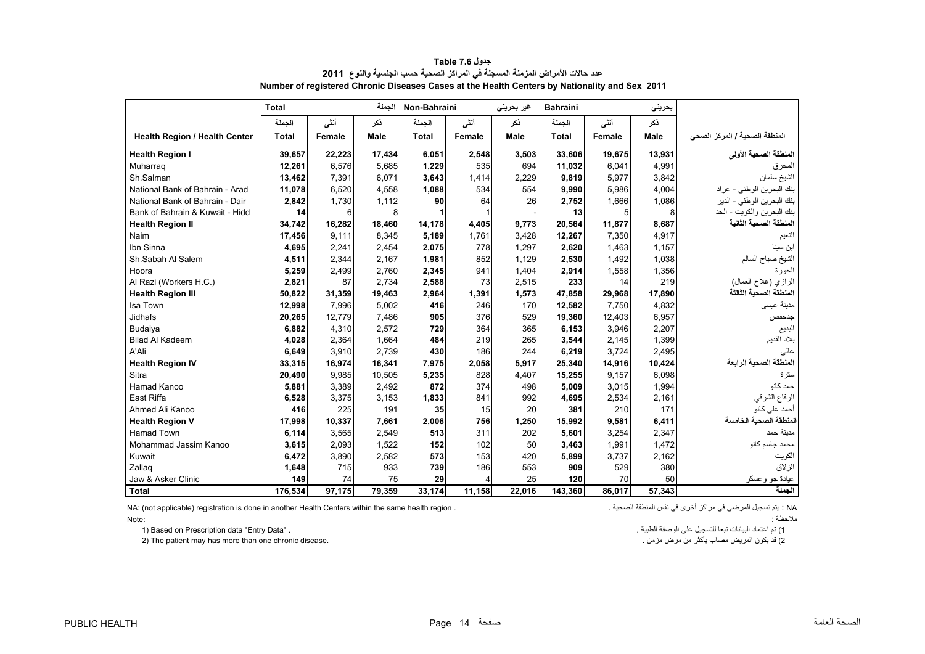<span id="page-14-0"></span>

|                                      | <b>Total</b> |        | الجملة | Non-Bahraini |        | غیر بحرینی | <b>Bahraini</b> |        | بحريني      |                               |
|--------------------------------------|--------------|--------|--------|--------------|--------|------------|-----------------|--------|-------------|-------------------------------|
|                                      | الجملة       | أنشى   | ذكر    | الجملة       | أنشى   | ذكر        | الجملة          | أنشى   | نكر         |                               |
| <b>Health Region / Health Center</b> | <b>Total</b> | Female | Male   | <b>Total</b> | Female | Male       | <b>Total</b>    | Female | <b>Male</b> | المنطقة الصحية / المركز الصحي |
| <b>Health Region I</b>               | 39,657       | 22,223 | 17,434 | 6,051        | 2,548  | 3,503      | 33,606          | 19,675 | 13,931      | المنطقة الصحية الأولى         |
| Muharrag                             | 12,261       | 6,576  | 5,685  | 1,229        | 535    | 694        | 11,032          | 6,041  | 4,991       | المحرق                        |
| Sh.Salman                            | 13,462       | 7,391  | 6.071  | 3,643        | 1.414  | 2,229      | 9,819           | 5,977  | 3,842       | الشيخ سلمان                   |
| National Bank of Bahrain - Arad      | 11,078       | 6,520  | 4,558  | 1,088        | 534    | 554        | 9,990           | 5,986  | 4,004       | بنك البحرين الوطني - عراد     |
| National Bank of Bahrain - Dair      | 2,842        | 1,730  | 1,112  | 90           | 64     | 26         | 2.752           | 1,666  | 1,086       | بنك البحرين الوطني - الدير    |
| Bank of Bahrain & Kuwait - Hidd      | 14           | 6      | 8      |              |        |            | 13              | 5      | 8           | بنك البحرين والكويت - الحد    |
| <b>Health Region II</b>              | 34,742       | 16,282 | 18,460 | 14.178       | 4,405  | 9,773      | 20,564          | 11,877 | 8,687       | المنطقة الصحية الثانية        |
| Naim                                 | 17,456       | 9.111  | 8,345  | 5,189        | 1,761  | 3,428      | 12,267          | 7,350  | 4,917       | النعيم                        |
| Ibn Sinna                            | 4.695        | 2.241  | 2.454  | 2,075        | 778    | 1.297      | 2,620           | 1.463  | 1.157       | ابن سينا                      |
| Sh.Sabah Al Salem                    | 4,511        | 2,344  | 2,167  | 1,981        | 852    | 1,129      | 2,530           | 1,492  | 1,038       | الشيخ صباح السالم             |
| Hoora                                | 5,259        | 2,499  | 2,760  | 2,345        | 941    | 1,404      | 2,914           | 1,558  | 1,356       | الحورة                        |
| Al Razi (Workers H.C.)               | 2,821        | 87     | 2,734  | 2,588        | 73     | 2,515      | 233             | 14     | 219         | الرازي (علاج العمال)          |
| <b>Health Region III</b>             | 50,822       | 31,359 | 19,463 | 2,964        | 1,391  | 1,573      | 47,858          | 29,968 | 17,890      | المنطقة الصحية الثالثة        |
| Isa Town                             | 12,998       | 7.996  | 5,002  | 416          | 246    | 170        | 12,582          | 7.750  | 4,832       | مدينة عيسى                    |
| <b>Jidhafs</b>                       | 20,265       | 12,779 | 7,486  | 905          | 376    | 529        | 19,360          | 12,403 | 6,957       | جدحفص                         |
| Budaiya                              | 6,882        | 4,310  | 2.572  | 729          | 364    | 365        | 6,153           | 3,946  | 2,207       | البديع                        |
| <b>Bilad Al Kadeem</b>               | 4,028        | 2,364  | 1,664  | 484          | 219    | 265        | 3,544           | 2.145  | 1,399       | بلاد القديم                   |
| A'Ali                                | 6,649        | 3,910  | 2,739  | 430          | 186    | 244        | 6,219           | 3,724  | 2,495       | عالى                          |
| <b>Health Region IV</b>              | 33,315       | 16,974 | 16,341 | 7,975        | 2,058  | 5,917      | 25,340          | 14,916 | 10,424      | المنطقة الصحية الرابعة        |
| Sitra                                | 20,490       | 9,985  | 10,505 | 5,235        | 828    | 4,407      | 15,255          | 9,157  | 6,098       | سترة                          |
| Hamad Kanoo                          | 5,881        | 3,389  | 2,492  | 872          | 374    | 498        | 5,009           | 3,015  | 1,994       | حمد کانو                      |
| <b>East Riffa</b>                    | 6,528        | 3,375  | 3,153  | 1,833        | 841    | 992        | 4,695           | 2,534  | 2,161       | الرفاع الشرقي                 |
| Ahmed Ali Kanoo                      | 416          | 225    | 191    | 35           | 15     | 20         | 381             | 210    | 171         | أحمد على كانو                 |
| <b>Health Region V</b>               | 17,998       | 10,337 | 7,661  | 2,006        | 756    | 1,250      | 15,992          | 9,581  | 6,411       | لمنطقة الصحية الخامسة         |
| <b>Hamad Town</b>                    | 6,114        | 3,565  | 2,549  | 513          | 311    | 202        | 5,601           | 3,254  | 2,347       | مدينة حمد                     |
| Mohammad Jassim Kanoo                | 3,615        | 2,093  | 1,522  | 152          | 102    | 50         | 3,463           | 1,991  | 1,472       | محمد جاسم كانو                |
| Kuwait                               | 6,472        | 3,890  | 2,582  | 573          | 153    | 420        | 5,899           | 3,737  | 2,162       | الكويت                        |
| Zallag                               | 1,648        | 715    | 933    | 739          | 186    | 553        | 909             | 529    | 380         | الزلاق                        |
| Jaw & Asker Clinic                   | 149          | 74     | 75     | 29           | 4      | 25         | 120             | 70     | 50          | عيادة جو وعسكر                |
| <b>Total</b>                         | 176,534      | 97,175 | 79,359 | 33,174       | 11,158 | 22,016     | 143,360         | 86,017 | 57,343      | الجملة                        |

**جدول 7.6 Table عدد حاالت األمراض المزمنة المسجلة في المراكز الصحية حسب الجنسية والنوع<sup>2011</sup> Number of registered Chronic Diseases Cases at the Health Centers by Nationality and Sex 2011**

NA: (not applicable) registration is done in another Health Centers within the same health region .

Note:

1) تم اعتماد البيانات تبعا للتسجيل على الوصفة الطبية . . "Data Entry "data Prescription on Based) 1 2) The patient may has more than one chronic disease.

مالحظة :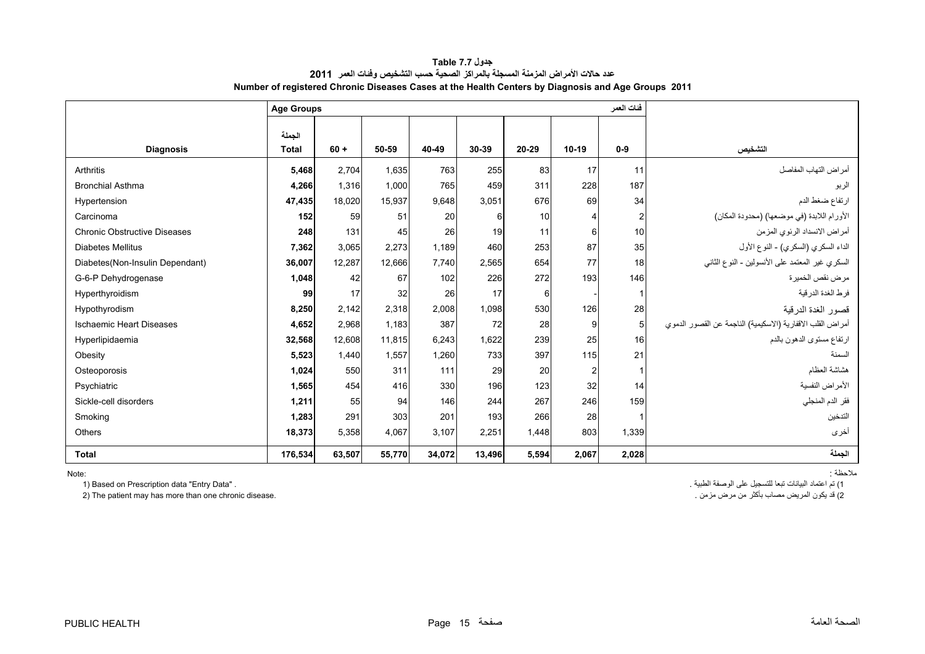| جدول Table 7.7                                                                                     |
|----------------------------------------------------------------------------------------------------|
| عدد حالات الأمر اض المزمنة المسجلة بالمر اكز الصحية حسب التشخيص وفئات العمر _2011                  |
| Number of registered Chronic Diseases Cases at the Health Centers by Diagnosis and Age Groups 2011 |

<span id="page-15-0"></span>

|                                     | <b>Age Groups</b>      |        |        |        |        |       |                       | فئات العمر              |                                                            |
|-------------------------------------|------------------------|--------|--------|--------|--------|-------|-----------------------|-------------------------|------------------------------------------------------------|
| <b>Diagnosis</b>                    | الجملة<br><b>Total</b> | $60 +$ | 50-59  | 40-49  | 30-39  | 20-29 | $10-19$               | $0-9$                   | التشخيص                                                    |
| Arthritis                           | 5.468                  | 2.704  | 1.635  | 763    | 255    | 83    | 17                    | 11                      | أمر اض التهاب المفاصل                                      |
| <b>Bronchial Asthma</b>             | 4,266                  | 1.316  | 1,000  | 765    | 459    | 311   | 228                   | 187                     | الربو                                                      |
| Hypertension                        | 47,435                 | 18,020 | 15,937 | 9,648  | 3,051  | 676   | 69                    | 34                      | ارتفاع ضغط الدم                                            |
| Carcinoma                           | 152                    | 59     | 51     | 20     | 6      | 10    | $\boldsymbol{\Delta}$ | $\overline{\mathbf{c}}$ | الأورام اللابدة (في موضعها) (محدودة المكان)                |
| <b>Chronic Obstructive Diseases</b> | 248                    | 131    | 45     | 26     | 19     | 11    | 6                     | 10                      | أمراض الانسداد الرئوي المزمن                               |
| <b>Diabetes Mellitus</b>            | 7,362                  | 3,065  | 2,273  | 1,189  | 460    | 253   | 87                    | 35                      | الداء السكري (السكري) - النوع الأول                        |
| Diabetes(Non-Insulin Dependant)     | 36,007                 | 12,287 | 12.666 | 7.740  | 2,565  | 654   | 77                    | 18                      | السكري غير المعتمد على الأنسولين - النوع الثاني            |
| G-6-P Dehydrogenase                 | 1.048                  | 42     | 67     | 102    | 226    | 272   | 193                   | 146                     | مر ض نقص الخمير ۃ                                          |
| Hyperthyroidism                     | 99                     | 17     | 32     | 26     | 17     | 6     |                       |                         | فرط الغدة الدرقية                                          |
| Hypothyrodism                       | 8,250                  | 2.142  | 2.318  | 2.008  | 1,098  | 530   | 126                   | 28                      | قصور الغدة الدرقية                                         |
| <b>Ischaemic Heart Diseases</b>     | 4,652                  | 2,968  | 1,183  | 387    | 72     | 28    | 9                     | 5 <sub>5</sub>          | أمراض القلب الاقفارية (الاسكيمية) الناجمة عن القصور الدموي |
| Hyperlipidaemia                     | 32,568                 | 12.608 | 11.815 | 6,243  | 1,622  | 239   | 25                    | 16                      | ارتفاع مستوى الدهون بالدم                                  |
| Obesity                             | 5,523                  | 1.440  | 1.557  | 1.260  | 733    | 397   | 115                   | 21                      | السمنة                                                     |
| Osteoporosis                        | 1,024                  | 550    | 311    | 111    | 29     | 20    | $\overline{2}$        |                         | هشاشة العظام                                               |
| Psychiatric                         | 1,565                  | 454    | 416    | 330    | 196    | 123   | 32                    | 14                      | الأمراض النفسية                                            |
| Sickle-cell disorders               | 1,211                  | 55     | 94     | 146    | 244    | 267   | 246                   | 159                     | فقر الدم المنجلي                                           |
| Smoking                             | 1,283                  | 291    | 303    | 201    | 193    | 266   | 28                    |                         | التدخين                                                    |
| Others                              | 18,373                 | 5,358  | 4,067  | 3.107  | 2,251  | 1,448 | 803                   | 1,339                   | أخرى                                                       |
| <b>Total</b>                        | 176,534                | 63,507 | 55.770 | 34,072 | 13,496 | 5,594 | 2,067                 | 2,028                   | الحملة                                                     |

Note:

1) Based on Prescription data "Entry Data" .

2) The patient may has more than one chronic disease.

ملاحظة :<br>1) تم اعتماد البيانات تبعا للتسجيل على الوصفة الطبية .<br>2) قد يكون المريض مصاب بأكثر من مرض مزمن .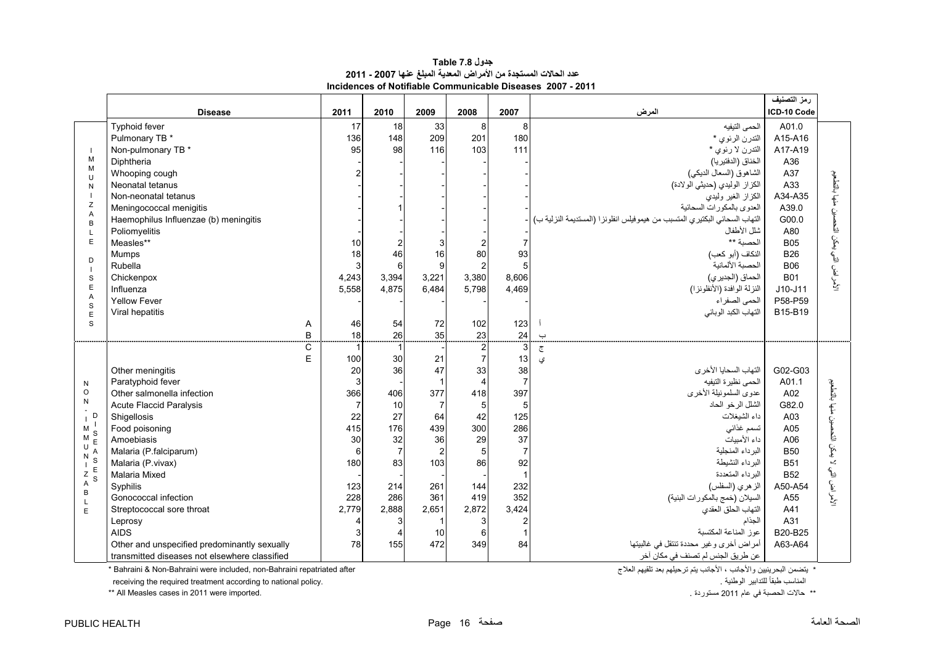| جدول Table 7.8                                                  |
|-----------------------------------------------------------------|
| عدد الحالات المستجدة من الأمراض المعدية المبلغ عنها 2007 - 2011 |
| Incidences of Notifiable Communicable Diseases  2007 - 2011     |

<span id="page-16-0"></span>

|                                |                                               |                |                          |                |                                  |                |                                                                            | رمز التصنيف |                                        |
|--------------------------------|-----------------------------------------------|----------------|--------------------------|----------------|----------------------------------|----------------|----------------------------------------------------------------------------|-------------|----------------------------------------|
|                                | <b>Disease</b>                                | 2011           | 2010                     | 2009           | 2008                             | 2007           | المرض                                                                      | ICD-10 Code |                                        |
|                                | Typhoid fever                                 | 17             | 18                       | 33             | 8 <sup>1</sup>                   | 8              | الحمى التيفيه                                                              | A01.0       |                                        |
|                                | Pulmonary TB *                                | 136            | 148                      | 209            | 201                              | 180            | التدرن الرئوي *                                                            | A15-A16     |                                        |
|                                | Non-pulmonary TB *                            | 95             | 98                       | 116            | 103                              | 111            | التدرن لا رئوي *                                                           | A17-A19     |                                        |
| M                              | Diphtheria                                    |                |                          |                |                                  |                | الخناق (الدفتيريا)                                                         | A36         |                                        |
| M<br>U                         | Whooping cough                                | $\overline{2}$ |                          |                |                                  |                | الشاهوق (السعال الديكي)                                                    | A37         |                                        |
| N                              | Neonatal tetanus                              |                |                          |                |                                  |                | الكزاز الوليدي (حديثي الولادة)                                             | A33         |                                        |
|                                | Non-neonatal tetanus                          |                |                          |                |                                  |                | الكزاز الغير وليدي                                                         | A34-A35     | لأمراض التي يمكن التحصين منها بالتطعيم |
| Ζ<br>$\overline{A}$            | Meningococcal menigitis                       |                |                          |                |                                  |                | العدوى بالمكورات السحائية                                                  | A39.0       |                                        |
| B                              | Haemophilus Influenzae (b) meningitis         |                |                          |                |                                  |                | التهاب السحائي البكتيري المتسبب من هيموفيلس انفلونزا (المستديمة النزلية ب) | G00.0       |                                        |
| L                              | Poliomyelitis                                 |                |                          |                |                                  |                | شلل الأطفال                                                                | A80         |                                        |
| E                              | Measles**                                     | 10             | $\overline{2}$           |                |                                  |                | الحصبة **                                                                  | <b>B05</b>  |                                        |
| D                              | Mumps                                         | 18             | 46                       | 16             | 80                               | 93             | النكاف (أبو كعب)                                                           | <b>B26</b>  |                                        |
|                                | Rubella                                       | 3              | 6                        | $\mathbf{Q}$   |                                  |                | الحصبة الألمانبة                                                           | <b>B06</b>  |                                        |
| $\mathbf S$                    | Chickenpox                                    | 4,243          | 3,394                    | 3,221          | 3,380                            | 8,606          | الحماق (الجديري)                                                           | <b>B01</b>  |                                        |
| E<br>A                         | Influenza                                     | 5,558          | 4,875                    | 6,484          | 5,798                            | 4,469          | النزلة الوافدة (الأنفلونزا)                                                | $J10-J11$   |                                        |
| S                              | <b>Yellow Fever</b>                           |                |                          |                |                                  |                | الحمى الصفر اء                                                             | P58-P59     |                                        |
| E                              | Viral hepatitis                               |                |                          |                |                                  |                | التهاب الكبد الوبائي                                                       | B15-B19     |                                        |
| S                              | Α                                             | 46             | 54                       | 72             | 102                              | 123            |                                                                            |             |                                        |
|                                | B                                             | 18             | 26                       | 35             | 23                               | 24             | $\rightarrow$                                                              |             |                                        |
|                                | $\mathsf C$<br>E                              | $\overline{1}$ | $\mathbf{1}$             |                | $\overline{c}$<br>$\overline{7}$ |                | $\overline{c}$                                                             |             |                                        |
|                                |                                               | 100<br>20      | 30<br>36                 | 21<br>47       | 33                               | 13<br>38       | ی<br>التهاب السحايا الأخرى                                                 | G02-G03     |                                        |
|                                | Other meningitis<br>Paratyphoid fever         | $\mathbf{3}$   |                          |                | $\overline{\mathbf{4}}$          |                | الحمى نظيرة التيفيه                                                        | A01.1       |                                        |
| N<br>$\circ$                   | Other salmonella infection                    | 366            | 406                      | 377            | 418                              | 397            | عدوى السلمونيلة الأخرى                                                     | A02         | التحصين منها بالتطعيم                  |
| ${\sf N}$                      | <b>Acute Flaccid Paralysis</b>                | $\overline{7}$ | 10                       | $\overline{7}$ | 5                                | 5              | الشلل الرخو الحاد                                                          | G82.0       |                                        |
| D                              | Shigellosis                                   | 22             | 27                       | 64             | 42                               | 125            | داء الشبغلات                                                               | A03         |                                        |
| М                              | Food poisoning                                | 415            | 176                      | 439            | 300                              | 286            | تسمم غذائى                                                                 | A05         |                                        |
| М                              | Amoebiasis                                    | 30             | 32                       | 36             | 29                               | 37             | داء الأمييات                                                               | A06         |                                        |
| U                              | Malaria (P.falciparum)                        | 6              | $\overline{7}$           | $\overline{2}$ | 5                                | $\overline{7}$ | البرداء المنجلية                                                           | <b>B50</b>  | لا يعكن ا                              |
| ${\sf N}$<br>S<br>$\mathbf{I}$ | Malaria (P.vivax)                             | 180            | 83                       | 103            | 86                               | 92             | البرداء النشيطة                                                            | <b>B51</b>  |                                        |
| $rac{E}{S}$<br>$\frac{Z}{A}$   | Malaria Mixed                                 |                |                          |                |                                  |                | البرداء المتعددة                                                           | <b>B52</b>  |                                        |
|                                | Syphilis                                      | 123            | 214                      | 261            | 144                              | 232            | الز هري (السفلس)                                                           | A50-A54     |                                        |
| $\sf B$<br>$\mathsf{L}$        | Gonococcal infection                          | 228            | 286                      | 361            | 419                              | 352            | السيلان (خمج بالمكورات البنية)                                             | A55         | الأمراض التي ل                         |
| E                              | Streptococcal sore throat                     | 2,779          | 2,888                    | 2,651          | 2,872                            | 3,424          | التهاب الحلق العقدي                                                        | A41         |                                        |
|                                | Leprosy                                       | 4              | 3                        |                | 3                                |                | الجذام                                                                     | A31         |                                        |
|                                | <b>AIDS</b>                                   | 3              | $\boldsymbol{\varDelta}$ | 10             | 6                                |                | عوز المناعة المكتسبة                                                       | B20-B25     |                                        |
|                                | Other and unspecified predominantly sexually  | 78             | 155                      | 472            | 349                              | 84             | أمراض أخرى وغير محددة تنتقل في غالبيتها                                    | A63-A64     |                                        |
|                                | transmitted diseases not elsewhere classified |                |                          |                |                                  |                | عن طريق الجنس لم تصنف في مكان آخر                                          |             |                                        |

 $*$  Bahraini & Non-Bahraini were included, non-Bahraini repatriated after

.<br>\* يتضمن البحرينيين والأجانب ، الأجانب يتم ترحيلهم بعد تلقيهم العلاج<br>المناسب طبقاً للتدابير الوطنية .

 receiving the required treatment according to national policy. . الوطنية للتدابير ًطبقا المناسب \*\* All Measles cases in 2011 were imported.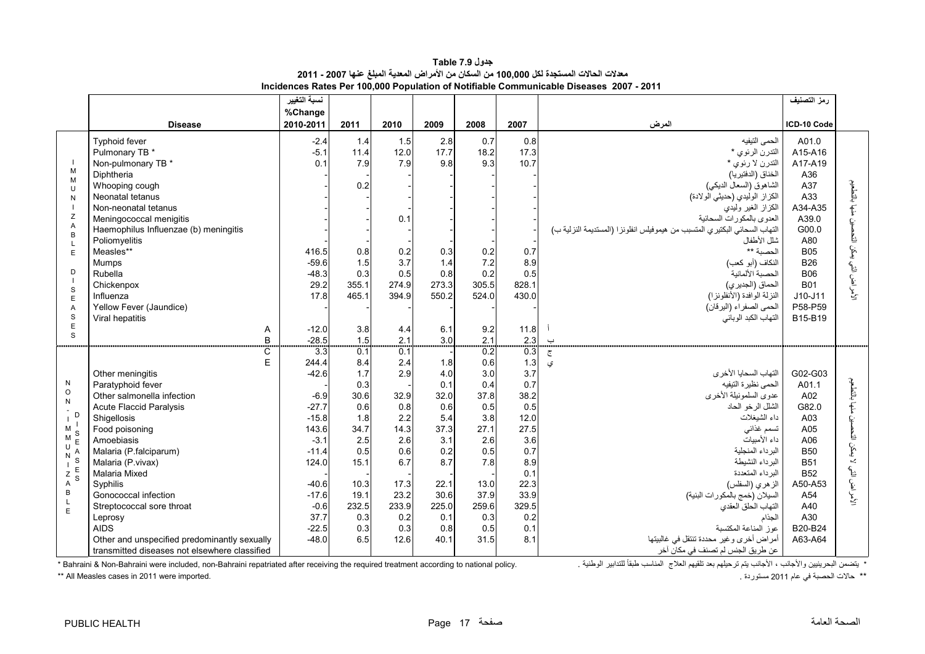| جدول Table 7.9                                                                                 |
|------------------------------------------------------------------------------------------------|
| معدلات الحالات المستجدة لكل 100,000 من السكان من الأمراض المعدية المبلغ عنها 2007 - 2011       |
| <b>Incidences Rates Per 100.000 Population of Notifiable Communicable Diseases 2007 - 2011</b> |

<span id="page-17-0"></span>

|                                                                                                                              |                                                                                                                                                                                                                                                                                                                                                                                                                                    | نسبة التغيير<br>%Change                                                                                                                                                  |                                                                                                                            |                                                                                                                     |                                                                                                                     |                                                                                                                            |                                                                                                                                   |                                                                                                                                                                                                                                                                                                                                                                                                                                                                                | رمز التصنيف                                                                                                                                                                     |                                                              |
|------------------------------------------------------------------------------------------------------------------------------|------------------------------------------------------------------------------------------------------------------------------------------------------------------------------------------------------------------------------------------------------------------------------------------------------------------------------------------------------------------------------------------------------------------------------------|--------------------------------------------------------------------------------------------------------------------------------------------------------------------------|----------------------------------------------------------------------------------------------------------------------------|---------------------------------------------------------------------------------------------------------------------|---------------------------------------------------------------------------------------------------------------------|----------------------------------------------------------------------------------------------------------------------------|-----------------------------------------------------------------------------------------------------------------------------------|--------------------------------------------------------------------------------------------------------------------------------------------------------------------------------------------------------------------------------------------------------------------------------------------------------------------------------------------------------------------------------------------------------------------------------------------------------------------------------|---------------------------------------------------------------------------------------------------------------------------------------------------------------------------------|--------------------------------------------------------------|
|                                                                                                                              | <b>Disease</b>                                                                                                                                                                                                                                                                                                                                                                                                                     | 2010-2011                                                                                                                                                                | 2011                                                                                                                       | 2010                                                                                                                | 2009                                                                                                                | 2008                                                                                                                       | 2007                                                                                                                              | المرض                                                                                                                                                                                                                                                                                                                                                                                                                                                                          | ICD-10 Code                                                                                                                                                                     |                                                              |
| M<br>M<br>U<br>N<br>Z<br>Α<br>B<br>$\mathbf{I}$<br>E<br>D<br>S<br>E<br>$\overline{A}$<br>$\mathbf S$<br>E<br>S               | Typhoid fever<br>Pulmonary TB *<br>Non-pulmonary TB *<br>Diphtheria<br>Whooping cough<br>Neonatal tetanus<br>Non-neonatal tetanus<br>Meningococcal menigitis<br>Haemophilus Influenzae (b) meningitis<br>Poliomyelitis<br>Measles**<br>Mumps<br>Rubella<br>Chickenpox<br>Influenza<br>Yellow Fever (Jaundice)<br>Viral hepatitis<br>Α<br>B                                                                                         | $-2.4$<br>$-5.1$<br>0.1<br>416.5<br>$-59.6$<br>$-48.3$<br>29.2<br>17.8<br>$-12.0$<br>$-28.5$                                                                             | 1.4<br>11.4<br>7.9<br>0.2<br>0.8<br>1.5<br>0.3<br>355.1<br>465.1<br>3.8<br>1.5                                             | 1.5<br>12.0<br>7.9<br>0.1<br>0.2<br>3.7<br>0.5<br>274.9<br>394.9<br>4.4<br>2.1                                      | 2.8<br>17.7<br>9.8<br>0.3<br>1.4<br>0.8<br>273.3<br>550.2<br>6.1<br>3.0                                             | 0.7<br>18.2<br>9.3<br>0.2<br>7.2<br>0.2<br>305.5<br>524.0<br>9.2<br>2.1                                                    | 0.8<br>17.3<br>10.7<br>0.7<br>8.9<br>0.5<br>828.1<br>430.0<br>11.8<br>2.3                                                         | الحمى النيفيه<br>التدرن الرئوي *<br>التدرن لا رئوي *<br>الخناق (الدفتيريا)<br>الشاهوق (السعال الديكي)<br>الكزاز الوليدي (حديثي الولادة)<br>الكزاز الغير وليدي<br>العدوى بالمكورات السحائية<br>التهاب السحائي البكتيري المتسبب من هيموفيلس انفلونزا (المستديمة النزلية ب)<br>شلل الأطفال<br>الحصبة **<br>النكاف (أبو كعب)<br>الحصبة الألمانية<br>الحماق (الجديري)<br>النزلة الوافدة (الأنفلونزا)<br>الحمى الصفراء (اليرقان)<br>التهاب الكبد الوباني<br>$\overline{\phantom{0}}$ | A01.0<br>A15-A16<br>A17-A19<br>A36<br>A37<br>A33<br>A34-A35<br>A39.0<br>G00.0<br>A80<br><b>B05</b><br><b>B26</b><br><b>B06</b><br><b>B01</b><br>$J10-J11$<br>P58-P59<br>B15-B19 | بالتكعيم<br>بمكن التحد<br>$\tilde{\mathcal{C}}$<br>الأمراض ا |
| N<br>$\circ$<br>N<br>D<br>M<br>S<br>M<br>U<br>N<br>S<br>$\mathbf{I}$<br>$Z$ <sup>E</sup><br><sub>S</sub><br>A<br>B<br>L<br>E | C<br>E<br>Other meningitis<br>Paratyphoid fever<br>Other salmonella infection<br><b>Acute Flaccid Paralysis</b><br>Shigellosis<br>Food poisoning<br>Amoebiasis<br>Malaria (P.falciparum)<br>Malaria (P. vivax)<br><b>Malaria Mixed</b><br>Syphilis<br>Gonococcal infection<br>Streptococcal sore throat<br>Leprosy<br><b>AIDS</b><br>Other and unspecified predominantly sexually<br>transmitted diseases not elsewhere classified | $\overline{3}3$<br>244.4<br>$-42.6$<br>$-6.9$<br>$-27.7$<br>$-15.8$<br>143.6<br>$-3.1$<br>$-11.4$<br>124.0<br>$-40.6$<br>$-17.6$<br>$-0.6$<br>37.7<br>$-22.5$<br>$-48.0$ | 0.1<br>8.4<br>1.7<br>0.3<br>30.6<br>0.6<br>1.8<br>34.7<br>2.5<br>0.5<br>15.1<br>10.3<br>19.1<br>232.5<br>0.3<br>0.3<br>6.5 | 0.1<br>2.4<br>2.9<br>32.9<br>0.8<br>2.2<br>14.3<br>2.6<br>0.6<br>6.7<br>17.3<br>23.2<br>233.9<br>0.2<br>0.3<br>12.6 | 1.8<br>4.0<br>0.1<br>32.0<br>0.6<br>5.4<br>37.3<br>3.1<br>0.2<br>8.7<br>22.1<br>30.6<br>225.0<br>0.1<br>0.8<br>40.1 | 0.2<br>0.6<br>3.0<br>0.4<br>37.8<br>0.5<br>3.8<br>27.1<br>2.6<br>0.5<br>7.8<br>13.0<br>37.9<br>259.6<br>0.3<br>0.5<br>31.5 | 0.3<br>1.3<br>3.7<br>0.7<br>38.2<br>0.5<br>12.0<br>27.5<br>3.6<br>0.7<br>8.9<br>0.1<br>22.3<br>33.9<br>329.5<br>0.2<br>0.1<br>8.1 | $\overline{c}$<br>ى<br>التهاب السحايا الأخرى<br>الحمى نظيرة التيفيه<br>عدوى السلمونيلة الأخرى<br>الشلل الرخو الحاد<br>داء الشيغلات<br>تسمم غذائى<br>داء الأميبات<br>البر داء المنجلبة<br>البرداء النشيطة<br>البر داء المتعددة<br>الزهري (السفلس)<br>السيلان (خمج بالمكورات البنية)<br>التهاب الحلق العقدي<br>الجذام<br>عوز المناعة المكتسبة<br>أمراض أخرى وغير محددة تنتقل في غالبيتها<br>عن طريق الجنس لم تصنف في مكان آخر                                                    | G02-G03<br>A01.1<br>A02<br>G82.0<br>A03<br>A05<br>A06<br><b>B50</b><br><b>B51</b><br><b>B52</b><br>A50-A53<br>A54<br>A40<br>A30<br>B20-B24<br>A63-A64                           | بالتطعيم<br>Ċ.<br>Ŀ<br>تى<br>كى<br>K<br>٩<br>الأمراض         |

\* يتضمن البحرينيين والأجانب، الأجانب يتم ترحيلهم بعد تلقيهم العلاج المناسب طبقاً للتدابير الوطنية .<br>\*\* حالات الحصبة في عام 2011 معسوردة .<br>\*\* حالات الحصبة في عام 2011 معسوردة .

\*\* All Measles cases in 2011 were imported.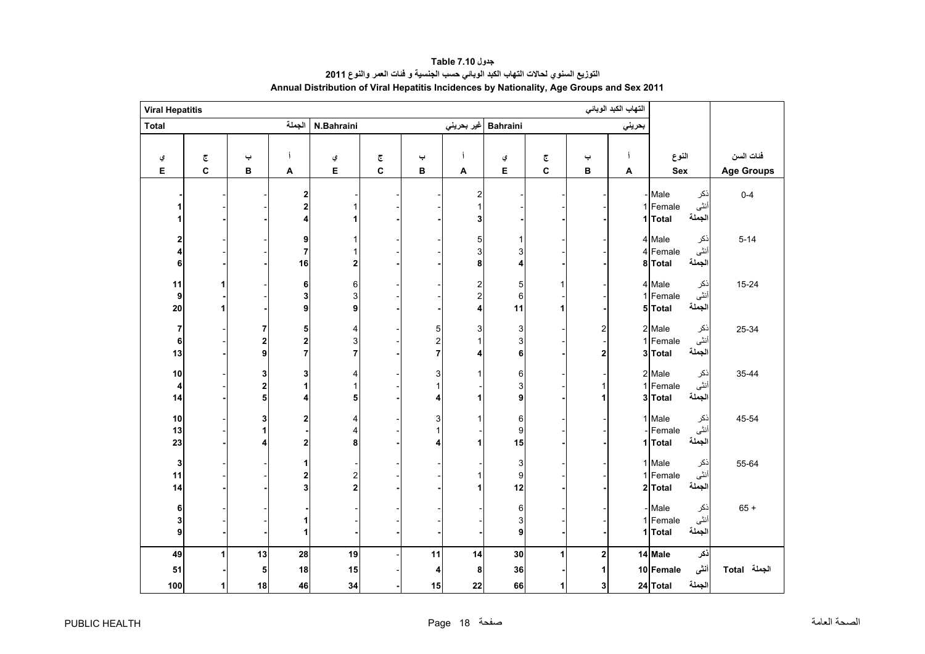<span id="page-18-0"></span>

| <b>Viral Hepatitis</b> |                         |             |                          |                                               |                         |                                                |                                   |                                     |                         |                  | التهاب الكبد الوبائي |                                                        |                   |
|------------------------|-------------------------|-------------|--------------------------|-----------------------------------------------|-------------------------|------------------------------------------------|-----------------------------------|-------------------------------------|-------------------------|------------------|----------------------|--------------------------------------------------------|-------------------|
| <b>Total</b>           |                         |             | الجملة                   | N.Bahraini                                    |                         |                                                |                                   | Bahraini  غیر بحرینی                |                         |                  | بحريني               |                                                        |                   |
|                        |                         |             |                          |                                               |                         |                                                |                                   |                                     |                         |                  |                      |                                                        |                   |
| ي                      | $\overline{\mathbb{C}}$ | پ           | j                        | ي                                             | $\overline{\mathbb{C}}$ | پ                                              | j                                 | ي                                   | $\overline{\mathbb{C}}$ | پ                |                      | النوع                                                  | فئات السن         |
| Е                      | $\mathbf c$             | в           | A                        | Е                                             | C                       | в                                              | A                                 | Е                                   | C                       | в                | A                    | Sex                                                    | <b>Age Groups</b> |
|                        |                         |             | 2<br>2<br>4              | 1<br>1                                        |                         |                                                | $\overline{\mathbf{c}}$<br>1<br>3 |                                     |                         |                  |                      | ذكر<br>- Male<br>أنثى<br>1 Female<br>الجملة<br>1 Total | $0 - 4$           |
| 2<br>4<br>6            |                         |             | 9<br>7<br>16             | 1<br>1<br>$\bf{2}$                            |                         |                                                | 5<br>3<br>8                       | 3<br>4                              |                         |                  |                      | 4 Male<br>ذكر<br>أنثى<br>4 Female<br>الجملة<br>8 Total | $5 - 14$          |
| 11<br>9<br>${\bf 20}$  | 1                       |             | 6<br>3<br>9              | $\mathbf 6$<br>$\ensuremath{\mathsf{3}}$<br>9 |                         |                                                | $\frac{2}{2}$<br>4                | 5<br>$\,6$<br>11                    | 1<br>1                  |                  |                      | 4 Male<br>ذكر<br>أنثى<br>1 Female<br>الجملة<br>5 Total | $15 - 24$         |
| 7<br>6<br>13           |                         | 7<br>2<br>9 | 5<br>2<br>$\overline{7}$ | 4<br>3<br>$\overline{7}$                      |                         | 5<br>$\overline{\mathbf{c}}$<br>$\overline{7}$ | 3<br>1<br>4                       | 3<br>3<br>6                         |                         | 2<br>$\mathbf 2$ |                      | 2 Male<br>ذكر<br>أنثى<br>1 Female<br>الجملة<br>3 Total | 25-34             |
| $10$<br>4<br>14        |                         | 3<br>2<br>5 | 3<br>4                   | 4<br>$\mathbf{1}$<br>5                        |                         | 3<br>$\mathbf{1}$<br>4                         | 1<br>1                            | 6<br>3<br>9                         |                         | 1<br>1           |                      | 2 Male<br>ذكر<br>أنثى<br>1 Female<br>الجملة<br>3 Total | 35-44             |
| $10$<br>13<br>23       |                         | 3<br>1<br>4 | 2<br>2                   | 4<br>4<br>8                                   |                         | 3<br>4                                         | 1<br>1                            | $\,6$<br>$\boldsymbol{9}$<br>15     |                         |                  |                      | 1 Male<br>نكر<br>أنثى<br>Female<br>الجملة<br>1 Total   | 45-54             |
| 3<br>11<br>14          |                         |             | 2<br>3                   | $\frac{2}{2}$                                 |                         |                                                | 1<br>1                            | 3<br>$\boldsymbol{9}$<br>12         |                         |                  |                      | 1 Male<br>ذكر<br>أنثى<br>1 Female<br>الجملة<br>2 Total | 55-64             |
| 6<br>$\mathbf{3}$<br>9 |                         |             |                          |                                               |                         |                                                |                                   | 6<br>$\ensuremath{\mathsf{3}}$<br>9 |                         |                  |                      | ذكر<br>- Male<br>أنثى<br>1 Female<br>الجملة<br>1 Total | $65 +$            |
| 49                     |                         | 13          | 28                       | 19                                            |                         | 11                                             | 14                                | 30                                  | 1                       | $\overline{2}$   |                      | 14 Male<br>ذكر                                         |                   |
| 51                     |                         | 5           | 18                       | 15                                            |                         | 4                                              | 8                                 | 36                                  |                         | 1                |                      | أننى<br>10 Female                                      | الجملة Total      |
| 100                    | 1                       | 18          | 46                       | 34                                            |                         | 15                                             | 22                                | 66                                  | 1                       | 3 <sup>1</sup>   |                      | الجملة<br>24 Total                                     |                   |

### **جدول 7.10 Table التوزيع السنوي لحاالت التھاب الكبد الوبائي حسب الجنسية <sup>و</sup> فئات العمر والنوع <sup>2011</sup> Annual Distribution of Viral Hepatitis Incidences by Nationality, Age Groups and Sex 2011**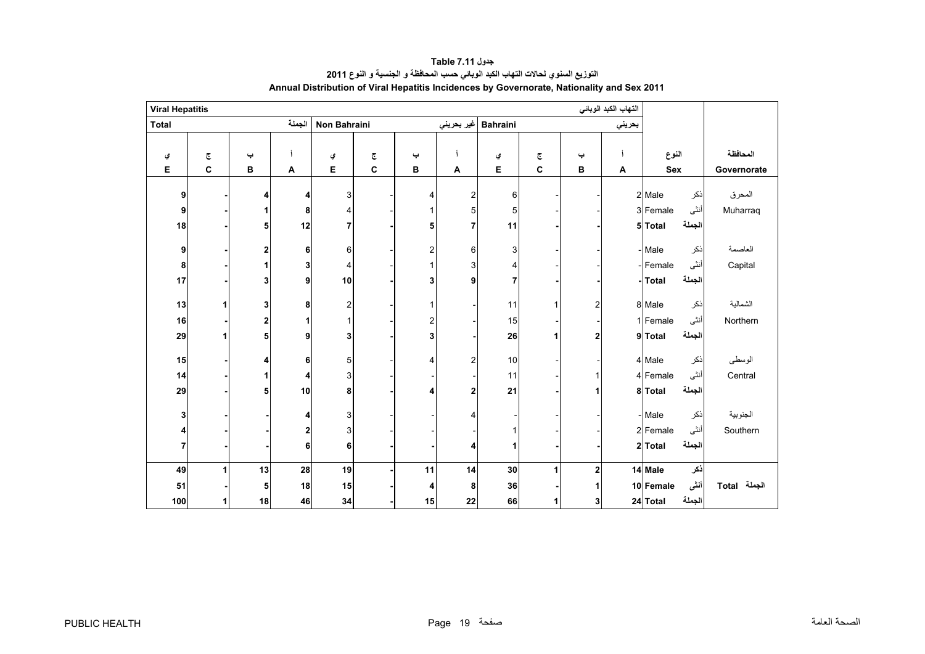<span id="page-19-0"></span>

| <b>Viral Hepatitis</b>  |                         |    |        |                           |   |                         |                |                 |                         |              | التهاب الكبد الوبائي |            |        |              |
|-------------------------|-------------------------|----|--------|---------------------------|---|-------------------------|----------------|-----------------|-------------------------|--------------|----------------------|------------|--------|--------------|
| <b>Total</b>            |                         |    | الجملة | Non Bahraini              |   |                         | غير بحريني     | <b>Bahraini</b> |                         |              | بحريني               |            |        |              |
|                         |                         |    |        |                           |   |                         |                |                 |                         |              |                      |            |        |              |
| ي                       | $\overline{\mathbb{C}}$ | پ  |        | ي                         | چ | پ                       |                | ي               | $\overline{\mathbb{C}}$ | پ            |                      | النوع      |        | المحافظة     |
| Е                       | $\mathbf{C}$            | в  | A      | Е                         | C | В                       | A              | Е               | $\mathbf{C}$            | в            | A                    | <b>Sex</b> |        | Governorate  |
| 9                       |                         | 4  | 4      | 3                         |   | 4                       | $\overline{2}$ | 6               |                         |              |                      | 2 Male     | ذكر    | المحرق       |
| 9                       |                         |    | 8      | 4                         |   |                         | 5              | 5               |                         |              |                      | 3 Female   | أنثى   | Muharraq     |
| 18                      |                         | 5  | 12     | $\overline{7}$            |   | 5                       | $\overline{7}$ | 11              |                         |              |                      | 5 Total    | الجملة |              |
|                         |                         |    |        |                           |   |                         |                |                 |                         |              |                      |            |        |              |
| 9                       |                         | 2  | 6      | $\,6$                     |   | $\overline{\mathbf{c}}$ | 6              | 3               |                         |              |                      | - Male     | ذكر    | العاصمة      |
| 8                       |                         |    | 3      | 4                         |   |                         | 3              | 4               |                         |              |                      | -Female    | أنثى   | Capital      |
| 17                      |                         | 3  | 9      | 10                        |   | 3                       | 9              | $\overline{7}$  |                         |              |                      | - Total    | الجملة |              |
|                         |                         |    |        |                           |   |                         |                |                 |                         |              |                      |            |        |              |
| 13                      | 1                       | 3  | 8      | $\overline{\mathbf{c}}$   |   |                         |                | 11              | 1                       | $\mathbf{2}$ |                      | 8 Male     | ذكر    | الشمالية     |
| 16                      |                         | 2  |        | $\mathbf{1}$              |   | 2                       |                | 15              |                         |              |                      | 1 Female   | أنثى   | Northern     |
| 29                      | 1                       | 5  | 9      | 3                         |   | 3                       |                | 26              | 1                       | 2            |                      | 9 Total    | الجملة |              |
| 15                      |                         | 4  | 6      | 5                         |   | 4                       | $\overline{2}$ | 10              |                         |              |                      | 4 Male     | ذكر    | الوسطى       |
| 14                      |                         | 1  | 4      | 3                         |   |                         |                | 11              |                         | $\mathbf{1}$ |                      | 4 Female   | أنثى   | Central      |
| 29                      |                         | 5  | 10     | 8                         |   | 4                       | 2              | 21              |                         | 1            |                      | 8 Total    | الجملة |              |
|                         |                         |    |        |                           |   |                         |                |                 |                         |              |                      |            |        |              |
| 3                       |                         |    | 4      | $\ensuremath{\mathsf{3}}$ |   |                         |                |                 |                         |              |                      | - Male     | ذكر    | الجنوبية     |
| 4                       |                         |    | 2      | 3                         |   |                         |                | 1               |                         |              |                      | 2 Female   | أنثى   | Southern     |
| $\overline{\mathbf{r}}$ |                         |    | 6      | 6                         |   |                         | Δ              | 1               |                         |              |                      | 2 Total    | الجملة |              |
|                         |                         |    |        |                           |   |                         |                |                 |                         |              |                      |            |        |              |
| 49                      | 1                       | 13 | 28     | 19                        |   | 11                      | 14             | 30              | 1                       | $\bf{2}$     |                      | 14 Male    | ذكر    |              |
| 51                      |                         | 5  | 18     | 15                        |   | 4                       | 8              | 36              |                         | 1            |                      | 10 Female  | أننى   | الجملة Total |
| 100                     | 1                       | 18 | 46     | 34                        |   | 15                      | 22             | 66              | 1                       | 3            |                      | 24 Total   | الجملة |              |

**جدول 7.11 Table التوزيع السنوي لحاالت التھاب الكبد الوبائي حسب المحافظة <sup>و</sup> الجنسية <sup>و</sup> النوع <sup>2011</sup> Annual Distribution of Viral Hepatitis Incidences by Governorate, Nationality and Sex 2011**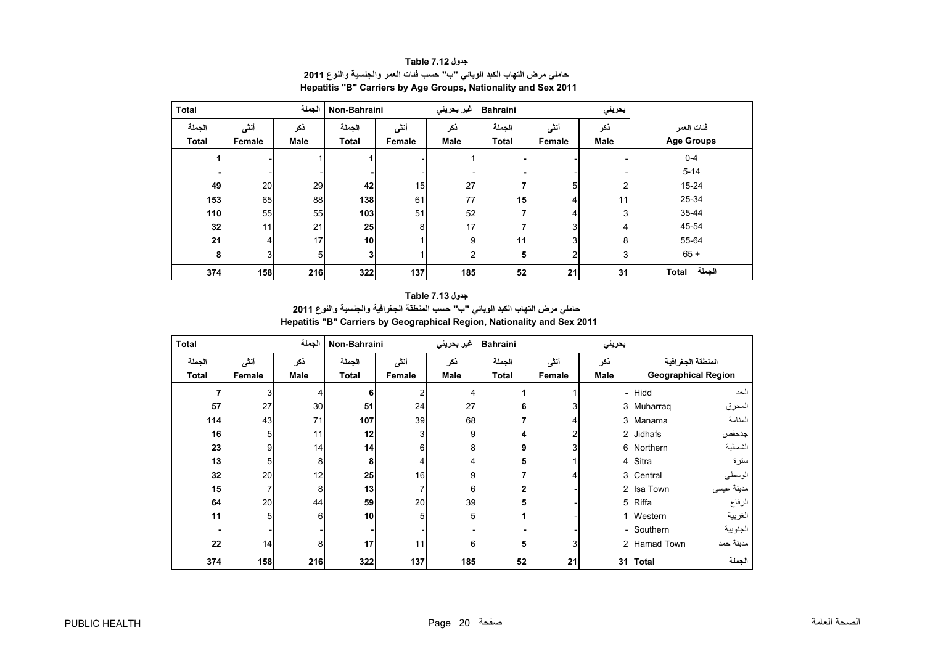<span id="page-20-0"></span>

| <b>Total</b> |        | الجملة      | Non-Bahraini    |        | غير بحريني     | <b>Bahraini</b> |                | بحريني       |                   |
|--------------|--------|-------------|-----------------|--------|----------------|-----------------|----------------|--------------|-------------------|
| الجملة       | أنشى   | ذكر         | الجملة          | أنشى   | ذكر            | الجملة          | أنشى           | ذكر          | فئات العمر        |
| <b>Total</b> | Female | <b>Male</b> | <b>Total</b>    | Female | <b>Male</b>    | <b>Total</b>    | Female         | <b>Male</b>  | <b>Age Groups</b> |
|              |        |             |                 |        |                |                 |                |              | $0 - 4$           |
|              |        |             |                 |        |                |                 |                |              | $5 - 14$          |
| 49           | 20     | 29          | 42              | 15     | 27             |                 | 5              | 2            | 15-24             |
| 153          | 65     | 88          | 138             | 61     | 77             | 15              | 4              | 111          | 25-34             |
| 110          | 55     | 55          | 103             | 51     | 52             |                 | 4              | $\mathbf{3}$ | 35-44             |
| 32           | 11     | 21          | 25              | 8      | 17             |                 | 3 <sub>l</sub> | 4            | 45-54             |
| 21           | 4      | 17          | 10 <sup>1</sup> |        | 9              | 11              | 3 <sup>1</sup> | 8            | 55-64             |
| 8            | 3      | 5           | 3 <sub>l</sub>  |        | $\overline{2}$ | 5               | 2 <sub>1</sub> | $\mathbf{3}$ | $65 +$            |
| 374          | 158    | 216         | 322             | 137    | 185            | 52              | 21             | 31           | الجملة<br>Total   |

#### **جدول 7.12 Table حاملي مرض التھاب الكبد الوبائي "ب" حسب فئات العمر والجنسية والنوع <sup>2011</sup> Hepatitis "B" Carriers by Age Groups, Nationality and Sex 2011**

## **جدول 7.13 Table حاملي مرض التھاب الكبد الوبائي "ب" حسب المنطقة الجغرافية والجنسية والنوع <sup>2011</sup>**

**Hepatitis "B" Carriers by Geographical Region, Nationality and Sex 2011**

| <b>Total</b> |        | الجملة | Non-Bahraini |        | غير بحريني | <b>Bahraini</b> |                | بحريني         |                            |            |
|--------------|--------|--------|--------------|--------|------------|-----------------|----------------|----------------|----------------------------|------------|
| الجملة       | أنشى   | نكر    | الجملة       | أنشى   | ذكر        | الجملة          | أنشى           | ذكر            | المنطقة الجغرافية          |            |
| Total        | Female | Male   | <b>Total</b> | Female | Male       | <b>Total</b>    | Female         | Male           | <b>Geographical Region</b> |            |
|              | 3      | 4      | 6            | 2      | 4          |                 |                |                | Hidd                       | الحد       |
| 57           | 27     | 30     | 51           | 24     | 27         | 6               | 3 <sub>1</sub> | 31             | Muharrag                   | المحرق     |
| 114          | 43     | 71     | 107          | 39     | 68         |                 | 4              | 3 <sup>l</sup> | Manama                     | المنامة    |
| 16           | 5      | 11     | 12           | 3      | 9          |                 | 2              | $\overline{2}$ | Jidhafs                    | جدحفص      |
| 23           | 9      | 14     | 14           | 6      | 8          | 9               | 3 <sub>1</sub> | 6              | Northern                   | الشمالية   |
| 13           | 5      | 8      | 8            | 4      |            | 5               |                | 41             | Sitra                      | سترة       |
| 32           | 20     | 12     | 25           | 16     | 9          |                 | 4              | 3              | Central                    | الوسطى     |
| 15           | 7      | 8      | 13           |        | 6          |                 |                | $\overline{2}$ | Isa Town                   | مدينة عيسى |
| 64           | 20     | 44     | 59           | 20     | 39         | 5               |                | 5              | Riffa                      | الرفاع     |
| 11           | 5      | 6      | 10           | 5      | 5          |                 |                |                | Western                    | الغربية    |
|              |        |        |              |        |            |                 |                |                | Southern                   | الجنوبية   |
| 22           | 14     | 8      | 17           | 11     | 6          | 5               | 3 <sub>l</sub> | $\mathcal{P}$  | Hamad Town                 | مدينة حمد  |
| 374          | 158    | 216    | 322          | 137    | 185        | 52              | 21             | 31             | <b>Total</b>               | الجملة     |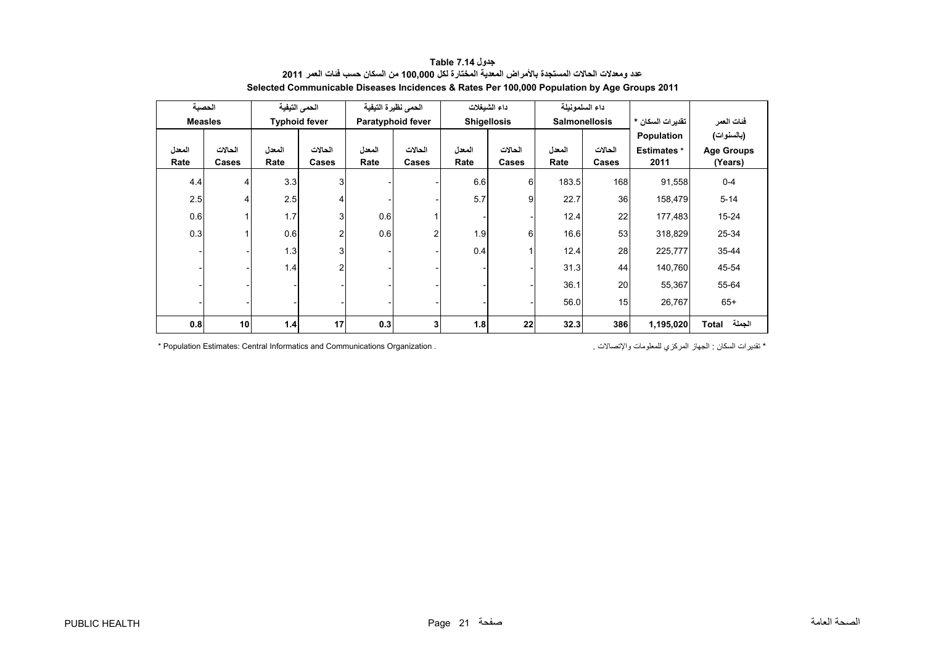<span id="page-21-0"></span>

| الحصبة         |                 | الحمى التيفية |                      | الحمى نظيرة التيفية |                   |        | داء الشيغلات       |        | داء السلمونيلة       |                    |                   |
|----------------|-----------------|---------------|----------------------|---------------------|-------------------|--------|--------------------|--------|----------------------|--------------------|-------------------|
| <b>Measles</b> |                 |               | <b>Typhoid fever</b> |                     | Paratyphoid fever |        | <b>Shigellosis</b> |        | <b>Salmonellosis</b> | تقدير ات السكان *  | فئات العمر        |
|                |                 |               |                      |                     |                   |        |                    |        |                      | Population         | (بالسنوات)        |
| المعدل         | الحالات         | المعدل        | الحالات              | المعدل              | الحالات           | المعدل | الحالات            | المعدل | الحالات              | <b>Estimates</b> * | <b>Age Groups</b> |
| Rate           | Cases           | Rate          | Cases                | Rate                | Cases             | Rate   | Cases              | Rate   | Cases                | 2011               | (Years)           |
| 4.4            | 4               | 3.3           | 3                    |                     |                   | 6.6    | 6                  | 183.5  | 168                  | 91,558             | $0 - 4$           |
| 2.5            | 4               | 2.5           | 4                    |                     |                   | 5.7    | 9 <sub>1</sub>     | 22.7   | 36                   | 158,479            | $5 - 14$          |
| 0.6            |                 | 1.7           | 3 <sub>l</sub>       | 0.6                 |                   |        |                    | 12.4   | 22                   | 177,483            | 15-24             |
| 0.3            |                 | 0.6           | $\overline{2}$       | 0.6                 |                   | 1.9    | 6                  | 16.6   | 53                   | 318,829            | 25-34             |
|                |                 | 1.3           | 3                    |                     |                   | 0.4    |                    | 12.4   | 28                   | 225,777            | 35-44             |
|                |                 | 1.4           | $\overline{2}$       |                     |                   |        |                    | 31.3   | 44                   | 140,760            | 45-54             |
|                |                 |               |                      |                     |                   |        |                    | 36.1   | 20                   | 55,367             | 55-64             |
|                |                 |               |                      |                     |                   |        |                    | 56.0   | 15                   | 26,767             | $65+$             |
| 0.8            | 10 <sub>1</sub> | 1.4           | 17                   | 0.3                 | 31                | 1.8    | 22                 | 32.3   | 386                  | 1,195,020          | الجملة<br>Total   |

#### **جدول 7.14 Table عدد ومعدالت الحاالت المستجدة باألمراض المعدية المختارة لكل 100,000 من السكان حسب فئات العمر <sup>2011</sup> Selected Communicable Diseases Incidences & Rates Per 100,000 Population by Age Groups 2011**

\* Population Estimates: Central Informatics and Communications Organization . . واإلتصاالت للمعلومات المركزي الجھاز : السكان تقديرات\*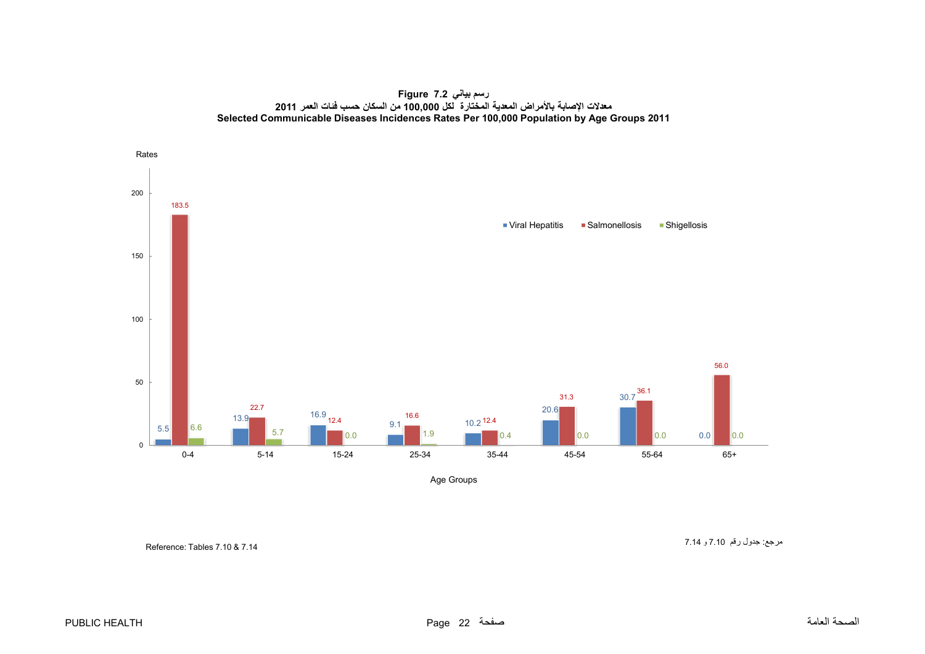**رسم بياني 7.2 Figure معدالت اإلصابة باألمراض المعدية المختارة لكل 100,000 من السكان حسب فئات العمر <sup>2011</sup> Selected Communicable Diseases Incidences Rates Per 100,000 Population by Age Groups 2011**

<span id="page-22-0"></span>

Age Groups

Reference: Tables 7.10 & 7.14

مرجع: جدول رقم 7.10 <sup>و</sup> 7.14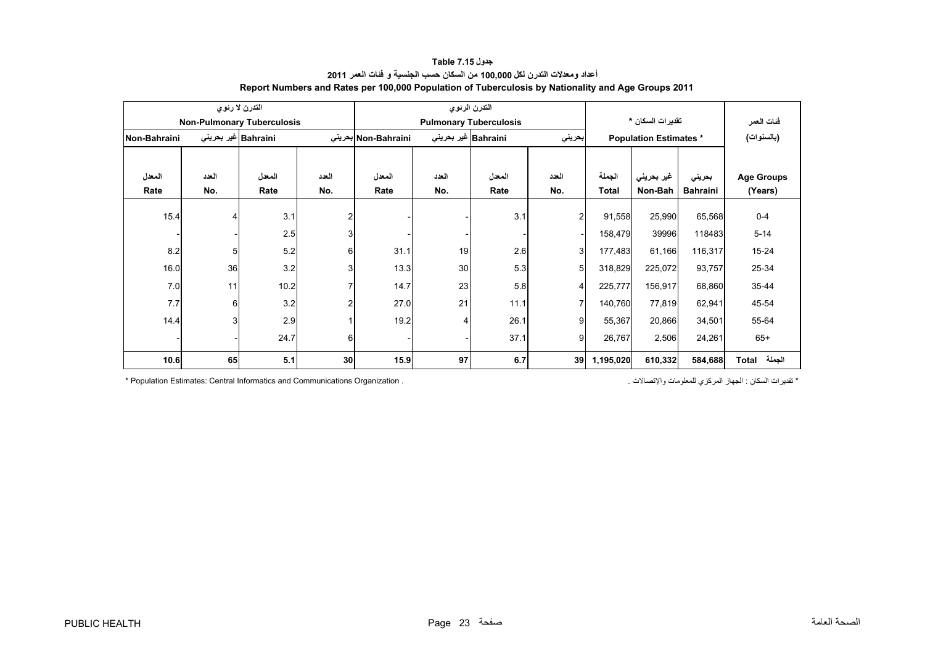<span id="page-23-0"></span>

|              |       | التدرن لا رئوي                    |                |                     |                             | التدرن الرئوي                 |                         |              |                               |                 |                   |
|--------------|-------|-----------------------------------|----------------|---------------------|-----------------------------|-------------------------------|-------------------------|--------------|-------------------------------|-----------------|-------------------|
|              |       | <b>Non-Pulmonary Tuberculosis</b> |                |                     |                             | <b>Pulmonary Tuberculosis</b> |                         |              | تقدير ات السكان *             |                 | فئات العمر        |
| Non-Bahraini |       | Bahraini غیر بحرینی               |                | Non-Bahraini بحرينى | Bahraini غير بحرين <i>ي</i> |                               | بحريني                  |              | <b>Population Estimates *</b> |                 | (بالسنوات)        |
|              |       |                                   |                |                     |                             |                               |                         |              |                               |                 |                   |
| المعدل       | العدد | المعدل                            | العدد          | المعدل              | العدد                       | المعدل                        | العدد                   | الجملة       | غیر بحرینی                    | بحريني          | <b>Age Groups</b> |
| Rate         | No.   | Rate                              | No.            | Rate                | No.                         | Rate                          | No.                     | <b>Total</b> | Non-Bah                       | <b>Bahraini</b> | (Years)           |
| 15.4         | 4     | 3.1                               | $\overline{2}$ |                     |                             | 3.1                           | $\overline{\mathbf{c}}$ | 91,558       | 25,990                        | 65,568          | $0 - 4$           |
|              |       | 2.5                               | 3              |                     |                             |                               |                         | 158,479      | 39996                         | 118483          | $5 - 14$          |
| 8.2          | 5     | 5.2                               | 6              | 31.1                | 19                          | 2.6                           | 3                       | 177,483      | 61,166                        | 116,317         | $15 - 24$         |
| 16.0         | 36    | 3.2                               | 3              | 13.3                | 30                          | 5.3                           | 5                       | 318,829      | 225,072                       | 93,757          | 25-34             |
| 7.0          | 11    | 10.2                              | $\overline{7}$ | 14.7                | 23                          | 5.8                           | 4                       | 225,777      | 156,917                       | 68,860          | 35-44             |
| 7.7          | 6     | 3.2                               | $\overline{c}$ | 27.0                | 21                          | 11.1                          | $\overline{7}$          | 140,760      | 77,819                        | 62,941          | 45-54             |
| 14.4         | 3     | 2.9                               |                | 19.2                |                             | 26.1                          | 9                       | 55,367       | 20,866                        | 34,501          | 55-64             |
|              |       | 24.7                              | 6              |                     |                             | 37.1                          | 9                       | 26,767       | 2,506                         | 24,261          | $65+$             |
| 10.6         | 65    | 5.1                               | 30             | 15.9                | 97                          | 6.7                           | 39                      | 1,195,020    | 610,332                       | 584,688         | الجملة<br>Total   |

#### **جدول 7.15 Table أعداد ومعدالت التدرن لكل 100,000 من السكان حسب الجنسية <sup>و</sup> فئات العمر <sup>2011</sup> Report Numbers and Rates per 100,000 Population of Tuberculosis by Nationality and Age Groups 2011**

\* تقديرات السكان : الجهاز المركزي للمعلومات والإتصالات .<br>\* تقديرات السكان : الجهاز المركزي للمعلومات والإتصالات .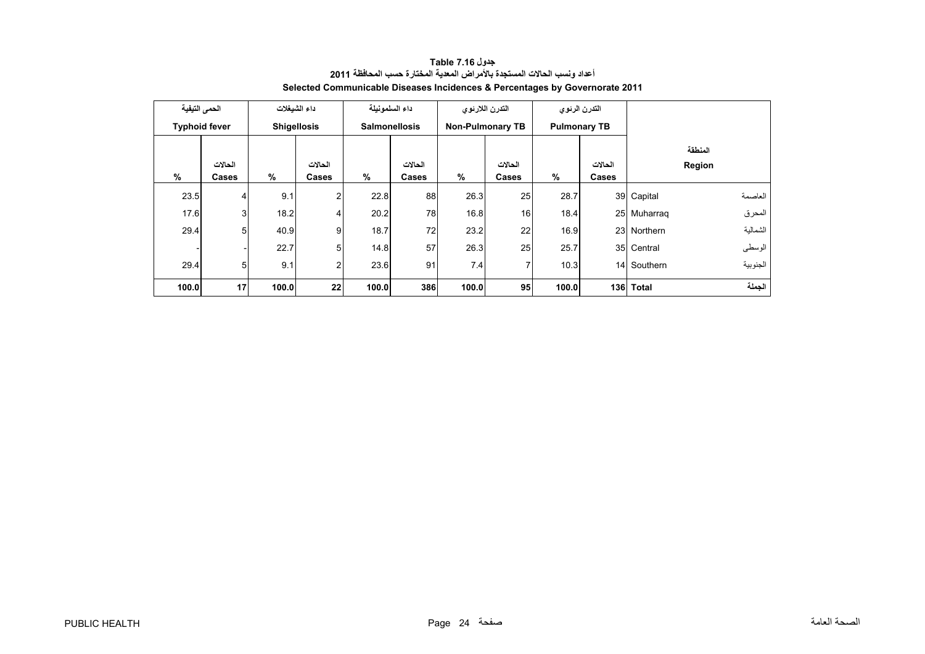<span id="page-24-0"></span>

| الحمى التيفية |                      |       | داء الشبغلات       |       | داء السلمونيلة       |       | التدرن اللارنوى         |       | التدرن الرئوى       |              |          |
|---------------|----------------------|-------|--------------------|-------|----------------------|-------|-------------------------|-------|---------------------|--------------|----------|
|               | <b>Typhoid fever</b> |       | <b>Shigellosis</b> |       | <b>Salmonellosis</b> |       | <b>Non-Pulmonary TB</b> |       | <b>Pulmonary TB</b> |              |          |
|               |                      |       |                    |       |                      |       |                         |       |                     |              | المنطقة  |
|               | الحالات              |       | الحالات            |       | الحالات              |       | الحالات                 |       | الحالات             |              | Region   |
| %             | Cases                | %     | Cases              | $\%$  | Cases                | $\%$  | Cases                   | %     | Cases               |              |          |
| 23.5          | $\overline{4}$       | 9.1   | 2                  | 22.8  | 88                   | 26.3  | 25                      | 28.7  |                     | 39 Capital   | العاصمة  |
| 17.6          | 3                    | 18.2  | 4                  | 20.2  | 78                   | 16.8  | 16                      | 18.4  |                     | 25 Muharraq  | المحرق   |
| 29.4          | 5                    | 40.9  | 9                  | 18.7  | 72                   | 23.2  | 22                      | 16.9  |                     | 23 Northern  | الشمالية |
|               |                      | 22.7  | 5                  | 14.8  | 57                   | 26.3  | 25                      | 25.7  |                     | 35 Central   | الوسطى   |
| 29.4          | 5                    | 9.1   | 2                  | 23.6  | 91                   | 7.4   | 7                       | 10.3  |                     | 14 Southern  | الجنوبية |
| 100.0         | 17                   | 100.0 | 22                 | 100.0 | 386                  | 100.0 | 95                      | 100.0 | 136                 | <b>Total</b> | الجملة   |

**جدول 7.16 Table أعداد ونسب الحاالت المستجدة باألمراض المعدية المختارة حسب المحافظة <sup>2011</sup> Selected Communicable Diseases Incidences & Percentages by Governorate 2011**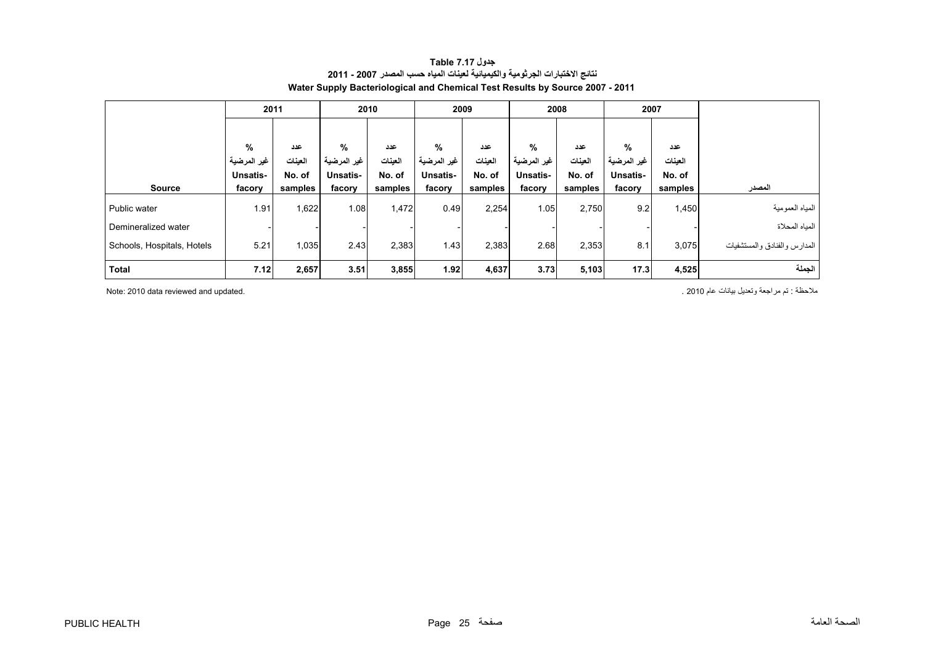<span id="page-25-0"></span>

|                            |                 | 2011    |                 | 2010    |             | 2009    |                 | 2008    | 2007        |         |                              |
|----------------------------|-----------------|---------|-----------------|---------|-------------|---------|-----------------|---------|-------------|---------|------------------------------|
|                            |                 |         |                 |         |             |         |                 |         |             |         |                              |
|                            | %               | عدد     | %               | عدد     | %           | عدد     | $\frac{9}{6}$   | عدد     | $\%$        | عدد     |                              |
|                            | غير المرضية     | العينات | غير المرضية     | العينات | غير المرضية | العينات | غير المرضية     | العينات | غير المرضية | العينات |                              |
|                            | <b>Unsatis-</b> | No. of  | <b>Unsatis-</b> | No. of  | Unsatis-    | No. of  | <b>Unsatis-</b> | No. of  | Unsatis-    | No. of  |                              |
| <b>Source</b>              | facory          | samples | facory          | samples | facory      | samples | facory          | samples | facory      | samples | المصدر                       |
| Public water               | 1.91            | 1,622   | 1.08            | 1,472   | 0.49        | 2,254   | 1.05            | 2,750   | 9.2         | 1,450   | المياه العمومية              |
| Demineralized water        |                 |         |                 |         |             |         |                 |         |             |         | المباه المحلاة               |
| Schools, Hospitals, Hotels | 5.21            | 1,035   | 2.43            | 2,383   | 1.43        | 2,383   | 2.68            | 2,353   | 8.1         | 3,075   | المدارس والفنادق والمستشفيات |
| Total                      | 7.12            | 2,657   | 3.51            | 3,855   | 1.92        | 4,637   | 3.73            | 5,103   | 17.3        | 4,525   | الحملة                       |

#### **جدول 7.17 Table نتائج االختبارات الجرثومية والكيميائية لعينات المياه حسب المصدر 2007 - 2011 Water Supply Bacteriological and Chemical Test Results by Source 2007 - 2011**

مالحظة : تم مراجعة وتعديل بيانات عام 2010 . .updated and reviewed data 2010 :Note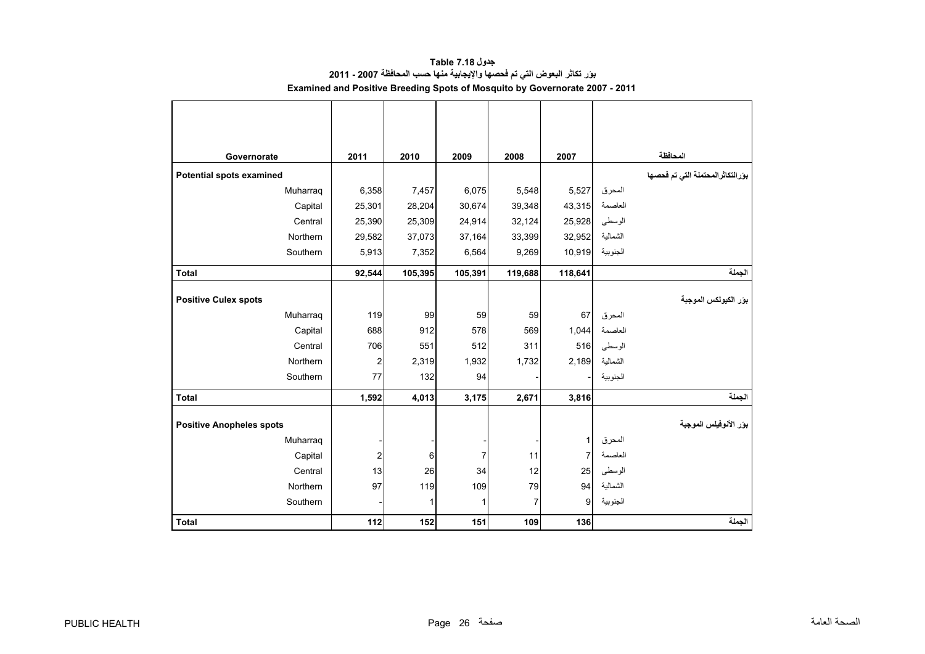<span id="page-26-0"></span>

| Governorate                     | 2011           | 2010    | 2009    | 2008    | 2007           |          | المحافظة                          |
|---------------------------------|----------------|---------|---------|---------|----------------|----------|-----------------------------------|
| Potential spots examined        |                |         |         |         |                |          | بوَرالتكاثرالمحتملة التي تم فحصها |
| Muharraq                        | 6,358          | 7,457   | 6,075   | 5,548   | 5,527          | المحرق   |                                   |
| Capital                         | 25,301         | 28,204  | 30,674  | 39,348  | 43,315         | العاصمة  |                                   |
| Central                         | 25,390         | 25,309  | 24,914  | 32,124  | 25,928         | الوسطى   |                                   |
| Northern                        | 29,582         | 37,073  | 37,164  | 33,399  | 32,952         | الشمالية |                                   |
| Southern                        | 5,913          | 7,352   | 6,564   | 9,269   | 10,919         | الجنوبية |                                   |
| <b>Total</b>                    | 92,544         | 105,395 | 105,391 | 119,688 | 118,641        |          | الجملة                            |
|                                 |                |         |         |         |                |          |                                   |
| <b>Positive Culex spots</b>     |                |         |         |         |                |          | بور الكيولكس الموجبة              |
| Muharraq                        | 119            | 99      | 59      | 59      | 67             | المحرق   |                                   |
| Capital                         | 688            | 912     | 578     | 569     | 1,044          | العاصمة  |                                   |
| Central                         | 706            | 551     | 512     | 311     | 516            | الوسطى   |                                   |
| Northern                        | $\overline{c}$ | 2,319   | 1,932   | 1,732   | 2,189          | الشمالية |                                   |
| Southern                        | 77             | 132     | 94      |         |                | الجنوبية |                                   |
| <b>Total</b>                    | 1,592          | 4,013   | 3,175   | 2,671   | 3,816          |          | الجملة                            |
| <b>Positive Anopheles spots</b> |                |         |         |         |                |          | بؤر الأنوفيلس الموجبة             |
| Muharraq                        |                |         |         |         | 1              | المحرق   |                                   |
| Capital                         | $\overline{c}$ | 6       | 7       | 11      | $\overline{7}$ | العاصمة  |                                   |
| Central                         | 13             | 26      | 34      | 12      | 25             | الوسطى   |                                   |
| Northern                        | 97             | 119     | 109     | 79      | 94             | الشمالية |                                   |
| Southern                        |                | 1       | 1       | 7       | 9              | الجنوبية |                                   |
|                                 |                |         |         |         |                |          |                                   |
| <b>Total</b>                    | 112            | 152     | 151     | 109     | 136            |          | الجملة                            |

### **جدول 7.18 Table بؤر تكاثر البعوض التي تم فحصھا واإليجابية منھا حسب المحافظة 2007 - 2011 Examined and Positive Breeding Spots of Mosquito by Governorate 2007 - 2011**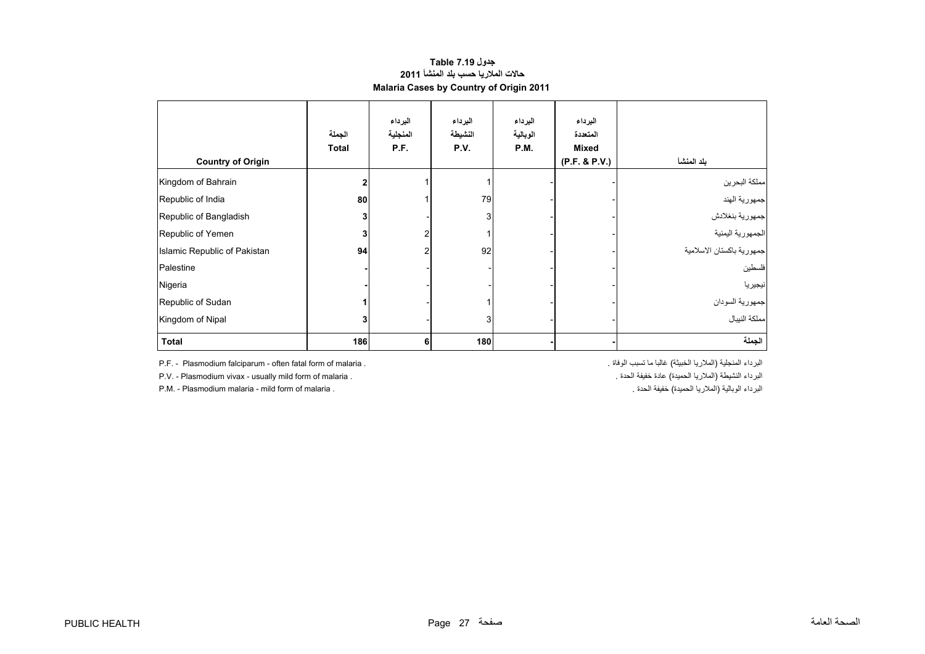#### **حاالت المالريا حسب بلد المنشأ <sup>2011</sup> Malaria Cases by Country of Origin 2011 جدول 7.19 Table**

<span id="page-27-0"></span>

| <b>Country of Origin</b>     | الجملة<br><b>Total</b> | البرداء<br>المنجلية<br>P.F. | البرداء<br>النشيطة<br>P.V. | البرداء<br>الوبالية<br>P.M. | البرداء<br>المتعددة<br><b>Mixed</b><br>(P.F. & P.V.) | بلد المنشأ                |
|------------------------------|------------------------|-----------------------------|----------------------------|-----------------------------|------------------------------------------------------|---------------------------|
| Kingdom of Bahrain           |                        |                             |                            |                             |                                                      | مملكة البحرين             |
| Republic of India            | 80                     |                             | 79                         |                             |                                                      | جمهورية الهند             |
| Republic of Bangladish       |                        |                             | 3                          |                             |                                                      | جمهورية بنغلادش           |
| Republic of Yemen            |                        | $\overline{2}$              |                            |                             |                                                      | الجمهورية اليمنية         |
| Islamic Republic of Pakistan | 94                     | 2                           | 92                         |                             |                                                      | جمهورية باكستان الاسلامية |
| Palestine                    |                        |                             |                            |                             |                                                      | فلسطين                    |
| Nigeria                      |                        |                             |                            |                             |                                                      | نيجيريا                   |
| Republic of Sudan            |                        |                             |                            |                             |                                                      | جمهورية السودان           |
| Kingdom of Nipal             |                        |                             | 3                          |                             |                                                      | مملكة النيبال             |
| <b>Total</b>                 | 186                    | 6                           | 180                        |                             |                                                      | الجملة                    |

P.F. - Plasmodium falciparum - often fatal form of malaria . . الوفاة تسبب ما غالبا) الخبيثة المالريا (المنجلية البرداء

P.M. - Plasmodium malaria - mild form of malaria .

P.V. - Plasmodium vivax - usually mild form of malaria . . الحدة خفيفة عادة) الحميدة المالريا (النشيطة البرداء . الحدة الحدة المساوات المستقبل المستقبل المستقبل المستقبل المستقبل المستقبل المستقبل المستقبل المستقبل المستق البرداء الوبالية (الملاريا الحميدة) خفيفة الحدة .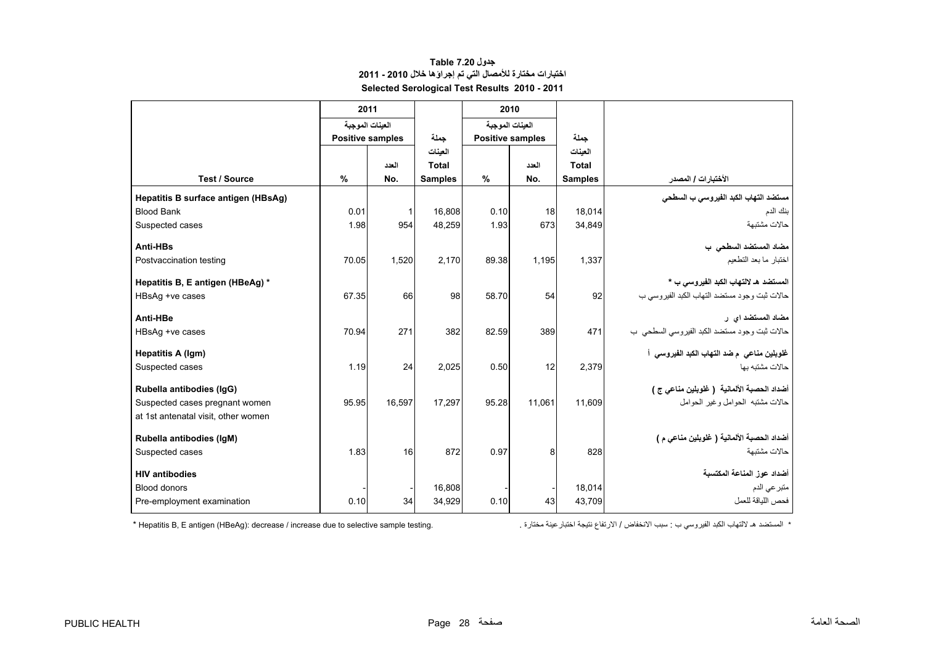### **جدول 7.20 Table اختبارات مختارة لألمصال التي تم إجراؤھا خالل 2010 - 2011 Selected Serological Test Results 2010 - 2011**

<span id="page-28-0"></span>

| 2011  |                                                 |                                                                                   |                                                                             |                                     |                                                                                                |                                                                              |
|-------|-------------------------------------------------|-----------------------------------------------------------------------------------|-----------------------------------------------------------------------------|-------------------------------------|------------------------------------------------------------------------------------------------|------------------------------------------------------------------------------|
|       |                                                 |                                                                                   |                                                                             |                                     |                                                                                                |                                                                              |
|       |                                                 | حملة                                                                              |                                                                             |                                     | حملة                                                                                           |                                                                              |
|       |                                                 |                                                                                   |                                                                             |                                     |                                                                                                |                                                                              |
|       |                                                 |                                                                                   |                                                                             |                                     |                                                                                                |                                                                              |
|       |                                                 |                                                                                   |                                                                             |                                     |                                                                                                | الأختبارات / المصدر                                                          |
|       |                                                 |                                                                                   |                                                                             |                                     |                                                                                                | مستضد التهاب الكبد الفيروسي ب السطحي                                         |
|       |                                                 |                                                                                   |                                                                             |                                     |                                                                                                | بنك الدم                                                                     |
|       |                                                 |                                                                                   |                                                                             |                                     |                                                                                                | حالات مشتبهة                                                                 |
|       |                                                 |                                                                                   |                                                                             |                                     |                                                                                                | مضاد المستضد السطحى ب                                                        |
|       |                                                 | 2,170                                                                             |                                                                             |                                     |                                                                                                | اختبار ما بعد التطعيم                                                        |
|       |                                                 |                                                                                   |                                                                             |                                     |                                                                                                |                                                                              |
|       |                                                 |                                                                                   |                                                                             |                                     |                                                                                                | المستضد هـ لالتهاب الكبد الفيروسي ب *                                        |
|       |                                                 |                                                                                   |                                                                             |                                     |                                                                                                | حالات ثبت وجود مستضد التهاب الكبد الفيروسي ب                                 |
|       |                                                 |                                                                                   |                                                                             |                                     |                                                                                                | مضاد المستضد اي ر                                                            |
| 70.94 | 271                                             | 382                                                                               | 82.59                                                                       | 389                                 | 471                                                                                            | حالات ثبت وجود مستضد الكبد الفيروسي السطحي ب                                 |
|       |                                                 |                                                                                   |                                                                             |                                     |                                                                                                | غلوبلين مناعي  م ضد التهاب الكبد الفيروسي  أ                                 |
| 1.19  | 24                                              | 2,025                                                                             | 0.50                                                                        | 12                                  | 2,379                                                                                          | حالات مشتبه بها                                                              |
|       |                                                 |                                                                                   |                                                                             |                                     |                                                                                                | أضداد الحصبة الألمانية ( غلوبلين مناعي ج )                                   |
| 95.95 | 16.597                                          | 17.297                                                                            | 95.28                                                                       | 11.061                              | 11.609                                                                                         | حالات مشتبه الحوامل وغبر الحوامل                                             |
|       |                                                 |                                                                                   |                                                                             |                                     |                                                                                                |                                                                              |
|       |                                                 |                                                                                   |                                                                             |                                     |                                                                                                | أضداد الحصبة الألمانية ( غلوبلين مناعي م )                                   |
| 1.83  | 16                                              | 872                                                                               | 0.97                                                                        | 8                                   | 828                                                                                            | حالات مشتبهة                                                                 |
|       |                                                 |                                                                                   |                                                                             |                                     |                                                                                                | أضداد عوز المناعة المكتسبة                                                   |
|       |                                                 | 16.808                                                                            |                                                                             |                                     | 18.014                                                                                         | متبر عي الدم                                                                 |
| 0.10  | 34                                              | 34,929                                                                            | 0.10                                                                        | 43                                  | 43.709                                                                                         | فحص اللباقة للعمل                                                            |
|       | $\frac{0}{0}$<br>0.01<br>1.98<br>70.05<br>67.35 | العينات الموجبة<br><b>Positive samples</b><br>العدد<br>No.<br>$\mathbf{1}$<br>954 | العينات<br>Total<br><b>Samples</b><br>16.808<br>48,259<br>1,520<br>66<br>98 | %<br>0.10<br>1.93<br>89.38<br>58.70 | 2010<br>العينات الموجبة<br><b>Positive samples</b><br>العدد<br>No.<br>18<br>673<br>1,195<br>54 | العينات<br><b>Total</b><br><b>Samples</b><br>18.014<br>34,849<br>1,337<br>92 |

\* المستضد ھـ

\* Hepatitis B, E antigen (HBeAg): decrease / increase due to selective sample testing.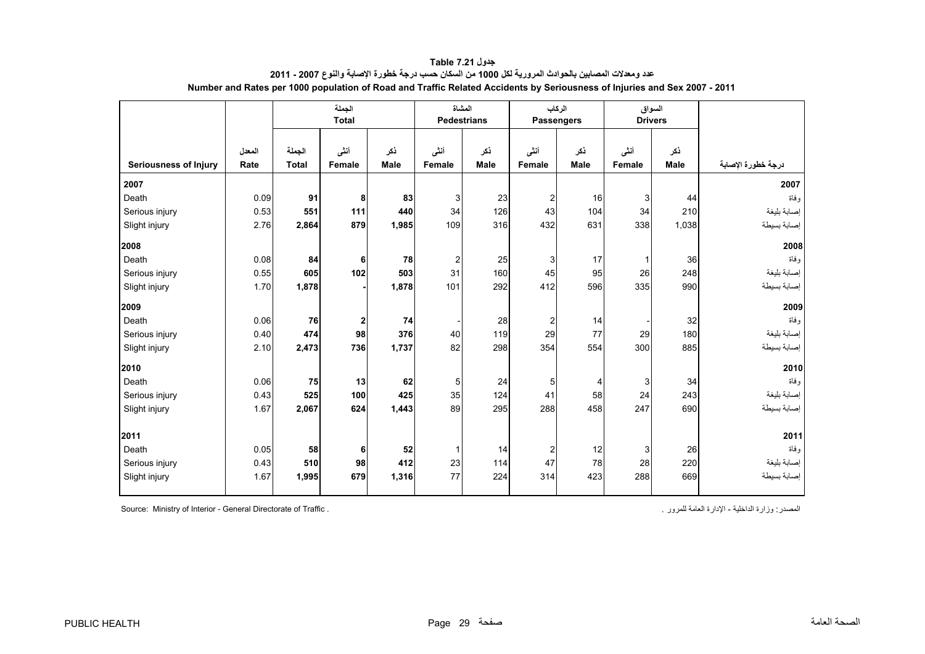<span id="page-29-0"></span>

|                              |                | الجملة<br><b>Total</b> |                  | المشاة      | <b>Pedestrians</b> | الركاب      | <b>Passengers</b>      |                    | السواق<br><b>Drivers</b> |             |                             |
|------------------------------|----------------|------------------------|------------------|-------------|--------------------|-------------|------------------------|--------------------|--------------------------|-------------|-----------------------------|
| <b>Seriousness of Injury</b> | المعدل<br>Rate | الجملة<br><b>Total</b> | أننى<br>Female   | ذكر<br>Male | أننى<br>Female     | نكر<br>Male | أننسى<br><b>Female</b> | ذكر<br><b>Male</b> | أننى<br><b>Female</b>    | ذكر<br>Male | درجة خطورة الإصابة          |
| 2007                         |                |                        |                  |             |                    |             |                        |                    |                          |             | 2007                        |
| Death                        | 0.09           | 91                     | 8                | 83          | 3                  | 23          | $\overline{2}$         | 16                 | 3                        | 44          | وفاة                        |
| Serious injury               | 0.53           | 551                    | 111              | 440         | 34                 | 126         | 43                     | 104                | 34                       | 210         | إصابة بليغة                 |
| Slight injury                | 2.76           | 2,864                  | 879              | 1,985       | 109                | 316         | 432                    | 631                | 338                      | 1,038       | إصابة بسيطة                 |
| 2008                         |                |                        |                  |             |                    |             |                        |                    |                          |             | 2008                        |
| Death                        | 0.08           | 84                     | 6                | 78          | 2                  | 25          | 3                      | 17                 | 1                        | 36          | وفاة                        |
| Serious injury               | 0.55           | 605                    | 102              | 503         | 31                 | 160         | 45                     | 95                 | 26                       | 248         | إصابة بليغة                 |
| Slight injury                | 1.70           | 1,878                  |                  | 1,878       | 101                | 292         | 412                    | 596                | 335                      | 990         | إصابة بسيطة                 |
| 2009                         |                |                        |                  |             |                    |             |                        |                    |                          |             | 2009                        |
| Death                        | 0.06           | 76                     | $\boldsymbol{2}$ | 74          |                    | 28          | $\boldsymbol{2}$       | 14                 |                          | 32          | وفاة                        |
| Serious injury               | 0.40           | 474                    | 98               | 376         | 40                 | 119         | 29                     | 77                 | 29                       | 180         | إصابة بليغة                 |
| Slight injury                | 2.10           | 2,473                  | 736              | 1,737       | 82                 | 298         | 354                    | 554                | 300                      | 885         | إصبابة بسيطة                |
| 2010                         |                |                        |                  |             |                    |             |                        |                    |                          |             | 2010                        |
| Death                        | 0.06           | 75                     | 13               | 62          | 5                  | 24          | $5\phantom{.0}$        | 4                  | 3                        | 34          | وفاة                        |
| Serious injury               | 0.43           | 525                    | 100              | 425         | 35                 | 124         | 41                     | 58                 | 24                       | 243         | إصابة بليغة                 |
| Slight injury                | 1.67           | 2,067                  | 624              | 1,443       | 89                 | 295         | 288                    | 458                | 247                      | 690         | إصابة بسيطة                 |
|                              |                |                        |                  |             |                    |             |                        |                    |                          |             |                             |
| 2011                         |                |                        |                  |             |                    |             |                        |                    |                          |             | 2011                        |
| Death                        | 0.05<br>0.43   | 58<br>510              | 6                | 52<br>412   | $\mathbf{1}$       | 14<br>114   | $\overline{c}$<br>47   | 12                 | 3<br>28                  | 26          | و فاة                       |
| Serious injury               | 1.67           | 1,995                  | 98<br>679        | 1,316       | 23<br>77           | 224         | 314                    | 78<br>423          | 288                      | 220<br>669  | إصابة بليغة<br>إصبابة بسيطة |
| Slight injury                |                |                        |                  |             |                    |             |                        |                    |                          |             |                             |

**جدول 7.21 Table عدد ومعدالت المصابين بالحوادث المرورية لكل <sup>1000</sup> من السكان حسب درجة خطورة اإلصابة والنوع 2007 - 2011 Number and Rates per 1000 population of Road and Traffic Related Accidents by Seriousness of Injuries and Sex 2007 - 2011**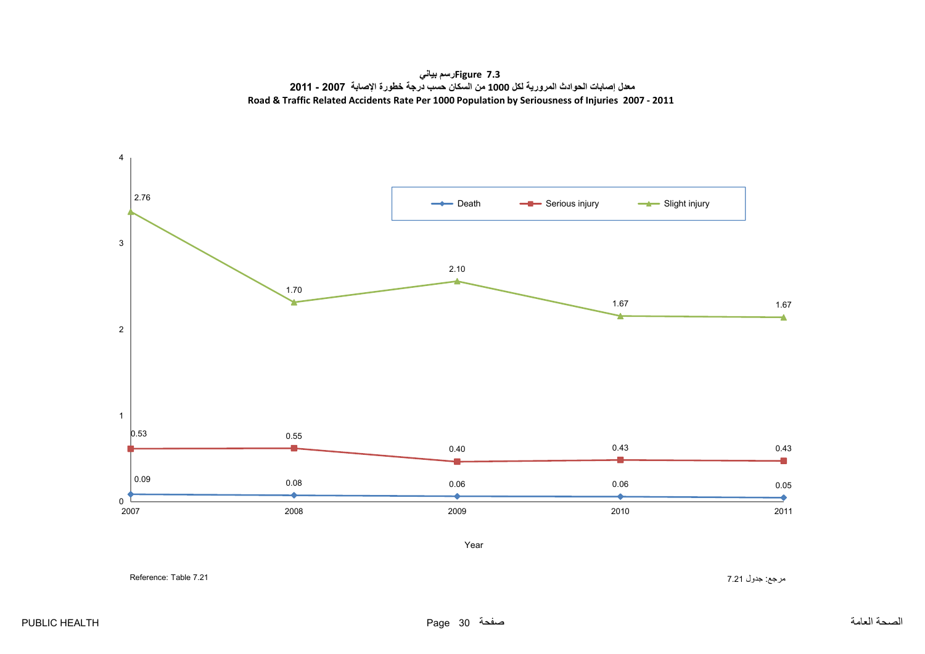**7.3 Figureرسم بياني معدل إصابات الحوادث المرورية لكل <sup>1000</sup> من السكان حسب درجة خطورة اإلصابة 2007 - 2011 Road & Traffic Related Accidents Rate Per 1000 Population by Seriousness of Injuries 2007 ‐ 2011**

<span id="page-30-0"></span>

مرجع: جدول 7.21 7.21 7.21 تمريح بن المستخدم المستخدم المستخدم المستخدم المستخدم المستخدم المستخدم المستخدم المستخدم المستخدم المستخدم المستخدم المستخدم المستخدم المستخدم المستخدم المستخدم المستخدم المستخدم المستخدم المستخ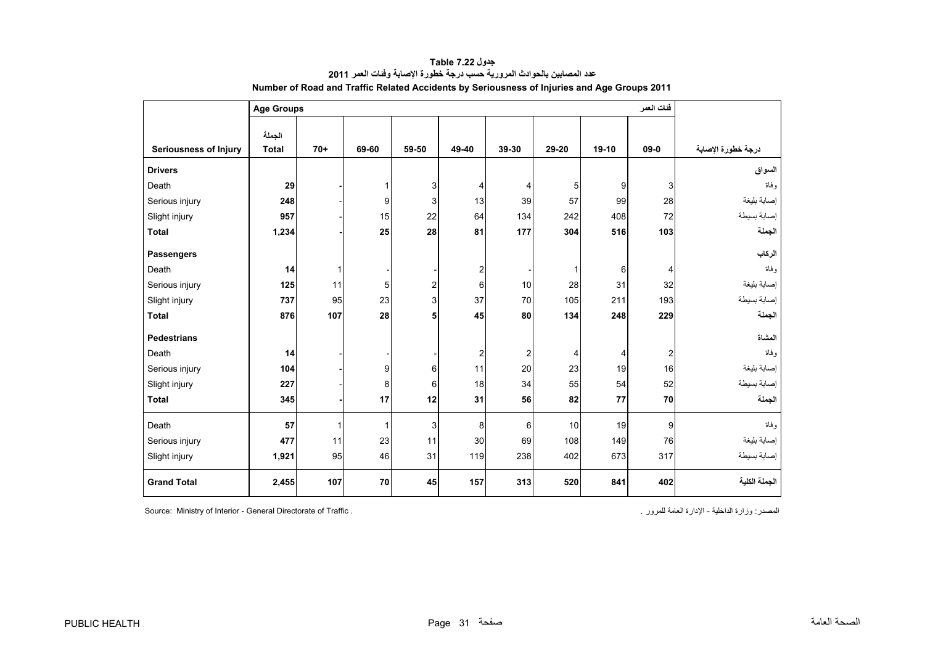<span id="page-31-0"></span>

|                              | <b>Age Groups</b> |              | فئات العمر   |                         |                |                         |                |         |                |                    |
|------------------------------|-------------------|--------------|--------------|-------------------------|----------------|-------------------------|----------------|---------|----------------|--------------------|
|                              |                   |              |              |                         |                |                         |                |         |                |                    |
|                              | الجملة            |              |              |                         |                |                         |                |         |                |                    |
| <b>Seriousness of Injury</b> | <b>Total</b>      | $70+$        | 69-60        | 59-50                   | 49-40          | 39-30                   | 29-20          | $19-10$ | $09 - 0$       | درجة خطورة الإصابة |
| <b>Drivers</b>               |                   |              |              |                         |                |                         |                |         |                | السواق             |
| Death                        | 29                |              | $\mathbf{1}$ | 3                       | 4              | 4                       | 5              | 9       | 3              | وفاة               |
| Serious injury               | 248               |              | 9            | 3                       | 13             | 39                      | 57             | 99      | 28             | إصابة بليغة        |
| Slight injury                | 957               |              | 15           | 22                      | 64             | 134                     | 242            | 408     | 72             | إصابة بسيطة        |
| <b>Total</b>                 | 1,234             |              | 25           | 28                      | 81             | 177                     | 304            | 516     | 103            | الجملة             |
| <b>Passengers</b>            |                   |              |              |                         |                |                         |                |         |                | الركاب             |
| Death                        | 14                | $\mathbf{1}$ |              |                         | $\overline{c}$ |                         | $\mathbf 1$    | 6       | 4              | وفاة               |
| Serious injury               | 125               | 11           | 5            | $\overline{\mathbf{c}}$ | 6              | 10                      | 28             | 31      | 32             | إصابة بليغة        |
| Slight injury                | 737               | 95           | 23           | 3                       | 37             | 70                      | 105            | 211     | 193            | إصابة بسيطة        |
| <b>Total</b>                 | 876               | 107          | 28           | 5                       | 45             | 80                      | 134            | 248     | 229            | الجملة             |
| <b>Pedestrians</b>           |                   |              |              |                         |                |                         |                |         |                | المشاة             |
| Death                        | 14                |              |              |                         | 2              | $\overline{\mathbf{c}}$ | $\overline{4}$ | 4       | $\overline{2}$ | و فاة              |
| Serious injury               | 104               |              | 9            | 6                       | 11             | 20                      | 23             | 19      | 16             | إصابة بليغة        |
| Slight injury                | 227               |              | 8            | 6                       | 18             | 34                      | 55             | 54      | 52             | إصابة بسيطة        |
| <b>Total</b>                 | 345               |              | 17           | 12                      | 31             | 56                      | 82             | 77      | 70             | الجملة             |
| Death                        | 57                | 1            | $\mathbf{1}$ | 3                       | 8              | 6                       | 10             | 19      | 9              | وفاة               |
| Serious injury               | 477               | 11           | 23           | 11                      | 30             | 69                      | 108            | 149     | 76             | إصابة بليغة        |
| Slight injury                | 1,921             | 95           | 46           | 31                      | 119            | 238                     | 402            | 673     | 317            | إصابة بسيطة        |
| <b>Grand Total</b>           | 2,455             | 107          | 70           | 45                      | 157            | 313                     | 520            | 841     | 402            | الجملة الكلية      |

**جدول 7.22 Table عدد المصابين بالحوادث المرورية حسب درجة خطورة اإلصابة وفئات العمر<sup>2011</sup> Number of Road and Traffic Related Accidents by Seriousness of Injuries and Age Groups 2011**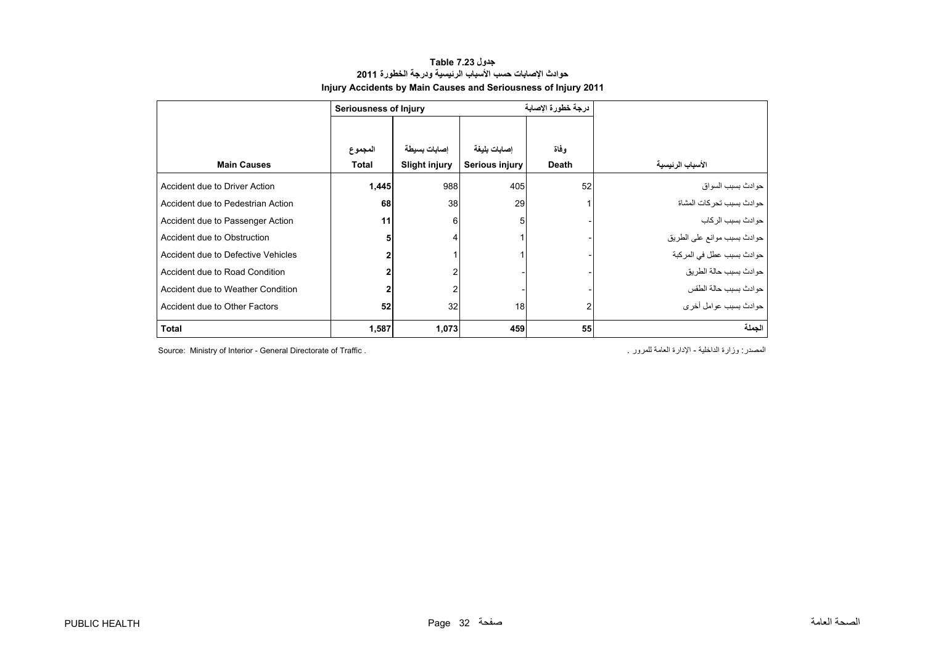### **جدول 7.23 Table حوادث اإلصابات حسب األسباب الرئيسية ودرجة الخطورة <sup>2011</sup> Injury Accidents by Main Causes and Seriousness of Injury 2011**

<span id="page-32-0"></span>

|                                    | <b>Seriousness of Injury</b> |                      |                | درجة خطورة الإصابة |                             |
|------------------------------------|------------------------------|----------------------|----------------|--------------------|-----------------------------|
|                                    |                              |                      |                |                    |                             |
|                                    | المجموع                      | إصابات بسيطة         | إصابات بليغة   | وفاة               |                             |
| <b>Main Causes</b>                 | Total                        | <b>Slight injury</b> | Serious injury | <b>Death</b>       | الأسباب الرئيسية            |
| Accident due to Driver Action      | 1,445                        | 988                  | 405            | 52                 | حوادث بسبب السواق           |
| Accident due to Pedestrian Action  | 68                           | 38                   | 29             |                    | حو ادث بسبب تحر كات المشاة  |
| Accident due to Passenger Action   | 11                           | 6                    | $\overline{5}$ |                    | حو ادث بسبب الر کاب         |
| Accident due to Obstruction        | 5                            | 4                    |                |                    | حوادث بسبب موانع على الطريق |
| Accident due to Defective Vehicles |                              |                      |                |                    | حوادث بسبب عطل في المركبة   |
| Accident due to Road Condition     |                              | 2                    |                |                    | حوادث بسبب حالة الطريق      |
| Accident due to Weather Condition  |                              | 2                    |                |                    | حوادث بسبب حالة الطقس       |
| Accident due to Other Factors      | 52                           | 32                   | 18             |                    | حوادث بسبب عوامل أخرى       |
| <b>Total</b>                       | 1,587                        | 1,073                | 459            | 55                 | الجملة                      |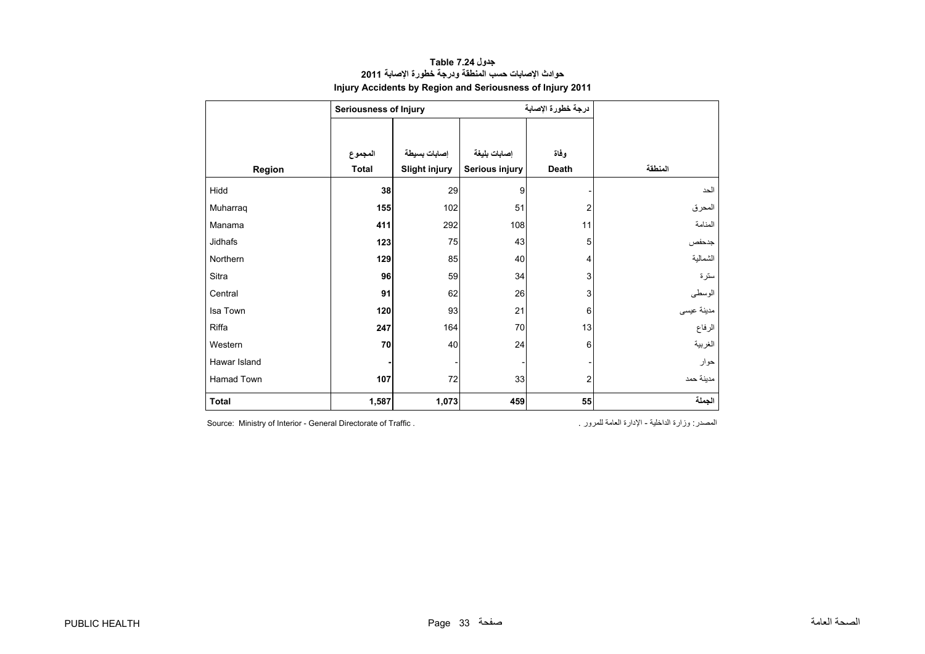### **جدول 7.24 Table حوادث اإلصابات حسب المنطقة ودرجة خطورة اإلصابة <sup>2011</sup> Injury Accidents by Region and Seriousness of Injury 2011**

<span id="page-33-0"></span>

|              | <b>Seriousness of Injury</b> |                      |                | درجة خطورة الإصابة      |            |
|--------------|------------------------------|----------------------|----------------|-------------------------|------------|
|              |                              |                      |                |                         |            |
|              | المجموع                      | إصابات بسيطة         | إصابات بليغة   | وفاة                    |            |
| Region       | Total                        | <b>Slight injury</b> | Serious injury | Death                   | المنطقة    |
| Hidd         | 38                           | 29                   | 9              |                         | الحد       |
| Muharraq     | 155                          | 102                  | 51             | 2                       | المحرق     |
| Manama       | 411                          | 292                  | 108            | 11                      | المنامة    |
| Jidhafs      | 123                          | 75                   | 43             | 5                       | جدحفص      |
| Northern     | 129                          | 85                   | 40             | 4                       | الشمالية   |
| Sitra        | 96                           | 59                   | 34             | 3                       | سترة       |
| Central      | 91                           | 62                   | 26             | 3                       | الوسطى     |
| Isa Town     | 120                          | 93                   | 21             | 6                       | مدينة عيسى |
| Riffa        | 247                          | 164                  | 70             | 13                      | الرفاع     |
| Western      | 70                           | 40                   | 24             | 6                       | الغربية    |
| Hawar Island |                              |                      |                |                         | حوار       |
| Hamad Town   | 107                          | 72                   | 33             | $\overline{\mathbf{c}}$ | مدينة حمد  |
| Total        | 1,587                        | 1,073                | 459            | 55                      | الجملة     |

المصدر: وزارة الداخلية - الإدارة العامة للمرور . . . . . . Source: Ministry of Interior - General Directorate of Traffic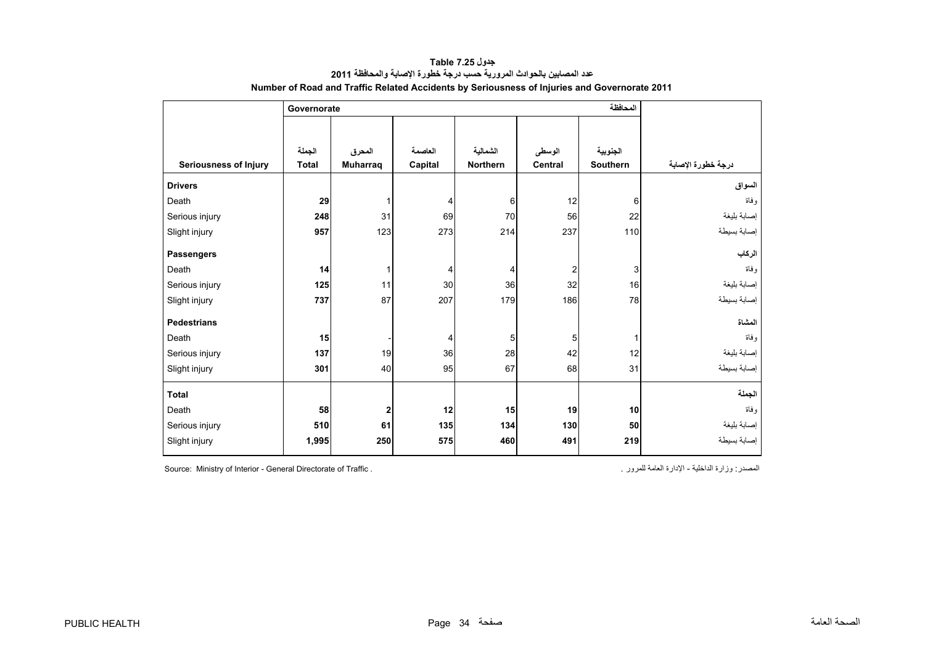<span id="page-34-0"></span>

|                              | Governorate  |                 |         |                 |                |          |                    |
|------------------------------|--------------|-----------------|---------|-----------------|----------------|----------|--------------------|
|                              |              |                 |         |                 |                |          |                    |
|                              | الجملة       | المحرق          | العاصمة | الشمالية        | الوسطى         | الجنوبية |                    |
| <b>Seriousness of Injury</b> | <b>Total</b> | <b>Muharraq</b> | Capital | <b>Northern</b> | <b>Central</b> | Southern | درجة خطورة الإصابة |
| <b>Drivers</b>               |              |                 |         |                 |                |          | السواق             |
| Death                        | 29           | 1               | 4       | 6               | 12             | 6        | و فاة              |
| Serious injury               | 248          | 31              | 69      | 70              | 56             | 22       | إصابة بليغة        |
| Slight injury                | 957          | 123             | 273     | 214             | 237            | 110      | إصابة بسيطة        |
| <b>Passengers</b>            |              |                 |         |                 |                |          | الركاب             |
| Death                        | 14           | 1               | 4       | 4               | 2              | 3        | وفاة               |
| Serious injury               | 125          | 11              | 30      | 36              | 32             | 16       | إصابة بليغة        |
| Slight injury                | 737          | 87              | 207     | 179             | 186            | 78       | إصابة بسيطة        |
| <b>Pedestrians</b>           |              |                 |         |                 |                |          | المشاة             |
| Death                        | 15           |                 | 4       | 5               | 5              |          | و فاة              |
| Serious injury               | 137          | 19              | 36      | 28              | 42             | 12       | إصابة بليغة        |
| Slight injury                | 301          | 40              | 95      | 67              | 68             | 31       | إصابة بسيطة        |
| <b>Total</b>                 |              |                 |         |                 |                |          | الجملة             |
| Death                        | 58           | $\overline{2}$  | 12      | 15              | 19             | 10       | و فاة              |
| Serious injury               | 510          | 61              | 135     | 134             | 130            | 50       | إصابة بليغة        |
| Slight injury                | 1,995        | 250             | 575     | 460             | 491            | 219      | إصابة بسيطة        |

**جدول 7.25 Table عدد المصابين بالحوادث المرورية حسب درجة خطورة اإلصابة والمحافظة<sup>2011</sup> Number of Road and Traffic Related Accidents by Seriousness of Injuries and Governorate 2011**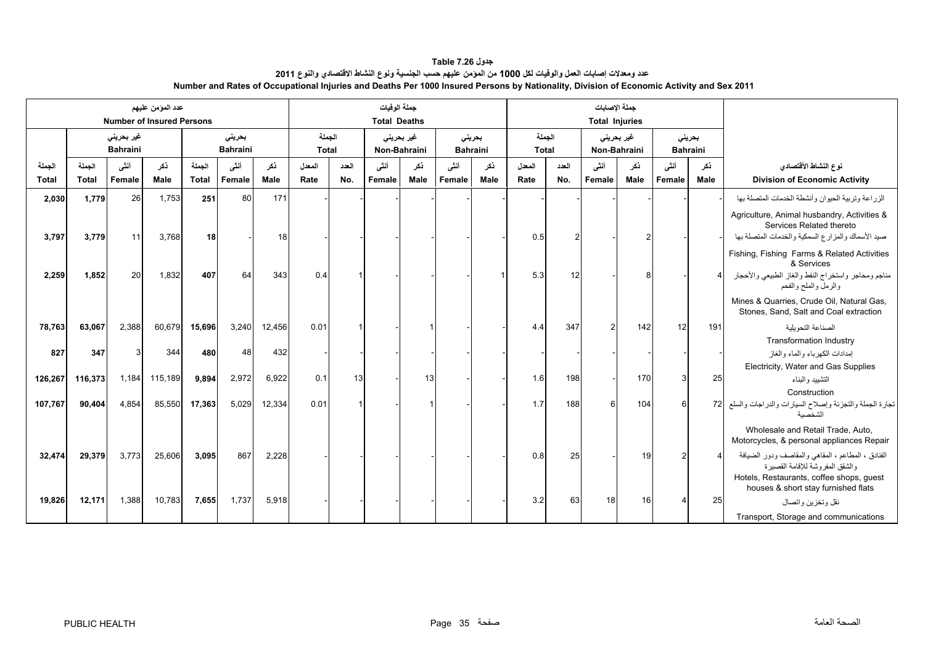#### **جدول 7.26 Table عدد ومعدالت إصابات العمل والوفيات لكل 1000 من المؤمن عليھم حسب الجنسية ونوع النشاط االقتصادي والنوع <sup>2011</sup> Number and Rates of Occupational Injuries and Deaths Per 1000 Insured Persons by Nationality, Division of Economic Activity and Sex 2011**

<span id="page-35-0"></span>

|                        |                        |                                       | عدد المؤمن عليهم<br><b>Number of Insured Persons</b> |                        |                           |             | جملة الوفيات<br><b>Total Deaths</b> |              |                |                            |                |                           |                 |              | جملة الإصابات<br><b>Total Injuries</b> |             |                |             |                                                                                                                                                                           |  |  |  |                            |  |  |                           |  |
|------------------------|------------------------|---------------------------------------|------------------------------------------------------|------------------------|---------------------------|-------------|-------------------------------------|--------------|----------------|----------------------------|----------------|---------------------------|-----------------|--------------|----------------------------------------|-------------|----------------|-------------|---------------------------------------------------------------------------------------------------------------------------------------------------------------------------|--|--|--|----------------------------|--|--|---------------------------|--|
|                        |                        | غیر بحرین <i>ی</i><br><b>Bahraini</b> |                                                      |                        | بحريني<br><b>Bahraini</b> |             | الجملة<br><b>Total</b>              |              |                | غير بحريني<br>Non-Bahraini |                | بحرينى<br><b>Bahraini</b> | الجملة<br>Total |              |                                        |             |                |             |                                                                                                                                                                           |  |  |  | غیر بحرینی<br>Non-Bahraini |  |  | بحرينى<br><b>Bahraini</b> |  |
| الجملة<br><b>Total</b> | الحملة<br><b>Total</b> | أنشى<br>Female                        | ذكر<br>Male                                          | الجملة<br><b>Total</b> | أنشى<br>Female            | ذكر<br>Male | المعدل<br>Rate                      | العدد<br>No. | أنشى<br>Female | نكر<br>Male                | أنشى<br>Female | نكر<br>Male               | المعدل<br>Rate  | العدد<br>No. | أنشى<br>Female                         | نكر<br>Male | أنشى<br>Female | ذكر<br>Male | نوع النشاط الأقتصادي<br><b>Division of Economic Activity</b>                                                                                                              |  |  |  |                            |  |  |                           |  |
| 2,030                  | 1,779                  | <b>26</b>                             | 1,753                                                | 251                    | 80                        | 171         |                                     |              |                |                            |                |                           |                 |              |                                        |             |                |             | الزراعة وتربية الحيوان وأنشطة الخدمات المتصلة بها                                                                                                                         |  |  |  |                            |  |  |                           |  |
|                        |                        |                                       |                                                      |                        |                           |             |                                     |              |                |                            |                |                           |                 |              |                                        |             |                |             | Agriculture, Animal husbandry, Activities &<br>Services Related thereto                                                                                                   |  |  |  |                            |  |  |                           |  |
| 3,797                  | 3,779                  | 11                                    | 3,768                                                | 18                     |                           | 18          |                                     |              |                |                            |                |                           | 0.5             |              |                                        |             |                |             | صيد الأسماك والمزارع السمكية والخدمات المتصلة بها                                                                                                                         |  |  |  |                            |  |  |                           |  |
|                        |                        |                                       |                                                      |                        |                           |             |                                     |              |                |                            |                |                           |                 |              |                                        |             |                |             | Fishing, Fishing Farms & Related Activities<br>& Services                                                                                                                 |  |  |  |                            |  |  |                           |  |
| 2,259                  | 1,852                  | 20                                    | 1,832                                                | 407                    | 64                        | 343         | 0.4                                 |              |                |                            |                |                           | 5.3             | 12           |                                        |             |                |             | مناجم ومحاجر واستخراج النفط والغاز الطبيعي والأحجار<br>والرمل والملح والفحم                                                                                               |  |  |  |                            |  |  |                           |  |
|                        |                        |                                       |                                                      |                        |                           |             |                                     |              |                |                            |                |                           |                 |              |                                        |             |                |             | Mines & Quarries, Crude Oil, Natural Gas,<br>Stones, Sand, Salt and Coal extraction                                                                                       |  |  |  |                            |  |  |                           |  |
| 78,763                 | 63,067                 | 2,388                                 | 60,679                                               | 15,696                 | 3,240                     | 12,456      | 0.01                                |              |                |                            |                |                           | 4.4             | 347          |                                        | 142         | 12             | 191         | الصناعة التحويلية                                                                                                                                                         |  |  |  |                            |  |  |                           |  |
|                        |                        |                                       |                                                      |                        |                           |             |                                     |              |                |                            |                |                           |                 |              |                                        |             |                |             | <b>Transformation Industry</b>                                                                                                                                            |  |  |  |                            |  |  |                           |  |
| 827                    | 347                    |                                       | 344                                                  | 480                    | 48                        | 432         |                                     |              |                |                            |                |                           |                 |              |                                        |             |                |             | إمدادات الكهرباء والماء والغاز                                                                                                                                            |  |  |  |                            |  |  |                           |  |
|                        |                        |                                       |                                                      |                        |                           |             |                                     |              |                |                            |                |                           |                 |              |                                        |             |                |             | Electricity, Water and Gas Supplies                                                                                                                                       |  |  |  |                            |  |  |                           |  |
| 126,267                | 116,373                | 1,184                                 | 115,189                                              | 9,894                  | 2,972                     | 6.922       | 0.1                                 | 13           |                | 13                         |                |                           | 1.6             | 198          |                                        | 170         |                | 25          | التشييد والبناء                                                                                                                                                           |  |  |  |                            |  |  |                           |  |
|                        |                        |                                       |                                                      |                        |                           |             |                                     |              |                |                            |                |                           |                 |              |                                        |             |                |             | Construction                                                                                                                                                              |  |  |  |                            |  |  |                           |  |
| 107,767                | 90,404                 | 4,854                                 | 85,550                                               | 17,363                 | 5,029                     | 12,334      | 0.01                                |              |                |                            |                |                           | 1.7             | 188          | $6 \mid$                               | 104         | $6 \mid$       | 72          | تجارة الجملة والتجزئة وإصلاح السيارات والدراجات والسلع<br>الشخصية                                                                                                         |  |  |  |                            |  |  |                           |  |
|                        |                        |                                       |                                                      |                        |                           |             |                                     |              |                |                            |                |                           |                 |              |                                        |             |                |             | Wholesale and Retail Trade, Auto.<br>Motorcycles, & personal appliances Repair                                                                                            |  |  |  |                            |  |  |                           |  |
| 32.474                 | 29,379                 | 3,773                                 | 25,606                                               | 3,095                  | 867                       | 2,228       |                                     |              |                |                            |                |                           | 0.8             | 25           |                                        | 19          |                |             | الفنادق ، المطاعم ، المقاهي والمقاصف ودور الضيافة<br>والشقق المفر وشة للإقامة القصير ة<br>Hotels, Restaurants, coffee shops, guest<br>houses & short stay furnished flats |  |  |  |                            |  |  |                           |  |
| 19,826                 | 12,171                 | 1,388                                 | 10,783                                               | 7,655                  | 1,737                     | 5,918       |                                     |              |                |                            |                |                           | 3.2             | 63           | 18                                     | 16          |                | 25          | نقل وتخزين واتصال                                                                                                                                                         |  |  |  |                            |  |  |                           |  |
|                        |                        |                                       |                                                      |                        |                           |             |                                     |              |                |                            |                |                           |                 |              |                                        |             |                |             | Transport, Storage and communications                                                                                                                                     |  |  |  |                            |  |  |                           |  |